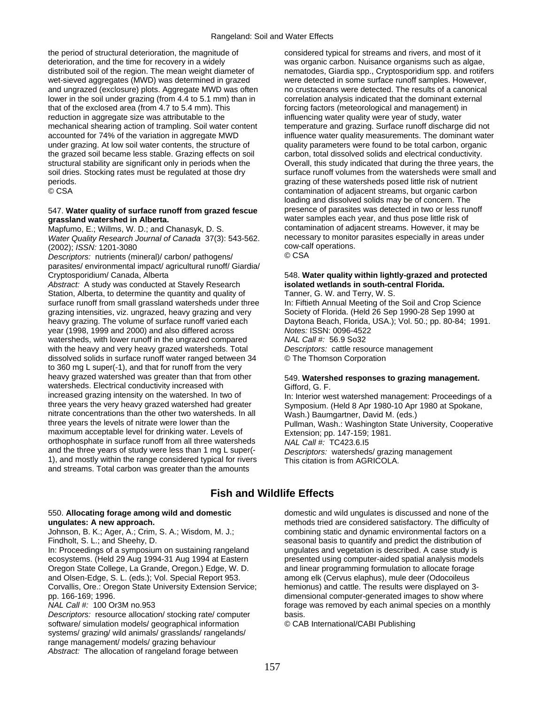the period of structural deterioration, the magnitude of considered typical for streams and rivers, and most of it deterioration, and the time for recovery in a widely was organic carbon. Nuisance organisms such as algae, distributed soil of the region. The mean weight diameter of nematodes, Giardia spp., Cryptosporidium spp. and rotif wet-sieved aggregates (MWD) was determined in grazed and ungrazed (exclosure) plots. Aggregate MWD was often no crustaceans were detected. The results of a canonical lower in the soil under grazing (from 4.4 to 5.1 mm) than in correlation analysis indicated that the dominant external that of the exclosed area (from 4.7 to 5.4 mm). This forcing factors (meteorological and management) in reduction in aggregate size was attributable to the influencing water quality were year of study, water mechanical shearing action of trampling. Soil water content temperature and grazing. Surface runoff discharge did not accounted for 74% of the variation in aggregate MWD influence water quality measurements. The dominant water under grazing. At low soil water contents, the structure of quality parameters were found to be total carbon, organic the grazed soil became less stable. Grazing effects on soil carbon, total dissolved solids and electrical conductivity. structural stability are significant only in periods when the Overall, this study indicated that during the three years, the soil dries. Stocking rates must be regulated at those dry surface runoff volumes from the watersh

## 547. **Water quality of surface runoff from grazed fescue** presence of parasites was detected in two or less runoff

*Water Quality Research Journal of Canada* 37(3): 543-562. necessary to monitor *parasition* are parasitions. (2002); *ISSN:* 1201-3080 cow-cal<br>
Descriptors: nutrients (mineral)/ carbon/ pathogens/ CCSA

*Descriptors:* nutrients (mineral)/ carbon/ pathogens/ parasites/ environmental impact/ agricultural runoff/ Giardia/ Cryptosporidium/ Canada, Alberta **548. Water quality within lightly-grazed and protected** 

*Abstract:* A study was conducted at Stavely Research **isolated wetlands in south-central Florida.** Station, Alberta, to determine the quantity and quality of Tanner, G. W. and Terry, W. S. surface runoff from small grassland watersheds under three In: Fiftieth Annual Meeting of the Soil and Crop Science grazing intensities, viz. ungrazed, heavy grazing and very Society of Florida. (Held 26 Sep 1990-28 Sep 1990 at heavy grazing. The volume of surface runoff varied each Daytona Beach, Florida, USA.); Vol. 50.; pp. 80-84; 1991. year (1998, 1999 and 2000) and also differed across *Notes:* ISSN: 0096-4522 watersheds, with lower runoff in the ungrazed compared *NAL Call #:* 56.9 So32 with the heavy and very heavy grazed watersheds. Total *Descriptors:* cattle resource management dissolved solids in surface runoff water ranged between 34 © The Thomson Corporation dissolved solids in surface runoff water ranged between 34 to 360 mg L super(-1), and that for runoff from the very heavy grazed watershed was greater than that from other 549. Watershed responses to grazing management. watersheds. Electrical conductivity increased with Gifford, G. F.<br>increased grazing intensity on the watershed. In two of ln: Interior we increased grazing intensity on the watershed. In two of In: Interior west watershed management: Proceedings of a<br>
three years the very heavy grazed watershed had greater Symposium. (Held 8 Apr 1980-10 Apr 1980 at Spokane. nitrate concentrations than the other two watersheds. In all Wash.) Baumgartner, David M. (eds.)<br>three years the levels of nitrate were lower than the Pullman Wash: Washington State Un maximum acceptable level for drinking water. Levels of Extension; pp. 147-159; 1981. orthophosphate in surface runoff from all three watersheds *NAL Call #:* TC423.6.I5<br>and the three years of study were less than 1 mg L super(-<br>Descriptors: watershed: 1), and mostly within the range considered typical for rivers and streams. Total carbon was greater than the amounts

In: Proceedings of a symposium on sustaining rangeland ungulates and vegetation is described. A case study is ecosystems. (Held 29 Aug 1994-31 Aug 1994 at Eastern presented using computer-aided spatial analysis models Oregon State College, La Grande, Oregon.) Edge, W. D. and linear programming formulation to allocate forage and Olsen-Edge, S. L. (eds.); Vol. Special Report 953. among elk (Cervus elaphus), mule deer (Odocoileus Corvallis, Ore.: Oregon State University Extension Service; hemionus) and cattle. The results were displayed on 3 pp. 166-169; 1996. dimensional computer-generated images to show where

*Descriptors:* resource allocation/ stocking rate/ computer basis. software/ simulation models/ geographical information © CAB International/CABI Publishing systems/ grazing/ wild animals/ grasslands/ rangelands/ range management/ models/ grazing behaviour *Abstract:* The allocation of rangeland forage between

nematodes, Giardia spp., Cryptosporidium spp. and rotifers<br>were detected in some surface runoff samples. However. surface runoff volumes from the watersheds were small and periods.<br>
grazing of these watersheds posed little risk of nutrient<br>
contamination of adiacent streams, but organic carbon contamination of adjacent streams, but organic carbon loading and dissolved solids may be of concern. The **grassland watershed in Alberta.**  $\overline{a}$  **water samples each year, and thus pose little risk of** water samples each year, and thus pose little risk of Manfumo F Willms W D and Chanasyk D S Mapfumo, E.; Willms, W. D.; and Chanasyk, D. S. contamination of adjacent streams. However, it may be<br>Water Quality Research Journal of Canada 37(3): 543-562 encessary to monitor parasites especially in areas under

Symposium. (Held 8 Apr 1980-10 Apr 1980 at Spokane, Pullman, Wash.: Washington State University, Cooperative Descriptors: watersheds/ grazing management<br>This citation is from AGRICOLA.

### **Fish and Wildlife Effects**

550. **Allocating forage among wild and domestic** domestic and wild ungulates is discussed and none of the **ungulates: A new approach.** methods tried are considered satisfactory. The difficulty of Johnson, B. K.; Ager, A.; Crim, S. A.; Wisdom, M. J.; combining static and dynamic environmental factors on a Findholt, S. L.; and Sheehy, D. Sheemsen and the seasonal basis to quantify and predict the distribution of *NAL Call #:* 100 Or3M no.953 forage was removed by each animal species on a monthly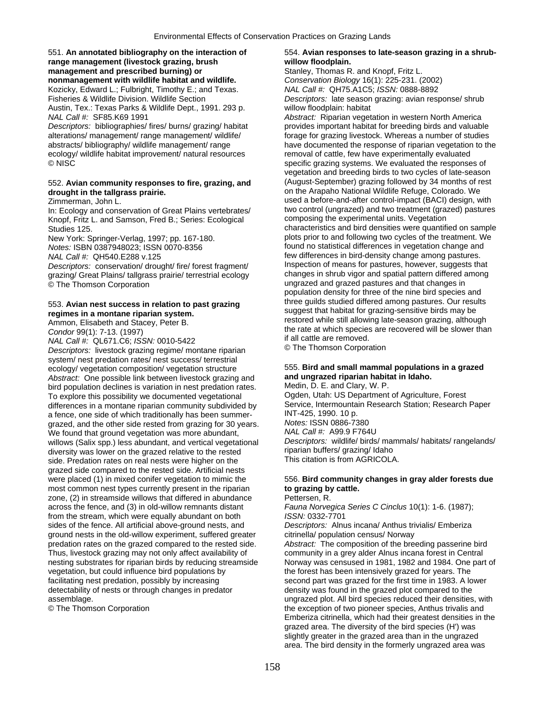### **range management (livestock grazing, brush willow floodplain. management and prescribed burning) or <b>Stanley, Thomas R. and Knopf, Fritz L. Stanley**, Thomas R. and Knopf, Fritz L. **nonmanagement with wildlife habitat and wildlife.** *Conservation Biology* 16(1): 225-231. (2002)

Austin, Tex.: Texas Parks & Wildlife Dept., 1991. 293 p. willow floodplain: habitat

ecology/ wildlife habitat improvement/ natural resources removal of cattle, few have experimentally evaluated

## **drought in the tallgrass prairie.** on the Arapaho National Wildlife Refuge, Colorado. We

In: Ecology and conservation of Great Plains vertebrates/ two control (ungrazed) and two treatment (graz<br>Knopf Fritz L and Samson, Fred B : Series: Ecological composing the experimental units. Vegetation Knopf, Fritz L. and Samson, Fred B.; Series: Ecological

grazing/ Great Plains/ tallgrass prairie/ terrestrial ecology © The Thomson Corporation ungrazed and grazed pastures and that changes in

NAL Call #: QL671.C6; *ISSN:* 0010-5422 *Descriptors:* literation *Descriptors:* livestock grazing regime/ montane riparian **Descriptors:** livestock grazing regime/ montane riparian system/ nest predation rates/ nest success/ terrestrial ecology/ vegetation composition/ vegetation structure 555. **Bird and small mammal populations in a grazed Abstract:** One possible link between livestock grazing and **and ungrazed riparian habitat in Idaho**. Abstract: One possible link between livestock grazing and **and ungrazed riparian habit**<br>bird population declines is variation in nest predation rates Medin, D. E. and Clary, W. P. bird population declines is variation in nest predation rates. Medin, D. E. and Clary, W. P.<br>To explore this possibility we documented vegetational Caden, Utah: US Department of Agriculture. Forest To explore this possibility we documented vegetational Corporation Dutah: US Department of Agriculture, Forest<br>differences in a montane riparian community subdivided by Service, Intermountain Research Station; Research Pap differences in a montane riparian community subdivided by Service, Intermounta<br>a fence, one side of which traditionally has been summer-<br>INT-425, 1990, 10 p. a fence, one side of which traditionally has been summer-<br>grazed, and the other side rested from grazing for 30 years. Notes: ISSN 0886-7380 grazed, and the other side rested from grazing for 30 years. *Notes:* ISSN 0886-7380 We found that ground vegetation was more abundant, *NAL Call #:* A99.9 F764U<br>willows (Salix spp.) less abundant, and vertical vegetational *Descriptors:* wildlife/ birds/ mammals/ habitats/ rangelands/ willows (Salix spp.) less abundant, and vertical vegetational *Descriptors:* wildlife/ birds/ mandiversity was lower on the grazed relative to the rested rises in parian buffers/ grazing/ Idaho diversity was lower on the grazed relative to the rested riparian buffers/ grazing/ Idaho<br>side. Predation rates on real nests were higher on the This citation is from AGRICOLA. side. Predation rates on real nests were higher on the grazed side compared to the rested side. Artificial nests were placed (1) in mixed conifer vegetation to mimic the 556. **Bird community changes in gray alder forests due**  most common nest types currently present in the riparian **to grazing by cattle.** zone, (2) in streamside willows that differed in abundance Pettersen, R. across the fence, and (3) in old-willow remnants distant *Fauna Norvegica Series C Cinclus* 10(1): 1-6. (1987); from the stream, which were equally abundant on both *ISSN:* 0332-7701 sides of the fence. All artificial above-ground nests, and *Descriptors:* Alnus incana/ Anthus trivialis/ Emberiza ground nests in the old-willow experiment, suffered greater citrinella/ population census/ Norway predation rates on the grazed compared to the rested side. *Abstract:* The composition of the breeding passerine bird vegetation, but could influence bird populations by the forest has been intensively grazed for years. The facilitating nest predation, possibly by increasing second part was grazed for the first time in 1983. A lower detectability of nests or through changes in predator density was found in the grazed plot compared to the assemblage. ungrazed plot. All bird species reduced their densities, with

## 551. **An annotated bibliography on the interaction of** 554. **Avian responses to late-season grazing in a shrub-**

Kozicky, Edward L.; Fulbright, Timothy E.; and Texas. *NAL Call #:* QH75.A1C5; *ISSN:* 0888-8892 Fisheries & Wildlife Division. Wildlife Section *Descriptors:* late season grazing: avian response/ shrub

*NAL Call #:* SF85.K69 1991 *Abstract:* Riparian vegetation in western North America *Descriptors:* bibliographies/ fires/ burns/ grazing/ habitat provides important habitat for breeding birds and valuable alterations/ management/ range management/ wildlife/ forage for grazing livestock. Whereas a number of studies abstracts/ bibliography/ wildlife management/ range have documented the response of riparian vegetation to the © NISC specific grazing systems. We evaluated the responses of vegetation and breeding birds to two cycles of late-season 552. **Avian community responses to fire, grazing, and** (August-September) grazing followed by 34 months of rest Zimmerman, John L.<br>
In: Fcology and conservation of Great Plains vertebrates/<br>
two control (ungrazed) and two treatment (grazed) pastures Studies 125. characteristics and bird densities were quantified on sample New York: Springer-Verlag, 1997; pp. 167-180. plots prior to and following two cycles of the treatment. We *Notes:* ISBN 0387948023; ISSN 0070-8356 found no statistical differences in vegetation change and *NAL Call #:* QH540.E288 v.125 few differences in bird-density change among pastures. *Descriptors:* conservation/ drought/ fire/ forest fragment/ Inspection of means for pastures, however, suggests that<br>
grazing/ Great Plains/ tallgrass prairie/ terrestrial ecology changes in shrub vigor and spatial patter population density for three of the nine bird species and 553. Avian nest success in relation to past grazing<br>
regimes in a montane riparian system.<br>
Ammon, Elisabeth and Stacey, Peter B.<br>
Condor 99(1): 7-13. (1997)<br>
MAL Call #: QL671.C6; ISSN: 0010-5422<br>
MAL Call #: QL671.C6; IS

community in a grey alder Alnus incana forest in Central nesting substrates for riparian birds by reducing streamside Norway was censused in 1981, 1982 and 1984. One part of © The Thomson Corporation the exception of two pioneer species, Anthus trivalis and Emberiza citrinella, which had their greatest densities in the grazed area. The diversity of the bird species (H') was slightly greater in the grazed area than in the ungrazed area. The bird density in the formerly ungrazed area was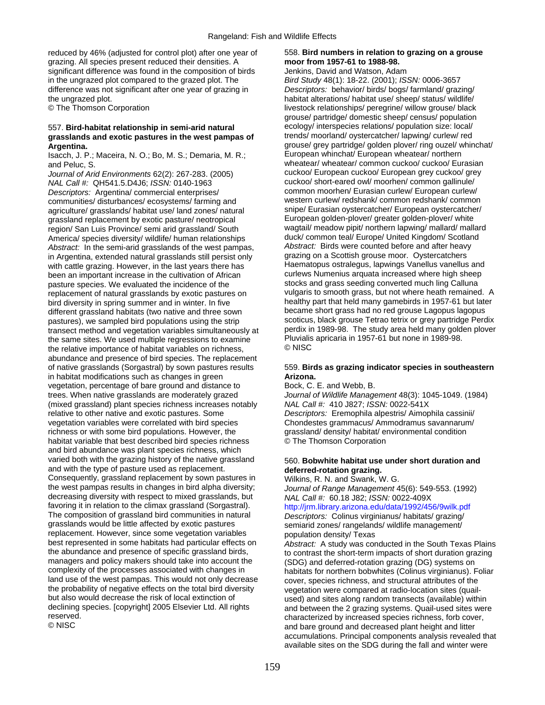reduced by 46% (adjusted for control plot) after one year of 558. **Bird numbers in relation to grazing on a grouse** grazing. All species present reduced their densities. A **moor from 1957-61 to 1988-98.**  significant difference was found in the composition of birds Jenkins, David and Watson, Adam in the ungrazed plot compared to the grazed plot. The *Bird Study* 48(1): 18-22. (2001); *ISSN:* 0006-3657 difference was not significant after one year of grazing in *Descriptors:* behavior/ birds/ bogs/ farmland/ grazing/ the ungrazed plot. habitat alterations/ habitat use/ sheep/ status/ wildlife/

### 557. **Bird-habitat relationship in semi-arid natural** ecology/ interspecies relations/ population size: local/ grasslands and exotic pastures in the west pampas of

Isacch, J. P.; Maceira, N. O.; Bo, M. S.; Demaria, M. R.;

*Journal of Arid Environments* 62(2): 267-283. (2005) cuckoo/ European cuckoo/ European grey cuckoo/ grey *NAL Call #:* QH541.5.D4J6; *ISSN:* 0140-1963 cuckoo/ short-eared owl/ moorhen/ common gallinule/ *Descriptors:* Argentina/ commercial enterprises/ common moorhen/ Eurasian curlew/ European curlew/ communities/ disturbances/ ecosystems/ farming and western curlew/ redshank/ common redshank/ common agriculture/ grasslands/ habitat use/ land zones/ natural snipe/ Eurasian oystercatcher/ European oystercatche<br>Grassland replacement by exotic pasture/ neotropical subsection of European golden-plover/ greater golden-plove grassland replacement by exotic pasture/ neotropical entity be unopean golden-plover/ greater golden-plover/ white<br>The unit province/ semi arid grassland/ South wagtail/ meadow pipit/ northern lapwing/ mallard/ mallard region/ San Luis Province/ semi arid grassland/ South wagtail/ meadow pipit/ northern lapwing/ mallard/ mallar<br>America/ species diversity/ wildlife/ human relationships duck/ common teal/ Europe/ United Kingdom/ Scotland America/ species diversity/ wildlife/ human relationships duck/ common teal/ Europe/ United Kingdom/ Scotlan<br>Abstract: In the semi-arid grasslands of the west pampas. Abstract: Birds were counted before and after heavy *Abstract:* In the semi-arid grasslands of the west pampas, *Abstract:* Birds were counted before and after heavy in Argentina, extended natural grasslands still persist only with cattle grazing. However, in the last years there has Haematopus ostralegus, lapwings Vanellus vanellus and<br>
been an important increase in the cultivation of African curlews Numenius arguata increased where high sheep been an important increase in the cultivation of African pasture species. We evaluated the incidence of the stocks and grass seeding converted much ling Calluna replacement of natural grasslands by exotic pastures on vulgaris to smooth grass, but not where heath remained. A bird diversity in spring summer and in winter. In five healthy part that held many gamebirds in 1957-61 but later<br>different grassland habitats (two native and three sown became short grass had no red grouse Lagopus lagopus different grassland habitats (two native and three sown became short grass had no red grouse Lagopus lagopus<br>hastures), we sampled bird populations using the strip scoticus, black grouse Tetrao tetrix or grey partridge Per transect method and vegetation variables simultaneously at perdix in 1989-98. The study area held many gold<br>the same sites, We used multiple regressions to examine Pluvialis apricaria in 1957-61 but none in 1989-98. the same sites. We used multiple regressions to examine Pluvialis Pluvialis<br>the relative importance of babitat variables on richness. the relative importance of habitat variables on richness, abundance and presence of bird species. The replacement of native grasslands (Sorgastral) by sown pastures results 559. **Birds as grazing indicator species in southeastern**  in habitat modifications such as changes in green **Arizona.**  vegetation, percentage of bare ground and distance to Bock, C. E. and Webb, B. trees. When native grasslands are moderately grazed *Journal of Wildlife Management* 48(3): 1045-1049. (1984) (mixed grassland) plant species richness increases notably *NAL Call #:* 410 J827; *ISSN:* 0022-541X relative to other native and exotic pastures. Some *Descriptors:* Eremophila alpestris/ Aimophila cassinii/ vegetation variables were correlated with bird species Chondestes grammacus/ Ammodramus savannarum/ richness or with some bird populations. However, the grassland/ density/ habitat/ environmental condition habitat variable that best described bird species richness © The Thomson Corporation and bird abundance was plant species richness, which varied both with the grazing history of the native grassland 560. **Bobwhite habitat use under short duration and**  and with the type of pasture used as replacement. **deferred-rotation grazing.** Consequently, grassland replacement by sown pastures in Wilkins, R. N. and Swank, W. G.<br>the west pampas results in changes in bird alpha diversity; Journal of Range Management 4 decreasing diversity with respect to mixed grasslands, but *NAL Call #:* 60.18 J82; *ISSN:* 0022-409X<br>favoring it in relation to the climax grassland (Sorgastral). http://irm.library arizona edu/data/1992/45 favoring it in relation to the climax grassland (Sorgastral). http://jrm.library.arizona.edu/data/1992/456/9wilk.pdf<br>The composition of grassland bird communities in natural Descriptors: Colinus virginianus/ habitats/ graz The composition of grassland bird communities in natural *Descriptors:* Colinus virginianus/ habitats/ grazing/ replacement. However, since some vegetation variables population density/  $\vec{\text{Y}}$  exas best represented in some habitats had particular effects on *Abstract:* A study was con best represented in some habitats had particular effects on *Abstract:* A study was conducted in the South Texas Plains the abundance and presence of specific grassland birds, to contrast the short-term impacts of short duration grazing<br>managers and policy makers should take into account the (SDG) and deferred-rotation grazing (DG) systems managers and policy makers should take into account the (SDG) and deferred-rotation grazing (DG) systems on complexity of the processes associated with changes in babitats for northern bobwhites (Colinus virginianus). For land use of the west pampas. This would not only decrease cover, species richness, and structural attributes of the the probability of negative effects on the total bird diversity vegetation were compared at radio-location sites (quail-<br>but also would decrease the risk of local extinction of used) and sites along random transects (avail declining species. [copyright] 2005 Elsevier Ltd. All rights and between the 2 grazing systems. Quail-used sites were<br>
characterized by increased species richness forb cover

© The Thomson Corporation livestock relationships/ peregrine/ willow grouse/ black grouse/ partridge/ domestic sheep/ census/ population **Argentina.** grouse/ grey partridge/ golden plover/ ring ouzel/ whinchat/ and Peluc, S. wheatear/ wheatear/ common cuckoo/ cuckoo/ Eurasian pastures), we sampled bird populations using the strip scoticus, black grouse Tetrao tetrix or grey partridge Perdix<br>transect method and vegetation variables simultaneously at perdix in 1989-98. The study area held many go

Journal of Range Management 45(6): 549-553. (1992)

semiarid zones/ rangelands/ wildlife management/

habitats for northern bobwhites (Colinus virginianus). Foliar used) and sites along random transects (available) within reserved.<br>
Characterized by increased species richness, forb cover,<br>
Characterized by increased species richness, forb cover, and bare ground and decreased plant height and litter accumulations. Principal components analysis revealed that available sites on the SDG during the fall and winter were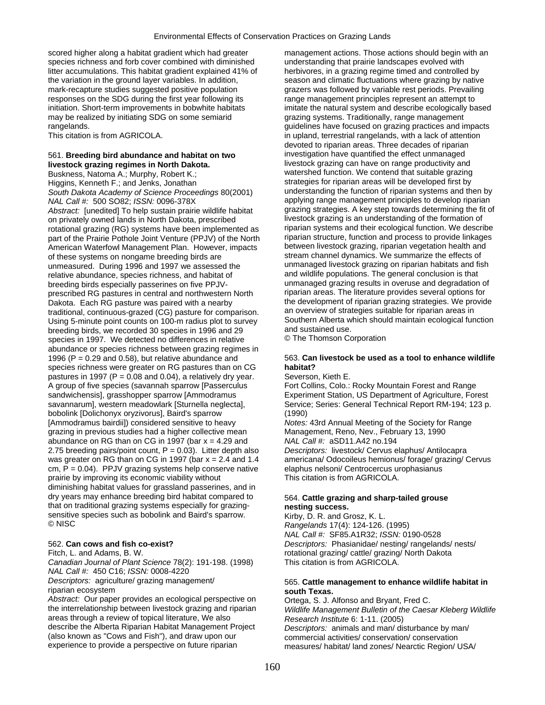scored higher along a habitat gradient which had greater management actions. Those actions should begin with an species richness and forb cover combined with diminished understanding that prairie landscapes evolved with litter accumulations. This habitat gradient explained 41% of herbivores, in a grazing regime timed and controlled by<br>the variation in the ground layer variables. In addition, season and climatic fluctuations where grazing mark-recapture studies suggested positive population grazers was followed by variable rest periods. Prevailing responses on the SDG during the first year following its range management principles represent an attempt to initiation. Short-term improvements in bobwhite habitats imitate the natural system and describe ecologically based may be realized by initiating SDG on some semiarid grazing systems. Traditionally, range management rangelands. guidelines have focused on grazing practices and impacts

Higgins, Kenneth F.; and Jenks, Jonathan strategies for riparian areas will be developed first by<br>South Dakota Academy of Science Proceedings 80(2001) understanding the function of riparian systems and then by **South Dakota Academy of Science Proceedings 80(2001)** *NAL Call #:* 500 SO82; *ISSN:* 0096-378X<br>Abstract: Iunedited] To help sustain prairie wildlife habitat grazing strategies. A key step towards determining the fit of Abstract: [unedited] To help sustain prairie wildlife habitat grazing strategies. A key step towards determining the fit<br>on privately owned lands in North Dakota, prescribed livestock grazing is an understanding of the for on privately owned lands in North Dakota, prescribed livestock grazing is an understanding of the formation of<br>Interional grazing (RG) systems have been implemented as liparian systems and their ecological function. We des rotational grazing (RG) systems have been implemented as riparian systems and their ecological function. We describe<br>nart of the Prairie Pothole Joint Venture (PPJV) of the North riparian structure, function and process to part of the Prairie Pothole Joint Venture (PPJV) of the North riparian structure, function and process to provide linkages<br>American Waterfowl Management Plan, However, impacts between livestock grazing, riparian vegetation American Waterfowl Management Plan. However, impacts of these systems on nongame breeding birds are stream channel dynamics. We summarize the effects of unmeasured. During 1996 and 1997 we assessed the unmanaged livestock grazing on riparian habitats and fish relative abundance, species richness, and habitat of and wildlife populations. The general conclusion is that breeding birds especially passerines on five PPJV-<br>prescribed RG pastures in central and northwestern North riparian areas. The literature provides several options for prescribed RG pastures in central and northwestern North Dakota. Each RG pasture was paired with a nearby the development of riparian grazing strategies. We provide<br>traditional, continuous-grazed (CG) pasture for comparison. an overview of strategies suitable for riparian areas traditional, continuous-grazed (CG) pasture for comparison. an overview of strategies suitable for riparian areas in<br>Using 5-minute point counts on 100-m radius plot to survey southern Alberta which should maintain ecologi Using 5-minute point counts on 100-m radius plot to survey Southern Alberta where the should may be essentian b breeding birds, we recorded 30 species in 1996 and 29 and sustained use.<br>species in 1997. We detected no differences in relative C The Thomson Corporation species in 1997. We detected no differences in relative abundance or species richness between grazing regimes in 1996 (P = 0.29 and 0.58), but relative abundance and 563. **Can livestock be used as a tool to enhance wildlife**  species richness were greater on RG pastures than on CG **habitat?**  pastures in 1997 ( $P = 0.08$  and 0.04), a relatively dry year. Severson, Kieth E. A group of five species (savannah sparrow [Passerculus Fort Collins, Colo.: Rocky Mountain Forest and Range<br>
Sandwichensis], grasshopper sparrow [Ammodramus Experiment Station, US Department of Agriculture, For sandwichensis], grasshopper sparrow [Ammodramus Experiment Station, US Department of Agriculture, Forest savannarum], western meadowlark [Sturnella neglecta], Service; Series: General Technical Report RM-194; 123 p. bobolink [Dolichonyx oryzivorus], Baird's sparrow (1990) [Ammodramus bairdii]) considered sensitive to heavy *Notes:* 43rd Annual Meeting of the Society for Range grazing in previous studies had a higher collective mean Management, Reno, Nev., February 13, 1990 abundance on RG than on CG in 1997 (bar x = 4.29 and *NAL Call #:* aSD11.A42 no.194 2.75 breeding pairs/point count, P = 0.03). Litter depth also *Descriptors:* livestock/ Cervus elaphus/ Antilocapra was greater on RG than on CG in 1997 (bar x = 2.4 and 1.4 americana/ Odocoileus hemionus/ forage/ grazing/ Cervus  $cm$ ,  $P = 0.04$ ). PPJV grazing systems help conserve native elaphus nelsoni/ Centrocercus urophasianus prairie by improving its economic viability without This citation is from AGRICOLA. diminishing habitat values for grassland passerines, and in dry years may enhance breeding bird habitat compared to 564. **Cattle grazing and sharp-tailed grouse**  that on traditional grazing systems especially for grazing- **nesting success.**  sensitive species such as bobolink and Baird's sparrow. Kirby, D. R. and Grosz, K. L.<br>© NISC Bangelands 17(4): 124-126

*Canadian Journal of Plant Science* 78(2): 191-198. (1998) This citation is from AGRICOLA. *NAL Call #:* 450 C16; *ISSN:* 0008-4220 *Descriptors:* agriculture/ grazing management/ 565. **Cattle management to enhance wildlife habitat in**  riparian ecosystem **south Texas.** 

Abstract: Our paper provides an ecological perspective on Crtega, S. J. Alfonso and Bryant, Fred C.<br>the interrelationship between livestock grazing and riparian Wildlife Management Bulletin of the Caes areas through a review of topical literature, We also *Research Institute* 6: 1-11. (2005)<br>describe the Alberta Riparian Habitat Management Project *Descriptors:* animals and man/di-(also known as "Cows and Fish"), and draw upon our commercial activities/ conservation/ conservation<br>experience to provide a perspective on future riparian expension of measures/ habitat/ land zones/ Nearctic Region/ l

season and climatic fluctuations where grazing by native This citation is from AGRICOLA. **in upland, terrestrial rangelands, with a lack of attention** devoted to riparian areas. Three decades of riparian 561. **Breeding bird abundance and habitat on two** investigation have quantified the effect unmanaged **livestock grazing regimes in North Dakota.** livestock grazing can have on range productivity and Buskness, Natoma A.; Murphy, Robert K.; www. watershed function. We contend that suitable grazing

Service; Series: General Technical Report RM-194; 123 p.

© NISC *Rangelands* 17(4): 124-126. (1995) *NAL Call #:* SF85.A1R32; *ISSN:* 0190-0528 562. **Can cows and fish co-exist?** *Descriptors:* Phasianidae/ nesting/ rangelands/ nests/ Fitch, L. and Adams, B. W. rotational grazing/ cattle/ grazing/ North Dakota

Wildlife Management Bulletin of the Caesar Kleberg Wildlife Descriptors: animals and man/ disturbance by man/ measures/ habitat/ land zones/ Nearctic Region/ USA/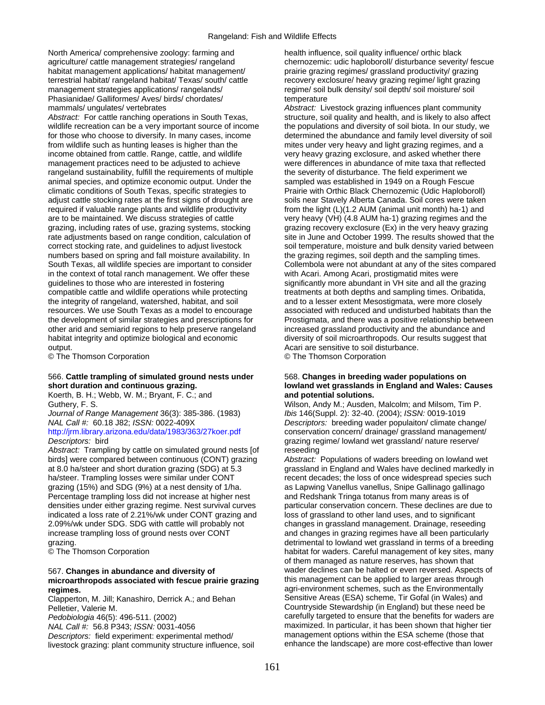North America/ comprehensive zoology: farming and health influence, soil quality influence/ orthic black habitat management applications/ habitat management/ prairie grazing regimes/ grassland productivity/ grazing terrestrial habitat/ rangeland habitat/ Texas/ south/ cattle recovery exclosure/ heavy grazing regime/ light grazing management strategies applications/ rangelands/ regime/ soil bulk density/ soil depth/ soil moisture/ soil Phasianidae/ Galliformes/ Aves/ birds/ chordates/ temperature mammals/ ungulates/ vertebrates *Abstract:* Livestock grazing influences plant community

wildlife recreation can be a very important source of income the populations and diversity of soil biota. In our study, we for those who choose to diversify. In many cases, income determined the abundance and family level diversity of soil from wildlife such as hunting leases is higher than the mites under very heavy and light grazing regimes, and a income obtained from cattle. Range, cattle, and wildlife very heavy grazing exclosure, and asked whether there management practices need to be adjusted to achieve were differences in abundance of mite taxa that reflected rangeland sustainability, fulfill the requirements of multiple the severity of disturbance. The field experiment we animal species, and optimize economic output. Under the sampled was established in 1949 on a Rough Fescue climatic conditions of South Texas, specific strategies to Prairie with Orthic Black Chernozemic (Udic Haploboroll) adjust cattle stocking rates at the first signs of drought are soils near Stavely Alberta Canada. Soil cores were taken required if valuable range plants and wildlife productivity from the light (L)(1.2 AUM (animal unit month) ha-1) and are to be maintained. We discuss strategies of cattle very heavy (VH) (4.8 AUM ha-1) grazing regimes and the grazing, including rates of use, grazing systems, stocking grazing recovery exclosure (Ex) in the very heavy grazing rate adjustments based on range condition, calculation of site in June and October 1999. The results showed that the correct stocking rate, and guidelines to adjust livestock soil temperature, moisture and bulk density varied between numbers based on spring and fall moisture availability. In the grazing regimes, soil depth and the sampling times. in the context of total ranch management. We offer these with Acari. Among Acari, prostigmatid mites were guidelines to those who are interested in fostering significantly more abundant in VH site and all the grazing compatible cattle and wildlife operations while protecting treatments at both depths and sampling times. Oribatida, the integrity of rangeland, watershed, habitat, and soil and to a lesser extent Mesostigmata, were more closely resources. We use South Texas as a model to encourage associated with reduced and undisturbed habitats than the the development of similar strategies and prescriptions for Prostigmata, and there was a positive relationship between other arid and semiarid regions to help preserve rangeland increased grassland productivity and the abundance and habitat integrity and optimize biological and economic diversity of soil microarthropods. Our results suggest that output. Acari are sensitive to soil disturbance.

© The Thomson Corporation © The Thomson Corporation

## 566. **Cattle trampling of simulated ground nests under** 568. **Changes in breeding wader populations on**

Koerth, B. H.; Webb, W. M.; Bryant, F. C.; and **and potential solutions.** 

*Journal of Range Management* 36(3): 385-386. (1983) *Ibis* 146(Suppl. 2): 32-40. (2004); *ISSN:* 0019-1019

Abstract: Trampling by cattle on simulated ground nests [of reseeding birds] were compared between continuous (CONT) grazing *Abstract:* Populations of waders breeding on lowland wet at 8.0 ha/steer and short duration grazing (SDG) at 5.3 grassland in England and Wales have declined markedly in ha/steer. Trampling losses were similar under CONT recent decades; the loss of once widespread species such grazing (15%) and SDG (9%) at a nest density of 1/ha. as Lapwing Vanellus vanellus, Snipe Gallinago gallinago Percentage trampling loss did not increase at higher nest and Redshank Tringa totanus from many areas is of densities under either grazing regime. Nest survival curves particular conservation concern. These declines are due to indicated a loss rate of 2.21%/wk under CONT grazing and loss of grassland to other land uses, and to significant 2.09%/wk under SDG. SDG with cattle will probably not changes in grassland management. Drainage, reseeding increase trampling loss of ground nests over CONT and changes in grazing regimes have all been particularly grazing. **detrimental to lowland wet grassland in terms of a breeding** detrimental to lowland wet grassland in terms of a breeding

### microarthropods associated with fescue prairie grazing **regimes. agri-environment schemes, such as the Environmentally**

livestock grazing: plant community structure influence, soil

agriculture/ cattle management strategies/ rangeland chernozemic: udic haploboroll/ disturbance severity/ fescue

Abstract: For cattle ranching operations in South Texas, structure, soil quality and health, and is likely to also affect South Texas, all wildlife species are important to consider Collembola were not abundant at any of the sites compared

# **short duration and continuous grazing. and in the lowland wet grasslands in England and Wales: Causes state**

Guthery, F. S. Wilson, Andy M.; Ausden, Malcolm; and Milsom, Tim P. *NAL Call #:* 60.18 J82; *ISSN:* 0022-409X *Descriptors:* breeding wader populaiton/ climate change/ <http://jrm.library.arizona.edu/data/1983/363/27koer.pdf>conservation concern/ drainage/ grassland management/ **Descriptors:** bird **grazing regime/ lowland wet grassland/ nature reserve/** grazing regime/ lowland wet grassland/ nature reserve/

© The Thomson Corporation habitat for waders. Careful management of key sites, many of them managed as nature reserves, has shown that 567. **Changes in abundance and diversity of** wader declines can be halted or even reversed. Aspects of Clapperton, M. Jill; Kanashiro, Derrick A.; and Behan Sensitive Areas (ESA) scheme, Tir Gofal (in Wales) and Pelletier, Valerie M. Countryside Stewardship (in England) but these need be *Pedobiologia* 46(5): 496-511. (2002) carefully targeted to ensure that the benefits for waders are *NAL Call #:* 56.8 P343; *ISSN:* 0031-4056 maximized. In particular, it has been shown that higher tier<br>Descriptors: field experiment: experimental method/ management options within the ESA scheme (those that *Descriptors:* field experiment: experimental method/ management options within the ESA scheme (those that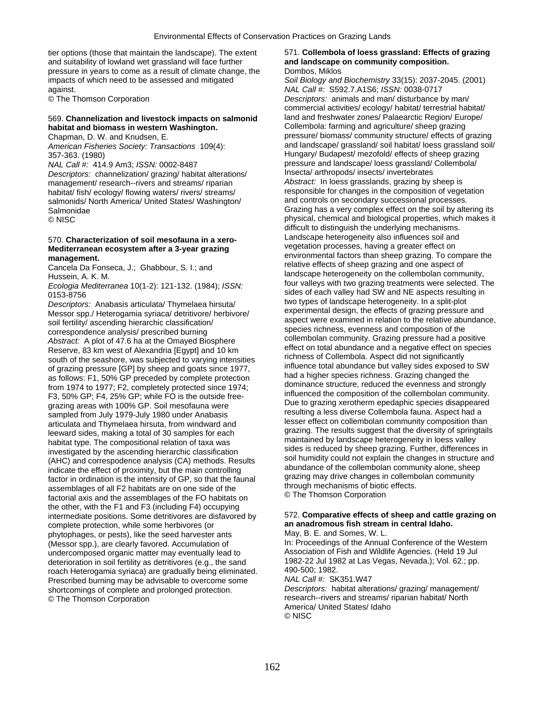and suitability of lowland wet grassland will face further **and landscape on community composition.**  pressure in years to come as a result of climate change, the Dombos, Miklos<br>
impacts of which need to be assessed and mitigated Soil Biology and Biochemistry 33(15): 2037-2045. (2001) impacts of which need to be assessed and mitigated against. *NAL Call #:* S592.7.A1S6; *ISSN:* 0038-0717

### 569. **Channelization and livestock impacts on salmonid** land and freshwater zones/ Palaearctic Region/ Europe<br>**habitat and biomass in western Washington.** Collembola: farming and agriculture/ sheep grazing habitat and biomass in western Washington.

*Descriptors:* channelization/ grazing/ habitat alterations/ **Insecta/ arthropods/ insects/ invertebrates**<br>management/ research--rivers and streams/ riparian **Brank Abstract: In loess grasslands**, grazing by sheep is habitat/ fish/ ecology/ flowing waters/ rivers/ streams/ responsible for changes in the composition of vegetation<br>salmonids/ North America/ United States/ Washington/ and controls on secondary successional processes. salmonids/ North America/ United States/ Washington/

# **Mediterranean ecosystem after a 3-year grazing**

soil entility/ ascending hierarchic classification/<br>species richness, even estain to relative abundance,<br>correspondence analysis/ prescribed buring<br>Abstract: A plot of 47.6 ha at the Omayed Biosphere<br>Reserve, 83 km west of the other, with the F1 and F3 (including F4) occupying complete protection, while some herbivores (or **an anadromous fish stream complete** protection, while some herbivores (or **and anadromous fish stream** bhytophages, or pests). like the seed harvester ants phytophages, or pests), like the seed harvester ants May, B. E. and Somes, W. L.<br>(Messor spp.), are clearly favored. Accumulation of May, B. E. and Somes, W. L. (Messor spp.), are clearly favored. Accumulation of In: Proceedings of the Annual Conference of the Western endercomposed organic matter may eventually lead to Association of Fish and Wildlife Agencies. (Held 19 Jul undercomposed organic matter may eventually lead to Association of Fish and Wildlife Agencies. (Held 19 Jul undercomposed organic matter may eventually lead to Association of Fish and Wildlife Agencies. (Held 19 Jul deteri deterioration in soil fertility as detritivores (e.g., the sand 1982-22 Jul 1982.<br>
1982-22 Jul 1982.<br>
1982. roach Heterogamia syriaca) are gradually being eliminated. 490-500; 1982.<br>Prescribed burning may be advisable to overcome some MAL Call #: SK351.W47 Prescribed burning may be advisable to overcome some *NAL Call #:* SK351.W47 shortcomings of complete and prolonged protection. © The Thomson Corporation research--rivers and streams/ riparian habitat/ North

# tier options (those that maintain the landscape). The extent 571. **Collembola of loess grassland: Effects of grazing**

© The Thomson Corporation *Descriptors:* animals and man/ disturbance by man/ commercial activities/ ecology/ habitat/ terrestrial habitat/<br>land and freshwater zones/ Palaearctic Region/ Europe/ Chapman, D. W. and Knudsen, E. pressure/ biomass/ community structure/ effects of grazing<br>American Fisheries Society: Transactions 109(4): and landscape/ grassland/ soil habitat/ loess grassland soil/ and landscape/ grassland/ soil habitat/ loess grassland soil/ 357-363. (1980) Hungary/ Budapest/ mezofold/ effects of sheep grazing *NAL Call #:* 414.9 Am3; *ISSN:* 0002-8487 **pressure and landscape/ loess grassland/ Collembola/<br>** *Descriptors:* **channelization/ grazing/ babitat alterations/ <b>pressure and landscape/ loess grassland/ Collembola** management/ research--rivers and streams/ riparian *Abstract:* In loess grasslands, grazing by sheep is<br>habitat/ fish/ ecology/ flowing waters/ rivers/ streams/<br>**responsible for changes in the composition of vegetation** Salmonidae Grazing has a very complex effect on the soil by altering its<br>
Complex effect on the soil by altering its<br>
Complex effect on the soil by altering its<br>
Complex effect on the soil by altering its<br>
Complex effect o physical, chemical and biological properties, which makes it difficult to distinguish the underlying mechanisms. 570. **Characterization of soil mesofauna in a xero-** Landscape heterogeneity also influences soil and the Mediterranean ecosystem after a 3-year grazing vegetation processes, having a greater effect on **management. examplement**<br> **management. property environmental factors than sheep grazing. To compare the**<br> **cancela Da Eonseca** Li Ghabbour S. Li and **relative effects of sheep grazing and one aspect of** Cancela Da Fonseca, J.; Ghabbour, S. I.; and<br>
Hussein, A. K. M.<br>
Ecologia Mediterranea 10(1-2): 121-132. (1984); ISSN:<br>
1984); ISSN:<br>
1984); ISSN:<br>
1987: Solides of each valley had SW and NE aspects resulting in sides of each valley had SW and NE aspects resulting in two types of landscape heterogeneity. In a split-plot two types of landscape heterogeneity. In a split-plot *Descriptors:* Anabasis articulata/ Thymelaea hirsuta/ Messor spp./ Heterogamia syriaca/ detritivore/ herbivore/ experimental design, the effects of grazing pressure and<br>spect were examined in relation to the relative abundance,

## intermediate positions. Some detritivores are disfavored by 572. **Comparative effects of sheep and cattle grazing on**

America/ United States/ Idaho © NISC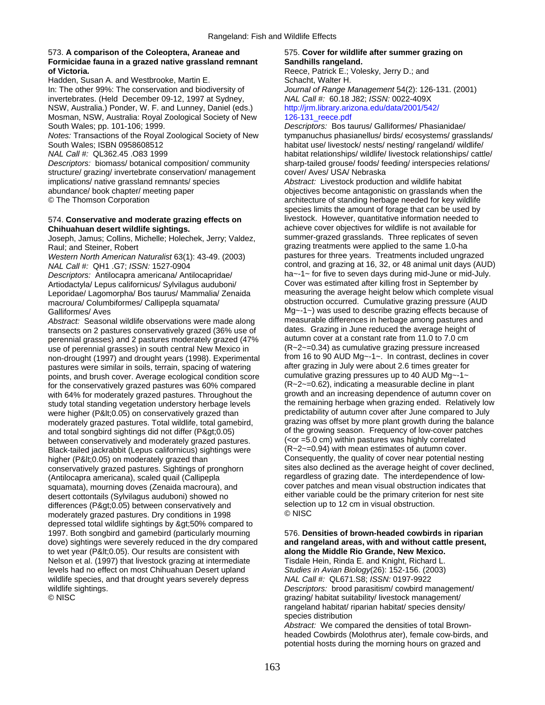### 573. **A comparison of the Coleoptera, Araneae and** 575. **Cover for wildlife after summer grazing on Formicidae fauna in a grazed native grassland remnant Sandhills rangeland. of Victoria. of Victoria.** *of Victoria of Victoria of Victoria of Victoria of Victoria of Victoria* **<b>***of Victoria of Victoria of Victoria of Victoria* **<b>***of Victoria of Victoria*

Hadden, Susan A. and Westbrooke, Martin E. Schacht, Walter H.

invertebrates. (Held December 09-12, 1997 at Sydney, *NAL Call #:* 60.18 J82; *ISSN:* 0022-409X NSW, Australia.) Ponder, W. F. and Lunney, Daniel (eds.) http://jrm.library.arizona.edu/data/2001/542/ Mosman, NSW, Australia: Royal Zoological Society of New 126-131\_reece.pdf South Wales; pp. 101-106; 1999. *Descriptors:* Bos taurus/ Galliformes/ Phasianidae/

*Descriptors:* biomass/ botanical composition/ community sharp-tailed grouse/ foods/ feeding/ interspecies relations/ structure/ grazing/ invertebrate conservation/ management cover/ Aves/ USA/ Nebraska implications/ native grassland remnants/ species *Abstract:* Livestock production and wildlife habitat

Joseph, Jamus; Collins, Michelle; Holechek, Jerry; Valdez,

*Western North American Naturalist* 63(1): 43-49. (2003)

Leporidae/ Lagomorpha/ Bos taurus/ Mammalia/ Zenaida

Abstract: Seasonal wildlife observations were made along measurable differences in herbage among pastures and transects on 2 pastures conservatively grazed (36% use of dates. Grazing in June reduced the average height of transects on 2 pastures conservatively grazed (36% use of dates. Grazing in June reduced the average height of<br>perennial grasses) and 2 pastures moderately grazed (47% autumn cover at a constant rate from 11.0 to 7.0 cm perennial grasses) and 2 pastures moderately grazed (47% autumn cover at a constant rate from 11.0 to 7.0 cm<br>use of perennial grasses) in south central New Mexico in  $(R~2~=0.34)$  as cumulative grazing pressure increased use of perennial grasses) in south central New Mexico in (R~2~=0.34) as cumulative grazing pressure increased<br>non-drought (1997) and drought years (1998). Experimental from 16 to 90 AUD Mg~-1~. In contrast, declines in cov non-drought (1997) and drought years (1998). Experimental from 16 to 90 AUD Mg--1~. In contrast, declines in c<br>nastures were similar in soils, terrain, spacing of watering after grazing in July were about 2.6 times greater pastures were similar in soils, terrain, spacing of watering after grazing in July were about 2.6 times greater for<br>boints and brush cover. Average ecological condition score cumulative grazing pressures up to 40 AUD Mg--1 points, and brush cover. Average ecological condition score cumulative grazing pressures up to 40 AUD Mg--1~<br>for the conservatively grazed pastures was 60% compared (R~2~=0.62), indicating a measurable decline in plant for the conservatively grazed pastures was 60% compared  $(R~2~=0.62)$ , indicating a measurable decline in plant with 64% for moderately grazed pastures. Throughout the growth and an increasing dependence of autumn cover on with 64% for moderately grazed pastures. Throughout the growth and an increasing dependence of autumn cover on<br>study total standing vegetation understory herbage levels the remaining herbage when grazing ended. Relatively study total standing vegetation understory herbage levels were higher (P&It:0.05) on conservatively grazed than predictability of autumn cover after June compared to July moderately grazed pastures. Total wildlife, total gamebird, grazing was offset by more plant growth during the balance<br>and total songbird sightings did not differ (P&ot:0.05) of the growing season. Frequency of low-cover p and total songbird sightings did not differ (P> 0.05) of the growing season. Frequency of low-cover patches<br>
of the growing season. Frequency of low-cover patches of the growing season. Frequency of low-cover patches b between conservatively and moderately grazed pastures. (<or =5.0 cm) within pastures was highly correlated<br>Black-tailed jackrabbit (Lenus californicus) sightings were (R~2~=0.94) with mean estimates of autumn cover. Black-tailed jackrabbit (Lepus californicus) sightings were higher (P&It;0.05) on moderately grazed than Consequently, the quality of cover near potential nesting<br>
conservatively grazed pastures. Sightings of pronghorn sites also declined as the average height of cover declined, conservatively grazed pastures. Sightings of pronghorn (Antilocapra americana), scaled quail (Callipepla regardless of grazing date. The interdependence of lowsquamata), mourning doves (Zenaida macroura), and cover patches and mean visual obstruction indicates that desert cottontails (Sylvilagus auduboni) showed no either variable could be the primary criterion for nest site<br>differences (P&at:0.05) between conservatively and selection up to 12 cm in visual obstruction. differences (P> 0.05) between conservatively and selection selection up to 1998. Selection up to 12 cm in 1998. moderately grazed pastures. Dry conditions in 1998 depressed total wildlife sightings by >50% compared to 1997. Both songbird and gamebird (particularly mourning 576. **Densities of brown-headed cowbirds in riparian**  dove) sightings were severely reduced in the dry compared **and rangeland areas, with and without cattle present,**  to wet year (P< 0.05). Our results are consistent with **along the Middle Rio Grande, New Mexico.** Nelson et al. (1997) that livestock grazing at intermediate Tisdale Hein, Rinda E. and Knight, Richard L. levels had no effect on most Chihuahuan Desert upland *Studies in Avian Biology*(26): 152-156. (2003) wildlife species, and that drought years severely depress *wildlife sightings*.

In: The other 99%: The conservation and biodiversity of *Journal of Range Management* 54(2): 126-131. (2001)

*Notes:* Transactions of the Royal Zoological Society of New tympanuchus phasianellus/ birds/ ecosystems/ grasslands/ South Wales; ISBN 0958608512 habitat use/ livestock/ nests/ nesting/ rangeland/ wildlife/ *NAL Call #:* QL362.45 .O83 1999 habitat relationships/ wildlife/ livestock relationships/ cattle/

abundance/ book chapter/ meeting paper objectives become antagonistic on grasslands when the<br>
© The Thomson Corporation composition of the sachitecture of standing herbage needed for key wildlife architecture of standing herbage needed for key wildlife species limits the amount of forage that can be used by 574. **Conservative and moderate grazing effects on** livestock. However, quantitative information needed to **Chihuahuan desert wildlife sightings.**  $\overline{\phantom{a}}$  achieve cover objectives for wildlife is not available for a loseph Jamus: Collins, Michelle: Holechek Jerry: Valdez summer-grazed grasslands. Three replicates of seven Raul; and Steiner, Robert grazing treatments were applied to the same 1.0-ha<br>Western North American Naturalist 63(1): 43-49, (2003) pastures for three years. Treatments included ungrazed *NAL Call #:* QH1 .G7; *ISSN:* 1527-0904 control, and grazing at 16, 32, or 48 animal unit days (AUD) *Descriptors:* Antilocapra americana/ Antilocapridae/ ha~-1~ for five to seven days during mid-June or mid-July. Artiodactyla/ Lepus californicus/ Sylvilagus auduboni/ Cover was estimated after killing frost in September by<br>Leporidae/ Lagomorpha/ Bos taurus/ Mammalia/ Zenaida measuring the average height below which complete visual macroura/ Columbiformes/ Callipepla squamata/ obstruction occurred. Cumulative grazing pressure (AUD Galliformes/ Aves<br>Abstract: Seasonal wildlife observations were made along measurable differences in herbage among pastures and

wildlife sightings.<br>
© NISC<br>
© NISC grazing/ habitat suitability/ livestock management/ rangeland habitat/ riparian habitat/ species density/ species distribution

> *Abstract:* We compared the densities of total Brownheaded Cowbirds (Molothrus ater), female cow-birds, and potential hosts during the morning hours on grazed and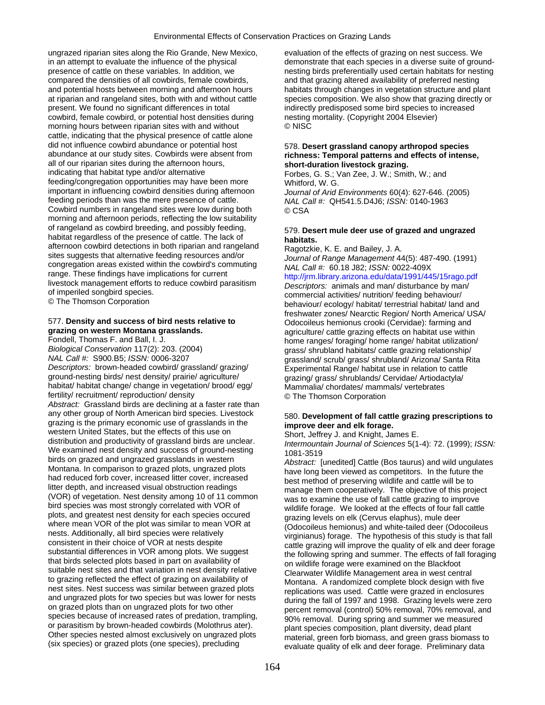ungrazed riparian sites along the Rio Grande, New Mexico, evaluation of the effects of grazing on nest success. We in an attempt to evaluate the influence of the physical demonstrate that each species in a diverse suite of ground-<br>presence of cattle on these variables. In addition, we example in esting birds preferentially used certain compared the densities of all cowbirds, female cowbirds, and potential hosts between morning and afternoon hours habitats through changes in vegetation structure and plant at riparian and rangeland sites, both with and without cattle species composition. We also show that grazing directly or present. We found no significant differences in total indirectly predisposed some bird species to increased cowbird, female cowbird, or potential host densities during nesting mortality. (Copyright 2004 Elsevier) morning hours between riparian sites with and without © NISC cattle, indicating that the physical presence of cattle alone did not influence cowbird abundance or potential host 578. Desert grassland canopy arthropod species<br>
abundance at our study sites. Cowbirds were absent from **Fichness: Temporal patterns and effects of intens** all of our riparian sites during the afternoon hours, **short-duration livestock grazing.**<br>
indicating that habitat type and/or alternative **Frankling** Forbes, G. S.: Van Zee, J. W.: Smit feeding/congregation opportunities may have been more Whitford, W. G.<br>important in influencing cowbird densities during afternoon *Journal of Arid* feeding periods than was the mere presence of cattle. *NAL Call #:* QH541.5.D4J6; *ISSN:* 0140-1963 Cowbird numbers in rangeland sites were low during both  $\odot$  CSA morning and afternoon periods, reflecting the low suitability of rangeland as cowbird breeding, and possibly feeding, 579. **Desert mule deer use of grazed and ungrazed** habitat regardless of the presence of cattle. The lack of **habitats.**  afternoon cowbird detections in both riparian and rangeland<br>sites suggests that alternative feeding resources and/or<br>congregation areas existed within the cowbird's commuting<br>range. These findings have implications for cur

Fondell, Thomas F. and Ball, I. J.<br>Biological Conservation 117(2): 203. (2004) entitled a ranges/ shrubland habitats/ cattle grazing relationship *Biological Conservation* 117(2): 203. (2004) grass/ shrubland habitats/ cattle grazing relationship/ *Descriptors:* brown-headed cowbird/ grassland/ grazing/<br>graving are experimental Range/ habitat use in relation to cattle<br>graving are experimental Range/ habitat use in relation to cattle<br>graving are experimental Range/ h habitat/ habitat change/ change in vegetation/ brood/ egg/ Mammalia/ chordates/ mammals/ vertebrates fertility/ recruitment/ reproduction/ density © The Thomson Corporation *Abstract:* Grassland birds are declining at a faster rate than any other group of North American bird species. Livestock grazing is the primary economic use of grasslands in the western United States, but the effects of this use on distribution and productivity of grassland birds are We examined nest density and success of ground-nesting  $1081-3519$ <br>birds on grazed and ungrazed grasslands in western  $46.4519$ birds on grazed and ungrazed grasslands in western<br>
Montana. In comparison to grazed plots, ungrazed plots<br>
had reduced forb cover, increased litter cover, increased<br>
litter depth, and increased visual obstruction readings

nesting birds preferentially used certain habitats for nesting<br>and that grazing altered availability of preferred nesting

# richness: Temporal patterns and effects of intense,

Forbes, G. S.; Van Zee, J. W.; Smith, W.; and Journal of Arid Environments 60(4): 627-646. (2005)

Transfer undings have implications for current <http://jrm.library.arizona.edu/data/1991/445/15rago.pdf><br>livestock management efforts to reduce cowbird parasitism<br>of imperiled songbird species.<br>
The Thomson Corporation<br>  $\degree$ freshwater zones/ Nearctic Region/ North America/ USA/ 577. **Density and success of bird nests relative to Odocoileus hemionus crooki (Cervidae): farming and grazing on western Montana grasslands.**<br>grazing on western Montana grasslands. **grazing on western Montana grasslands.** <br>Fondell, Thomas F. and Ball, I. J. **and Election** by the same ranges/ for aging/ home range/ habitat utilization/ grassland/ scrub/ grass/ shrubland/ Arizona/ Santa Rita grazing/ grass/ shrublands/ Cervidae/ Artiodactyla/

plots, and greatest nest density for each species occured<br>
where mean VOR at<br>
where the plot was similar to mean VOR at<br>
mests. Additionally, all bird species were relatively<br>
mests. Additionally, all bird species were rel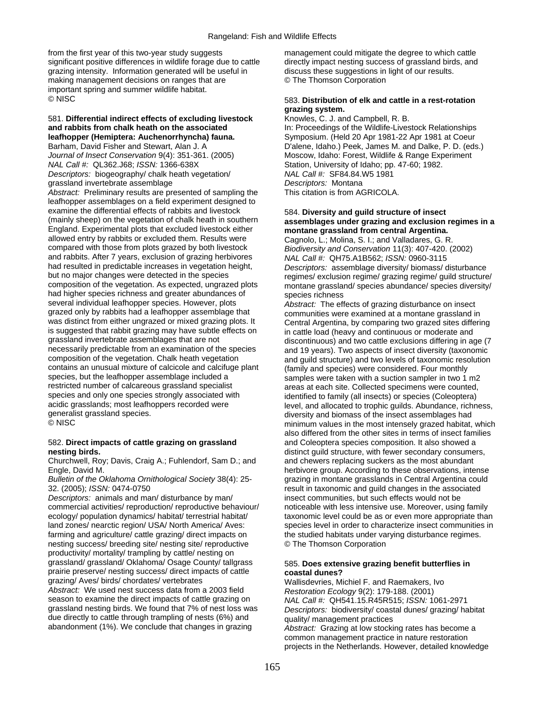from the first year of this two-year study suggests management could mitigate the degree to which cattle significant positive differences in wildlife forage due to cattle directly impact nesting success of grassland birds, and grazing intensity. Information generated will be useful in discuss these suggestions in light of our results. making management decisions on ranges that are © The Thomson Corporation important spring and summer wildlife habitat. © NISC 583. **Distribution of elk and cattle in a rest-rotation** 

### 581. **Differential indirect effects of excluding livestock** Knowles, C. J. and Campbell, R. B. **and rabbits from chalk heath on the associated** In: Proceedings of the Wildlife-Lives **leafhopper (Hemiptera: Auchenorrhyncha) fauna.** Symposium. (Held 20 Apr 1981-22 Apr 1981 at Coeur

*Journal of Insect Conservation* 9(4): 351-361. (2005) Moscow, Idaho: Forest, Wildlife & Range Experiment *NAL Call #:* QL362.J68; *ISSN:* 1366-638X Station, University of Idaho; pp. 47-60; 1982.<br>Descriptors: biogeography/ chalk heath vegetation/ *NAL Call #:* SF84.84.W5 1981 *Descriptors: biogeography/ chalk heath vegetation/* grassland invertebrate assemblage *Descriptors:* Montana

*Abstract:* Preliminary results are presented of sampling the This citation is from AGRICOLA. leafhopper assemblages on a field experiment designed to examine the differential effects of rabbits and livestock 584. **Diversity and guild structure of insect**  England. Experimental plots that excluded livestock either **montane grassland from central Argentina.**  allowed entry by rabbits or excluded them. Results were Cagnolo, L.; Molina, S. I.; and Valladares, G. R. compared with those from plots grazed by both livestock *Biodiversity and Conservation* 11(3): 407-420. (2002) and rabbits. After 7 years, exclusion of grazing herbivores *NAL Call #:* QH75.A1B562; *ISSN:* 0960-3115<br>had resulted in predictable increases in vegetation height, *Descriptors: assemblage diversity/ biomass/ c* had resulted in predictable increases in vegetation height, *Descriptors:* assemblage diversity/ biomass/ disturbance but no major changes were detected in the species regimes/ exclusion regime/ grazing regime/ guild structure/<br>composition of the vegetation. As expected, ungrazed plots montane grassland/ species abundance/ species diversi had higher species richness and greater abundances of species richness<br>several individual leafhopper species. However, plots abstract: The eff several individual leafhopper species. However, plots *Abstract:* The effects of grazing disturbance on insect grazed only by rabbits had a leafhopper assemblage that communities were examined at a montane grassland in<br>was distinct from either ungrazed or mixed grazing plots. It compared Argentina, by comparing two grazed sites dif was distinct from either ungrazed or mixed grazing plots. It Central Argentina, by comparing two grazed sites differing<br>is suggested that rabbit grazing may have subtle effects on in cattle load (heavy and continuous or mo is suggested that rabbit grazing may have subtle effects on in cattle load (heavy and continuous or moderate and<br>grassland invertebrate assemblages that are not discontinuous) and two cattle exclusions differing in a necessarily predictable from an examination of the species and 19 years). Two aspects of insect diversity (taxonomic<br>composition of the vegetation. Chalk heath vegetation<br>and quild structure) and two levels of taxonomic re contains an unusual mixture of calcicole and calcifuge plant (family and species) were considered. Four monthly<br>species, but the leafhopper assemblage included a<br>samples were taken with a suction sampler in two 1 species, but the leafhopper assemblage included a samples were taken with a suction sampler in two 1 m2<br>samples were counted restricted number of calcareous grassland specialist restricted number of calcareous grassland specialist areas at each site. Collected specimens were counted, represent species and only one species strongly associated with species and only one species strongly associated wi species and only one species strongly associated with identified to family (all insects) or species (Coleoptera)<br>insection of the identified to fronbic quilds. Abundance, richness recorded were acidic grasslands; most leafhoppers recorded were level, and allocated to trophic guilds. Abundance, richness,<br>diversity and biomass of the insect assemblages had

Churchwell, Roy; Davis, Craig A.; Fuhlendorf, Sam D.; and and chewers replacing suckers as the most abundant Engle, David M. herbivore group. According to these observations, intense

*Bulletin of the Oklahoma Ornithological Society* 38(4): 25- grazing in montane grasslands in Central Argentina could 32. (2005); *ISSN:* 0474-0750 result in taxonomic and guild changes in the associated

*Descriptors:* animals and man/ disturbance by man/ insect communities, but such effects would not be commercial activities/ reproduction/ reproductive behaviour/ noticeable with less intensive use. Moreover, using family ecology/ population dynamics/ habitat/ terrestrial habitat/ taxonomic level could be as or even more appropriate than land zones/ nearctic region/ USA/ North America/ Aves: species level in order to characterize insect communities in farming and agriculture/ cattle grazing/ direct impacts on the studied habitats under varying disturbance regimes. nesting success/ breeding site/ nesting site/ reproductive © The Thomson Corporation productivity/ mortality/ trampling by cattle/ nesting on grassland/ grassland/ Oklahoma/ Osage County/ tallgrass 585. **Does extensive grazing benefit butterflies in**  prairie preserve/ nesting success/ direct impacts of cattle **coastal dunes?**  grazing/ Aves/ birds/ chordates/ vertebrates Wallisdevries, Michiel F. and Raemakers, Ivo<br>Abstract: We used nest success data from a 2003 field Restoration Ecology 9(2): 179-188 (2001) *Abstract:* We used nest success data from a 2003 field *Restoration Ecology* 9(2): 179-188. (2001)

season to examine the direct impacts of cattle grazing on *NAL Call #:* QH541.15.R45R515; *ISSN:* 1061-2971 due directly to cattle through trampling of nests (6%) and quality/ management practices abandonment (1%). We conclude that changes in grazing *Abstract:* Grazing at low stocking rates has become a

## **grazing system.**

In: Proceedings of the Wildlife-Livestock Relationships Barham, David Fisher and Stewart, Alan J. A D'alene, Idaho.) Peek, James M. and Dalke, P. D. (eds.)

# assemblages under grazing and exclusion regimes in a

montane grassland/ species abundance/ species diversity/

discontinuous) and two cattle exclusions differing in age (7 and quild structure) and two levels of taxonomic resolution generalist grassland species.<br>
© NISC and biomass of the insect assemblages had<br>
minimum values in the most intensely grazed habitat minimum values in the most intensely grazed habitat, which also differed from the other sites in terms of insect families 582. **Direct impacts of cattle grazing on grassland** and Coleoptera species composition. It also showed a **nesting birds. distinct guild structure, with fewer secondary consumers,** distinct guild structure, with fewer secondary consumers,

Descriptors: biodiversity/ coastal dunes/ grazing/ habitat common management practice in nature restoration projects in the Netherlands. However, detailed knowledge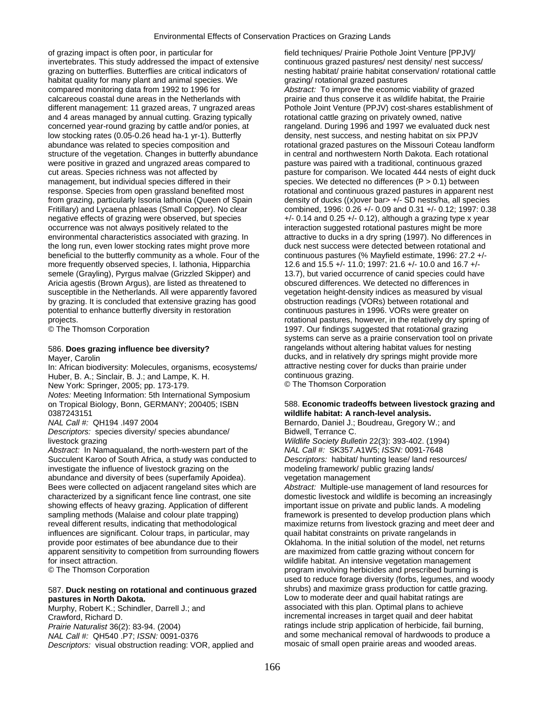of grazing impact is often poor, in particular for field techniques/ Prairie Pothole Joint Venture [PPJV]/ invertebrates. This study addressed the impact of extensive continuous grazed pastures/ nest density/ nest success/ grazing on butterflies. Butterflies are critical indicators of nesting habitat/ prairie habitat conservation/ rotational cattle habitat quality for many plant and animal species. We grazing/ rotational grazed pastures habitat quality for many plant and animal species. We compared monitoring data from 1992 to 1996 for *Abstract:* To improve the economic viability of grazed calcareous coastal dune areas in the Netherlands with prairie and thus conserve it as wildlife habitat, the Prairie different management: 11 grazed areas, 7 ungrazed areas Pothole Joint Venture (PPJV) cost-shares establishment of and 4 areas managed by annual cutting. Grazing typically rotational cattle grazing on privately owned, native concerned year-round grazing by cattle and/or ponies, at rangeland. During 1996 and 1997 we evaluated duck nest low stocking rates (0.05-0.26 head ha-1 yr-1). Butterfly density, nest success, and nesting habitat on six PPJV abundance was related to species composition and rotational grazed pastures on the Missouri Coteau landform structure of the vegetation. Changes in butterfly abundance in central and northwestern North Dakota. Each rotational were positive in grazed and ungrazed areas compared to pasture was paired with a traditional, continuous grazed cut areas. Species richness was not affected by pasture for comparison. We located 444 nests of eight duck management, but individual species differed in their species. We detected no differences ( $P > 0.1$ ) between response. Species from open grassland benefited most rotational and continuous grazed pastures in apparent nest<br>from grazing, particularly Issoria lathonia (Queen of Spain density of ducks ((x)over bar> +/- SD nests/ha, al negative effects of grazing were observed, but species  $+/- 0.14$  and 0.25 +/- 0.12), although a grazing type x year occurrence was not always positively related to the interaction suggested rotational pastures might be more environmental characteristics associated with grazing. In attractive to ducks in a dry spring (1997). No differences in the long run, even lower stocking rates might prove more duck nest success were detected between rotational and beneficial to the butterfly community as a whole. Four of the continuous pastures (% Mayfield estimate, 1996: 27.2 +/-<br>more frequently observed species, I. lathonia, Hipparchia 12.6 and 15.5 +/- 11.0; 1997: 21.6 +/- 10.0 a more frequently observed species, I. lathonia, Hipparchia semele (Grayling), Pyrgus malvae (Grizzled Skipper) and 13.7), but varied occurrence of canid species could have Aricia agestis (Brown Argus), are listed as threatened to obscured differences. We detected no differences in susceptible in the Netherlands. All were apparently favored vegetation height-density indices as measured by visual by grazing. It is concluded that extensive grazing has good obstruction readings (VORs) between rotational and potential to enhance butterfly diversity in restoration continuous pastures in 1996. VORs were greater on projects. rotational pastures, however, in the relatively dry spring of

In: African biodiversity: Molecules, organisms, ecosystems/ attractive nesting continuous grazing.<br>Huber B. A.: Sinclair B. J.: and Lampe K. H. continuous grazing. Huber, B. A.; Sinclair, B. J.; and Lampe, K. H. continuous grazing.<br>New York: Springer, 2005; pp. 173-179. Continuous grazing. Componention New York: Springer, 2005; pp. 173-179. *Notes:* Meeting Information: 5th International Symposium 0387243151 **wildlife habitat: A ranch-level analysis.** 

**Descriptors:** species diversity/ species abundance/ **Bidwell, Terrance C.** 

*Abstract:* In Namaqualand, the north-western part of the Succulent Karoo of South Africa, a study was conducted to *Descriptors:* habitat/ hunting lease/ land resources/ investigate the influence of livestock grazing on the modeling framework/ public grazing lands/ abundance and diversity of bees (superfamily Apoidea). vegetation management Bees were collected on adjacent rangeland sites which are *Abstract:* Multiple-use management of land resources for characterized by a significant fence line contrast, one site domestic livestock and wildlife is becoming an increasingly showing effects of heavy grazing. Application of different important issue on private and public lands. A modeling sampling methods (Malaise and colour plate trapping) framework is presented to develop production plans which reveal different results, indicating that methodological maximize returns from livestock grazing and meet deer and influences are significant. Colour traps, in particular, may quail habitat constraints on private rangelands in provide poor estimates of bee abundance due to their Oklahoma. In the initial solution of the model, net returns apparent sensitivity to competition from surrounding flowers are maximized from cattle grazing without concern for

### 587. Duck nesting on rotational and continuous grazed **pastures in North Dakota. Low to moderate deer and quail habitat ratings are**

Crawford, Richard D. Crawford, Richard D. incremental increases in target quail and deer habitat *Descriptors:* visual obstruction reading: VOR, applied and

density of ducks  $((x)$ over bar> +/- SD nests/ha, all species Fritillary) and Lycaena phlaeas (Small Copper). No clear combined, 1996: 0.26 +/- 0.09 and 0.31 +/- 0.12; 1997: 0.38 © The Thomson Corporation 1997. Our findings suggested that rotational grazing systems can serve as a prairie conservation tool on private 586. **Does grazing influence bee diversity?** rangelands without altering habitat values for nesting Mayer, Carolin Terms of the current of the contractive ducks, and in relatively dry springs might provide more<br>In: African biodiversity: Molecules organisms ecosystems/ attractive nesting cover for ducks than prairie under

## on Tropical Biology, Bonn, GERMANY; 200405; ISBN 588. **Economic tradeoffs between livestock grazing and**

*NAL Call #:* QH194 .I497 2004 Bernardo, Daniel J.; Boudreau, Gregory W.; and

livestock grazing *Wildlife Society Bulletin* 22(3): 393-402. (1994)

for insect attraction. wildlife habitat. An intensive vegetation management program involving herbicides and prescribed burning is used to reduce forage diversity (forbs, legumes, and woody shrubs) and maximize grass production for cattle grazing. Murphy, Robert K.; Schindler, Darrell J.; and associated with this plan. Optimal plans to achieve Prairie Naturalist 36(2): 83-94. (2004) ratings include strip application of herbicide, fail burning, *NAL Call #:* QH540 .P7; *ISSN:* 0091-0376 **and Some mechanical removal of hardwoods to produce a<br>Descriptors: visual obstruction reading: VOR applied and <b>mosaic of small open prairie areas and wooded areas**.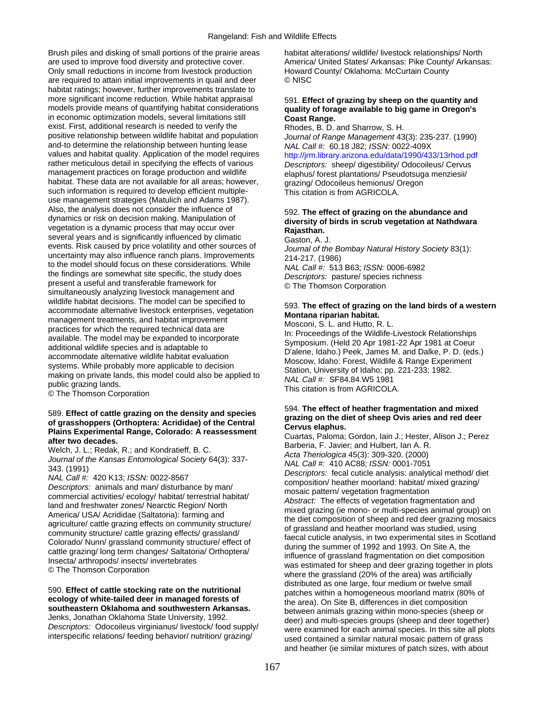Brush piles and disking of small portions of the prairie areas habitat alterations/ wildlife/ livestock relationships/ North are used to improve food diversity and protective cover. America/ United States/ Arkansas: Pike County/ Arkansas: Only small reductions in income from livestock production Howard County/ Oklahoma: McCurtain County are required to attain initial improvements in quail and deer © NISC habitat ratings; however, further improvements translate to more significant income reduction. While habitat appraisal 591. **Effect of grazing by sheep on the quantity and**<br>models provide means of quantifying habitat considerations **aughty of forage available to big game in Oregon'** in economic optimization models, several limitations still **Coast Range.**<br>
exist. First, additional research is needed to verify the **Rhodes, B. D. and Sharrow, S. H.** exist. First, additional research is needed to verify the positive relationship between wildlife habitat and population and-to determine the relationship between hunting lease *NAL Call #:* 60.18 J82; *ISSN:* 0022-409X rather meticulous detail in specifying the effects of various *Descriptors:* sheep/ digestibility/ Odocoileus/ Cervus management practices on forage production and wildlife elaphus/ forest plantations/ Pseudotsuga menziesii/ habitat. These data are not available for all areas; however, arazing/ Odocoileus hemionus/ Oregon such information is required to develop efficient multiple-<br>
This citation is from AGRICOLA. use management strategies (Matulich and Adams 1987). Also, the analysis does not consider the influence of<br>dynamics or risk on decision making. Manipulation of<br>vegetation is a dynamic process that may occur over<br>several years and is significantly influenced by climatic<br>event to the model should focus on these considerations. While<br>the findings are somewhat site specific, the study does<br>present a useful and transferable framework for<br>simultaneously analyzing livestock management and<br> $\odot$  The T wildlife habitat decisions. The model can be specified to<br>accommodate alternative livestock enterprises, vegetation<br>management treatments, and habitat.<br>practices for which the required technical data are<br>available. The mod

# quality of forage available to big game in Oregon's

Journal of Range Management 43(3): 235-237. (1990) http://jrm.library.arizona.edu/data/1990/433/13rhod.pdf

599. Effect of cattle grazing on the density and species<br>
Fractic of passing on the dentity and species<br>
Fractic Cervus elabited of sheep Dvis aries and red deer<br>
Flains Experimental Range, Colorado; A reassessment<br>
The Ce distributed as one large, four medium or twelve small 590. Effect of cattle stocking rate on the nutritional<br>
ecology of white-tailed deer in managed forests of<br>
southeastern Oklahoma and southwestern Arkansas.<br>
Jenks, Jonathan Oklahoma State University, 1992.<br>
Descriptors: O and heather (ie similar mixtures of patch sizes, with about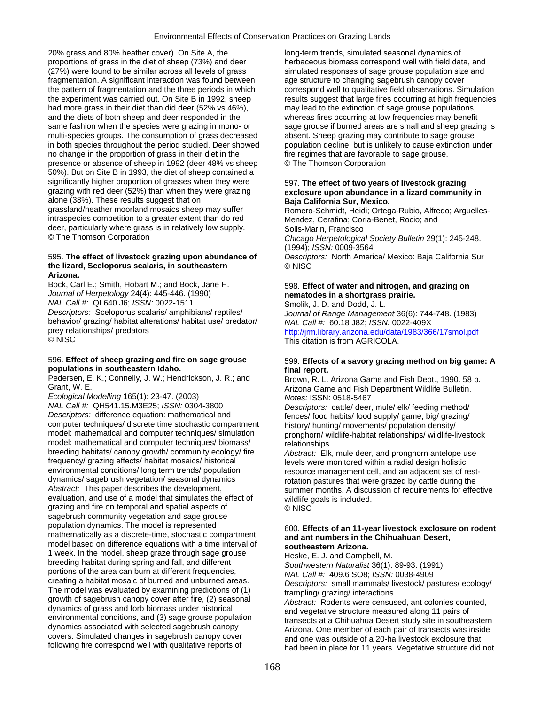20% grass and 80% heather cover). On Site A, the long-term trends, simulated seasonal dynamics of proportions of grass in the diet of sheep (73%) and deer herbaceous biomass correspond well with field data, and<br>(27%) were found to be similar across all levels of grass simulated responses of sage grouse population size fragmentation. A significant interaction was found between age structure to changing sagebrush canopy cover the pattern of fragmentation and the three periods in which correspond well to qualitative field observations. Simulation the experiment was carried out. On Site B in 1992, sheep results suggest that large fires occurring at high frequencies had more grass in their diet than did deer (52% vs 46%), may lead to the extinction of sage grouse populations, and the diets of both sheep and deer responded in the whereas fires occurring at low frequencies may benefit same fashion when the species were grazing in mono- or sage grouse if burned areas are small and sheep grazing is multi-species groups. The consumption of grass decreased absent. Sheep grazing may contribute to sage grouse in both species throughout the period studied. Deer showed population decline, but is unlikely to cause extinction under no change in the proportion of grass in their diet in the fire regimes that are favorable to sage grouse. presence or absence of sheep in 1992 (deer 48% vs sheep © The Thomson Corporation 50%). But on Site B in 1993, the diet of sheep contained a significantly higher proportion of grasses when they were 597. **The effect of two years of livestock grazing** grazing **grazing in a straig of livestock grazing grazing in a lizard community** alone (38%). These results suggest that on **Baja California Sur, Mexico.**<br>
grassland/heather moorland mosaics sheep may suffer **Bomero-Schmidt Heidi: Orteg** intraspecies competition to a greater extent than do red Mendez, Cerafina; Coria-Benet, Rocio; and deer, particularly where grass is in relatively low supply. Solis-Marin, Francisco<br>© The Thomson Corporation (Chicago Herpetologica

### 595. **The effect of livestock grazing upon abundance of** *Descriptors:* North America/ Mexico: Baja California Sur **the lizard, Sceloporus scalaris, in southeastern** © NISC **Arizona.**

Bock, Carl E.; Smith, Hobart M.; and Bock, Jane H. 598. **Effect of water and nitrogen, and grazing on**  *Journal of Herpetology* 24(4): 445-446. (1990) **nematodes in a shortgrass prairie.**  *NAL Call #:* QL640.J6; *ISSN:* 0022-1511 Smolik, J. D. and Dodd, J. L.<br>Descriptors: Sceloporus scalaris/ amphibians/ reptiles/ *Journal of Range Manageme* behavior/ grazing/ habitat alterations/ habitat use/ predator/ prev relationships/ predators prey relationships/ predators http://jrm.library.arizona.edu/data/1983/366/17smol.pdf<br>
© NISC http://jrm.library.arizona.edu/data/1983/366/17smol.pdf

### 596. **Effect of sheep grazing and fire on sage grouse** 599. **Effects of a savory grazing method on big game: A**  populations in southeastern Idaho. **Final report.** *populations* in southeastern Idaho.

Pedersen, E. K.; Connelly, J. W.; Hendrickson, J. R.; and Brown, R. L. Arizona Game and Fish Dept., 1990. 58 p.<br>Grant, W. E. Stripper and Fish Department Wildlife Bulletin

*Ecological Modelling* 165(1): 23-47. (2003) *Notes:* ISSN: 0518-5467 *NAL Call #:* QH541.15.M3E25; *ISSN:* 0304-3800 *Descriptors:* cattle/ deer, mule/ elk/ feeding method/ computer techniques/ discrete time stochastic compartment history/ hunting/ movements/ population density/<br>model: mathematical and computer techniques/ simulation proponency wildlife-habitat relationships/ wildlife-li model: mathematical and computer techniques/ biomass/ breeding habitats/ canopy growth/ community ecology/ fire *Abstract:* Elk, mule deer, and pronghorn antelope use frequency/ grazing effects/ habitat mosaics/ historical levels were monitored within a radial design holistic<br>
environmental conditions/ long term trends/ population resource management cell and an adjacent set of re environmental conditions/ long term trends/ population resource management cell, and an adjacent set of rest-<br>dynamics/ sagebrush vegetation/ seasonal dynamics respectively resource management cell, and an adjacent set o dynamics/ sagebrush vegetation/ seasonal dynamics exacts rotation pastures that were grazed by cattle during the<br>Abstract: This paper describes the development, exacts rotation pastures that were grazed by cattle during th evaluation, and use of a model that simulates the effect of wildlife goals is included.<br>grazing and fire on temporal and spatial aspects of  $\otimes$  NISC grazing and fire on temporal and spatial aspects of sagebrush community vegetation and sage grouse population dynamics. The model is represented<br>mathematically as a discrete-time, stochastic compartment<br>model based on difference equations with a time interval of<br>southeastern Arizona. 1 week. In the model, sheep graze through sage grouse<br>
breeding habitat during spring and fall, and different<br>
portions of the area can burn at different frequencies,<br>
creating a habitat mosaic of burned and unburned areas creating a habitat mosaic of burned and unburned areas.<br>
The model was evaluated by examining predictions of (1)<br>
growth of sagebrush canopy cover after fire, (2) seasonal<br>
dynamics of grass and forb biomass under historic

simulated responses of sage grouse population size and

# exclosure upon abundance in a lizard community in

Romero-Schmidt, Heidi; Ortega-Rubio, Alfredo; Arguelles-Chicago Herpetological Society Bulletin 29(1): 245-248. (1994); *ISSN:* 0009-3564

*Journal of Range Management* 36(6): 744-748. (1983)<br>NAL Call #: 60.18 J82; *ISSN:* 0022-409X This citation is from AGRICOLA.

Arizona Game and Fish Department Wildlife Bulletin.

fences/ food habits/ food supply/ game, big/ grazing/ pronghorn/ wildlife-habitat relationships/ wildlife-livestock

summer months. A discussion of requirements for effective

covers. Simulated changes in sagebrush canopy cover<br>following fire correspond well with qualitative reports of had been in place for 11 years. Vegetative structure did not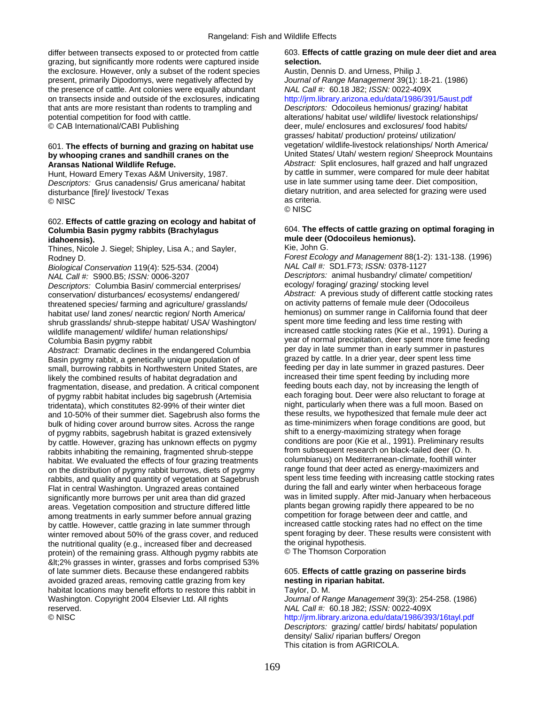differ between transects exposed to or protected from cattle 603. **Effects of cattle grazing on mule deer diet and area**  grazing, but significantly more rodents were captured inside **selection.**  the exclosure. However, only a subset of the rodent species Austin, Dennis D. and Urness, Philip J.<br>
present, primarily Dipodomys, were negatively affected by Journal of Range Management 39(1): 18-21. (1986) present, primarily Dipodomys, were negatively affected by the presence of cattle. Ant colonies were equally abundant *NAL Call #:* 60.18 J82; *ISSN:* 0022-409X on transects inside and outside of the exclosures, indicating <http://jrm.library.arizona.edu/data/1986/391/5aust.pdf> that ants are more resistant than rodents to trampling and *Descriptors:* Odocoileus hemionus/ grazing/ habitat potential competition for food with cattle.  $\qquad \qquad$  alterations/ habitat use/ wildlife/ livestock relationships/ © CAB International/CABI Publishing deer, mule/ enclosures and exclosures/ food habits/

### 601. **The effects of burning and grazing on habitat use** vegetation/ wildlife-livestock relationships/ North America/ by whooping cranes and sandhill cranes on the **Aransas National Wildlife Refuge.** *Abstract:* Split enclosures, half grazed and half ungrazed

*Descriptors:* Grus canadensis/ Grus americana/ habitat use in late summer using tame deer. Diet composition, © NISC as criteria.

### 602. **Effects of cattle grazing on ecology and habitat of idahoensis).** This is the control of the multiple of the multiple deer (Odocoileus hemionus).<br>Thines Nicole I Siegel: Shipley Lisa A : and Sayler Kie, John G.

Thines, Nicole J. Siegel; Shipley, Lisa A.; and Sayler,

*Biological Conservation* 119(4): 525-534. (2004) *NAL Call #:* S900.B5; *ISSN:* 0006-3207 *Descriptors:* animal husbandry/ climate/ competition/ conservation/ disturbances/ ecosystems/ endangered/ *Abstract:* A previous study of different cattle stocking<br>threatened species/ farming and agriculture/ grasslands/ on activity patterns of female mule deer (Odocoileus threatened species/ farming and agriculture/ grasslands/ on activity patterns of female mule deer (Odocoileus<br>habitat use/ land zones/ nearctic region/ North America/ hemionus) on summer range in California found that deer habitat use/ land zones/ nearctic region/ North America/ hemionus) on summer range in California found the<br>shrub grasslands/ shrub-steppe habitat/ USA/ Washington/ spent more time feeding and less time resting with shrub grasslands/ shrub-steppe habitat/ USA/ Washington/ wildlife management/ wildlife/ human relationships/ increased cattle stocking rates (Kie et al., 1991). During a

*Abstract:* Dramatic declines in the endangered Columbia **per day in late summer than in early summer in pastu**<br>Basin pygmy rabbit, a genetically unique population of grazed by cattle. In a drier year, deer spent less time Basin pygmy rabbit, a genetically unique population of grazed by cattle. In a drier year, deer spent less time<br>small, burrowing rabbits in Northwestern United States, are feeding per day in late summer in grazed pastures. small, burrowing rabbits in Northwestern United States, are feeding per day in late summer in grazed pastures. D<br>likely the combined results of habitat degradation and increased their time spent feeding by including more likely the combined results of habitat degradation and increased their time spent feeding by including more<br>
fragmentation disease and predation A critical component feeding bouts each day, not by increasing the length of fragmentation, disease, and predation. A critical component feeding bouts each day, not by increasing the length of<br>The monor rabbit habitat includes big sagebrush (Artemisia feach foraging bout. Deer were also reluctant t of pygmy rabbit habitat includes big sagebrush (Artemisia each foraging bout. Deer were also reluctant to forage at<br>tridentata) which constitutes 82-99% of their winter diet night, particularly when there was a full moon. tridentata), which constitutes 82-99% of their winter diet night, particularly when there was a full moon. Based on<br>and 10-50% of their summer diet. Sagebrush also forms the these results, we hypothesized that female mule and 10-50% of their summer diet. Sagebrush also forms the these results, we hypothesized that female mule deer act<br>bulk of hiding cover around burrow sites. Across the range as time-minimizers when forage conditions are go bulk of hiding cover around burrow sites. Across the range and as time-minimizers when forage conditions are go<br>of pygmy rabbits, sagebrush habitat is grazed extensively shift to a energy-maximizing strategy when forage of pygmy rabbits, sagebrush habitat is grazed extensively shift to a energy-maximizing strategy when forage<br>by cattle, However, grazing has unknown effects on pygmy conditions are poor (Kie et al., 1991). Preliminary resul by cattle. However, grazing has unknown effects on pygmy conditions are poor (Kie et al., 1991). Preliminary results rabbits inhabiting the remaining fragmented shrub-steppe from subsequent research on black-tailed deer (O rabbits inhabiting the remaining, fragmented shrub-steppe from subsequent research on black-tailed deer (O. h.<br>habitat, We evaluated the effects of four grazing treatments columbianus) on Mediterranean-climate, foothill wi habitat. We evaluated the effects of four grazing treatments columbianus) on Mediterranean-climate, foothill winter<br>on the distribution of pygmy rabbit burrows, diets of pygmy range found that deer acted as energy-maximize on the distribution of pygmy rabbit burrows, diets of pygmy range found that deer acted as energy-maximizers and<br>rabbits, and quality and quantity of vegetation at Sagebrush spent less time feeding with increasing cattle s rabbits, and quality and quantity of vegetation at Sagebrush spent less time feeding with increasing cattle stocking ra<br>Flat in central Washington, Ungrazed areas contained during the fall and early winter when herbaceous Flat in central Washington. Ungrazed areas contained during the fall and early winter when herbaceous forage<br>
significantly more burrows per unit area than did grazed was in limited supply. After mid-January when herbaceou significantly more burrows per unit area than did grazed was in limited supply. After mid-January when herbace<br>The plants began arowing rapidly there appeared to be no<br>areas. Vegetation composition and structure differed l areas. Vegetation composition and structure differed little plants began growing rapidly there appeared to be n<br>among treatments in early summer before annual grazing competition for forage between deer and cattle, and among treatments in early summer before annual grazing competition for forage between deer and cattle, and<br>by cattle, However, cattle grazing in late summer through increased cattle stocking rates had no effect on the time by cattle. However, cattle grazing in late summer through increased cattle stocking rates had no effect on the time<br>winter removed about 50% of the grass cover, and reduced spent foraging by deer. These results were consis winter removed about 50% of the grass cover, and reduced spent foraging by deer.<br>the putritional quality (e.g., increased fiber and decreased the original hypothesis. the nutritional quality (e.g., increased fiber and decreased the original hypothesis.<br>
protein) of the remaining grass. Although pygmy rabbits ate Che Thomson Corporation protein) of the remaining grass. Although pygmy rabbits ate <2% grasses in winter, grasses and forbs comprised 53% of late summer diets. Because these endangered rabbits 605. **Effects of cattle grazing on passerine birds**  avoided grazed areas, removing cattle grazing from key **nesting in riparian habitat.**  habitat locations may benefit efforts to restore this rabbit in Taylor, D. M. Washington. Copyright 2004 Elsevier Ltd. All rights *Journal of Range Management* 39(3): 254-258. (1986) reserved. *NAL Call #:* 60.18 J82; *ISSN:* 0022-409X

grasses/ habitat/ production/ proteins/ utilization/

Hunt, Howard Emery Texas A&M University, 1987. by cattle in summer, were compared for mule deer habitat disturbance [fire]/ livestock/ Texas dietary nutrition, and area selected for grazing were used

© NISC

## **Columbia Basin pygmy rabbits (Brachylagus** 604. **The effects of cattle grazing on optimal foraging in**

Rodney D. *Forest Ecology and Management* 88(1-2): 131-138. (1996) *Descriptors:* Columbia Basin/ commercial enterprises/ ecology/ foraging/ grazing/ stocking level Columbia Basin pygmy rabbit<br>Abstract: Dramatic declines in the endangered Columbia expendition per day in late summer than in early summer in pastures

© NISC <http://jrm.library.arizona.edu/data/1986/393/16tayl.pdf> *Descriptors:* grazing/ cattle/ birds/ habitats/ population density/ Salix/ riparian buffers/ Oregon This citation is from AGRICOLA.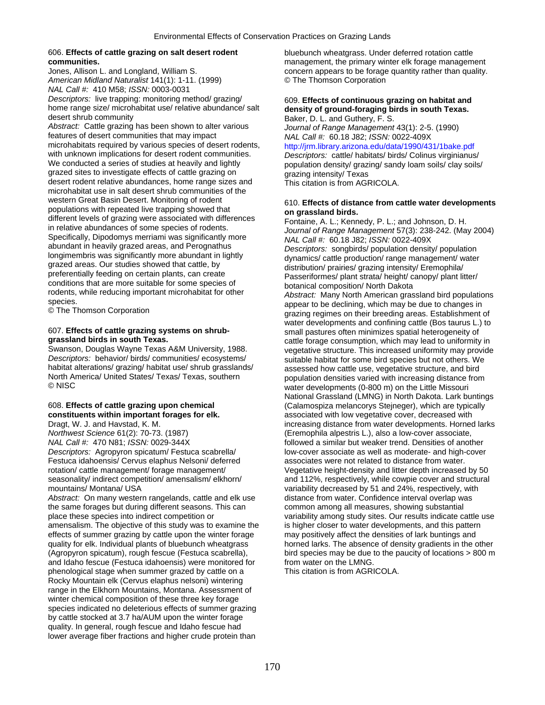## 606. **Effects of cattle grazing on salt desert rodent** bluebunch wheatgrass. Under deferred rotation cattle

*American Midland Naturalist* 141(1): 1-11. (1999) © The Thomson Corporation *NAL Call #:* 410 M58; *ISSN:* 0003-0031 *Descriptors:* live trapping: monitoring method/ grazing/ 609. **Effects of continuous grazing on habitat and** home range size/ microhabitat use/ relative abundance/ salt density of ground-foraging birds in south Texas. home range size/ microhabitat use/ relative abundance/ salt **density of ground-foraging birds in south Texas.**<br>**Baker, D. L. and Guthery, F. S.** 

desert shrub community<br>Abstract: Cattle grazing has been shown to alter various *Baker*, D. L. and Guthery, F. S. features of desert communities that may impact *NAL Call #:* 60.18 J82; *ISSN:* 0022-409X microhabitats required by various species of desert rodents, http://jrm.library.arizona.edu/data/1990/431/1bake.pdf<br>with unknown implications for desert rodent communities. Descriptors: cattle/ habitats/ birds/ Colinus vir with unknown implications for desert rodent communities.<br>We conducted a series of studies at heavily and lightly **process of processity and an** andy loam soils/ clay soils grazed sites to investigate effects of cattle grazing on grazing intensity/ Texas<br>desert rodent relative abundances, home range sizes and This citation is from AGRICOLA. desert rodent relative abundances, home range sizes and microhabitat use in salt desert shrub communities of the western Great Basin Desert. Monitoring of rodent populations with repeated live trapping showed that different levels of grazing were associated with differences in relative abundances of some species of rodents.<br>
Specific

habitat alterations/ grazing/ habitat use/ shrub grasslands/ assessed how cattle use, vegetative structure, and bird North America/ United States/ Texas/ Texas, southern population densities varied with increasing distance from<br>© NISC price in the Little Missouri

Festuca idahoensis/ Cervus elaphus Nelsoni/ deferred

*Abstract:* On many western rangelands, cattle and elk use distance from water. Confidence interval overlap was the same forages but during different seasons. This can common among all measures, showing substantial place these species into indirect competition or variability among study sites. Our results indicate cattle use amensalism. The objective of this study was to examine the is higher closer to water developments, and this pattern effects of summer grazing by cattle upon the winter forage may positively affect the densities of lark buntings and quality for elk. Individual plants of bluebunch wheatgrass horned larks. The absence of density gradients quality for elk. Individual plants of bluebunch wheatgrass horned larks. The absence of density gradients in the other<br>(Agropyron spicatum), rough fescue (Festuca scabrella), bird species may be due to the paucity of locat and Idaho fescue (Festuca idahoensis) were monitored for from water on the LMNG. phenological stage when summer grazed by cattle on a This citation is from AGRICOLA. Rocky Mountain elk (Cervus elaphus nelsoni) wintering range in the Elkhorn Mountains, Montana. Assessment of winter chemical composition of these three key forage species indicated no deleterious effects of summer grazing by cattle stocked at 3.7 ha/AUM upon the winter forage quality. In general, rough fescue and Idaho fescue had lower average fiber fractions and higher crude protein than

**communities. communities. now the primary winter elk forage management** Jones, Allison L. and Longland, William S. Concern appears to be forage quantity rather than quality.

Journal of Range Management 43(1): 2-5. (1990) population density/ grazing/ sandy loam soils/ clay soils/ grazing intensity/ Texas

abundant in heavily grazed areas, and Perognathus<br>
longimembris was significantly more abundant in lightly<br>
grazed areas. Our studies showed that cattle, by<br>
preferentially feeding on certain plants, can create<br>
conditions water developments and confining cattle (Bos taurus L.) to 607. **Effects of cattle grazing systems on shrub-** small pastures often minimizes spatial heterogeneity of grassland birds in south Texas.<br>
Swanson, Douglas Wayne Texas A&M University, 1988. **cattle forage consumption, which may lead to uniformity may provide** Swanson, Douglas Wayne Texas A&M University, 1988. vegetative structure. This increased uniformity may provide<br>Descriptors: behavior/ birds/ communities/ ecosystems/<br>suitable habitat for some bird species but not others. W suitable habitat for some bird species but not others. We water developments (0-800 m) on the Little Missouri National Grassland (LMNG) in North Dakota. Lark buntings 608. **Effects of cattle grazing upon chemical** (Calamospiza melancorys Stejneger), which are typically associated with low vegetative cover, decreased with Dragt, W. J. and Havstad, K. M. increasing distance from water developments. Horned larks *Northwest Science* 61(2): 70-73. (1987) (Eremophila alpestris L.), also a low-cover associate, *NAL Call #:* 470 N81; *ISSN:* 0029-344X followed a similar but weaker trend. Densities of another *Descriptors:* Agropyron spicatum/ Festuca scabrella/ low-cover associate as well as moderate- and high-cover **Festuca idahoensis/ Cervus elaphus Nelsoni/ deferred** associates were not related to distance from water. rotation/ cattle management/ forage management/ vegetative height-density and litter depth increased by 50 seasonality/ indirect competition/ amensalism/ elkhorn/ and 112%, respectively, while cowpie cover and structural mountains/ Montana/ USA variability decreased by 51 and 24%, respectively, with bird species may be due to the paucity of locations > 800 m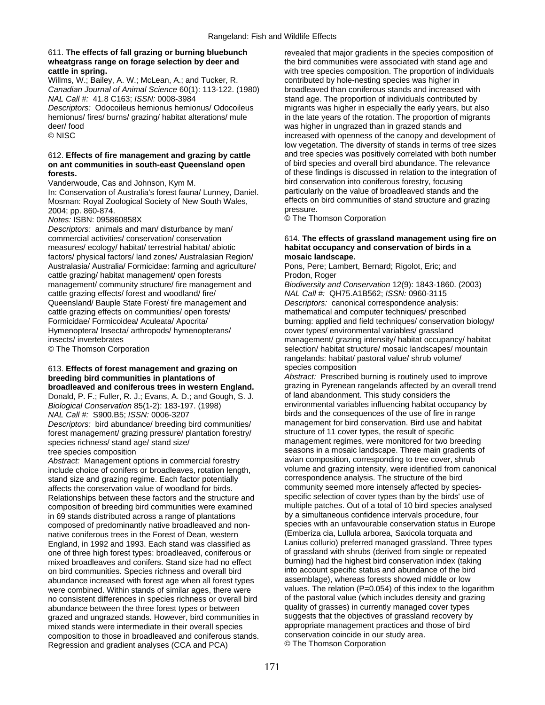Willms, W.; Bailey, A. W.; McLean, A.; and Tucker, R. contributed by hole-nesting species was higher in *Canadian Journal of Animal Science* 60(1): 113-122. (1980) broadleaved than coniferous stands and increased with *NAL Call #:* 41.8 C163; *ISSN:* 0008-3984 stand age. The proportion of individuals contributed by

deer/ food was higher in ungrazed than in grazed stands and

# on ant communities in south-east Queensland open

In: Conservation of Australia's forest fauna/ Lunney, Daniel. Mosman: Royal Zoological Society of New South Wales, effects on bird communities of stand structure and grazing<br>
2004: pp. 860-874<br>
2004: pp. 860-874 2004; pp. 860-874.

*Descriptors:* animals and man/ disturbance by man/ measures/ ecology/ habitat/ terrestrial habitat/ abiotic **habitat occupancy and conservation of birds in a**  factors/ physical factors/ land zones/ Australasian Region/ **mosaic landscape.**  Australasia/ Australia/ Formicidae: farming and agriculture/ Pons, Pere; Lambert, Bernard; Rigolot, Eric; and cattle grazing/ habitat management/ open forests **Prodon, Roger** management/ community structure/ fire management and *Biodiversity and Conservation* 12(9): 1843-1860. (2003) cattle grazing effects/ forest and woodland/ fire/ *NAL Call #:* QH75.A1B562; *ISSN:* 0960-3115 Queensland/ Bauple State Forest/ fire management and *Descriptors:* canonical correspondence analysis: cattle grazing effects on communities/ open forests/ mathematical and computer techniques/ prescribed Hymenoptera/ Insecta/ arthropods/ hymenopterans/ cover types/ environmental variables/ grassland

# 613. **Effects of forest management and grazing on** species composition

Donald, P. F.; Fuller, R. J.; Evans, A. D.; and Gough, S. J. of land abandonment. This study considers the<br>Biological Conservation 85(1-2): 183-197 (1998) environmental variables influencing habitat occupancy by *Biological Conservation* 85(1-2): 183-197. (1998) *NAL Call #:* S900.B5; *ISSN:* 0006-3207 birds and the consequences of the use of fire in range *Descriptors:* bird abundance/ breeding bird communities/ management for bird conservation. Bird use and forest unit of specific interest management/ or azing pressure/ plantation forestry/ structure of 11 cover types, the forest management/ grazing pressure/ plantation forestry/ species richness/ stand age/ stand size/ management regimes, were monitored for two breeding

*Abstract:* Management options in commercial forestry stand size and grazing regime. Each factor potentially express correspondence analysis. The structure of the bird<br>affects the conservation value of woodland for birds community seemed more intensely affected by speciesaffects the conservation value of woodland for birds.<br>Relationships between these factors and the structure and specific selection of cover types than by the birds' use of Relationships between these factors and the structure and specific selection of cover types than by the birds' use of<br>composition of breeding bird communities were examined multiple patches. Out of a total of 10 bird speci composition of breeding bird communities were examined multiple patches. Out of a total of 10 bird species analy<br>in 69 stands distributed across a range of plantations by a simultaneous confidence intervals procedure, four in 69 stands distributed across a range of plantations native coniferous trees in the Forest of Dean, western (Emberiza cia, Lullula arborea, Saxicola torquata and<br>Fordland, in 1992 and 1993. Fach stand was classified as Lanius collurio) preferred managed grassland. Three type England, in 1992 and 1993. Each stand was classified as Lanius collurio) preferred managed grassland. Three types<br>One of three high forest types: broadleaved, coniferous or of grassland with shrubs (derived from single or one of three high forest types: broadleaved, coniferous or of grassland with shrubs (derived from single or repeated<br>mixed broadleaves and conifers. Stand size had no effect burning) had the highest bird conservation index mixed broadleaves and conifers. Stand size had no effect burning) had the highest bird conservation index (taking<br>on bird communities. Species richness and overall bird into account specific status and abundance of the bir on bird communities. Species richness and overall bird into account specific status and abundance of the bird<br>abundance increased with forest age when all forest types assemblage), whereas forests showed middle or low abundance increased with forest age when all forest types were combined. Within stands of similar ages, there were values. The relation (P=0.054) of this index to the logarithm<br>no consistent differences in species richness or overall bird of the pastoral value (which includes den no consistent differences in species richness or overall bird of the pastoral value (which includes density and gra<br>abundance between the three forest types or between quality of grasses) in currently managed cover types abundance between the three forest types or between quality of grasses) in currently managed cover types<br>
grazed and ungrazed stands. However, bird communities in suggests that the objectives of grassland recovery by grazed and ungrazed stands. However, bird communities in suggests that the objectives of grassland recovery by<br>mixed stands were intermediate in their overall species appropriate management practices and those of bird mixed stands were intermediate in their overall species and appropriate management practices and those in broadleaved and coniferous stands<br>composition to those in broadleaved and coniferous stands conservation coincide in composition to those in broadleaved and coniferous stands. conservation coincide in our study area.<br>Regression and gradient analyses (CCA and PCA) Canno Carp Che Thomson Corporation Regression and gradient analyses (CCA and PCA)

611. **The effects of fall grazing or burning bluebunch** revealed that major gradients in the species composition of **wheatgrass range on forage selection by deer and** the bird communities were associated with stand age and **cattle in spring. cattle in spring. with tree species composition. The proportion of individuals** *Descriptors:* Odocoileus hemionus hemionus/ Odocoileus migrants was higher in especially the early years, but also hemionus/ fires/ burns/ grazing/ habitat alterations/ mule in the late years of the rotation. The proportion of migrants © NISC increased with openness of the canopy and development of low vegetation. The diversity of stands in terms of tree sizes 612. **Effects of fire management and grazing by cattle** and tree species was positively correlated with both number **forests. of these findings is discussed in relation to the integration of** Vanderwoude, Cas and Johnson, Kym M. bird conservation into coniferous forestry, focusing particularly on the value of broadleaved stands and the

*Notes:* ISBN: 095860858X © The Thomson Corporation

# commercial activities/ conservation/ conservation 614. **The effects of grassland management using fire on**

Formicidae/ Formicoidea/ Aculeata/ Apocrita/ burning: applied and field techniques/ conservation biology/ insects/ invertebrates management/ grazing intensity/ habitat occupancy/ habitat © The Thomson Corporation selection/ habitat structure/ mosaic landscapes/ mountain rangelands: habitat/ pastoral value/ shrub volume/

**breeding bird communities in plantations of** *Abstract:* **Prescribed burning is routinely used to improve broadleaved and coniferous trees in western England. The grazing in Pyrenean rangelands affected by an overall trend broadleaved and coniferous trees in western England.** <sup>grazing</sup> in Pyrenean rangelands affected by an overall trend founds a proportion of land abandonment. This study considers the tree species composition<br>
Abstract: Management options in commercial forestry<br>
Abstract: Management options in commercial forestry<br>
avian composition, corresponding to tree cover, shrub include choice of conifers or broadleaves, rotation length, volume and grazing intensity, were identified from canonical<br>stand size and grazing regime. Fach factor potentially correspondence analysis. The structure of the composed of predominantly native broadleaved and non-<br>
species with an unfavourable conservation status in Europe<br>
(Emberiza cia, Lullula arborea, Saxicola torquata and<br>
(Emberiza cia, Lullula arborea, Saxicola torquata an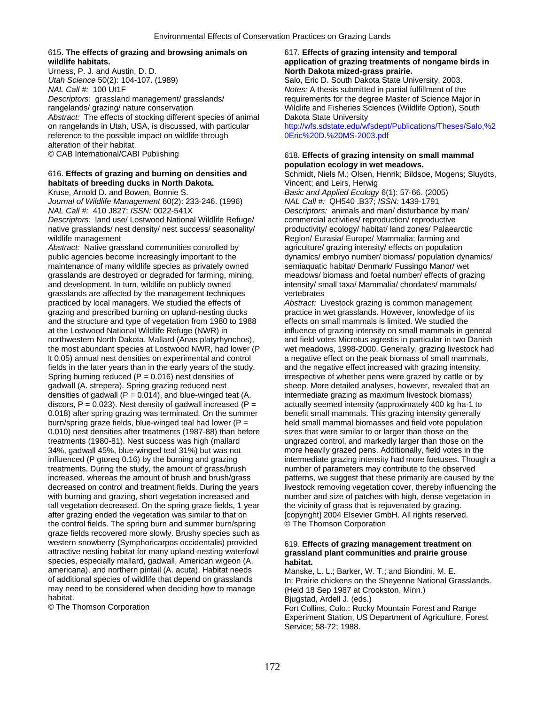## 615. **The effects of grazing and browsing animals on** 617. **Effects of grazing intensity and temporal**

*Utah Science* 50(2): 104-107. (1989) Salo, Eric D. South Dakota State University, 2003. *NAL Call #:* 100 Ut1F *Notes:* A thesis submitted in partial fulfillment of the *Descriptors:* grassland management/ grasslands/ requirements for the degree Master of Science Major in rangelands/ grazing/ nature conservation Wildlife and Fisheries Sciences (Wildlife Option), South *Abstract:* The effects of stocking different species of animal Dakota State University on rangelands in Utah, USA, is discussed, with particular [http://wfs.sdstate.edu/wfsdept/Publications/Theses/Salo,%2](http://wfs.sdstate.edu/wfsdept/Publications/Theses/Salo,%20Eric%20D.%20MS-2003.pdf)<br>reference to the possible impact on wildlife through 0Eric%20D.%20MS-2003.pdf reference to the possible impact on wildlife through alteration of their habitat. © CAB International/CABI Publishing 618. **Effects of grazing intensity on small mammal** 

## **habitats of breeding ducks in North Dakota. Vincent; and Leirs, Herwig**

*Journal of Wildlife Management* 60(2): 233-246. (1996)<br>*NAL Call #:* 410 J827; *ISSN:* 0022-541X

*Descriptors:* land use/ Lostwood National Wildlife Refuge/ commercial activities/ reproduction/ reproductive native grasslands/ nest density/ nest success/ seasonality/ productivity/ ecology/ habitat/ land zones/ Palaearctic wildlife management **Region/ Eurasia/ Europe/ Mammalia: farming and** Region/ Eurasia/ Europe/ Mammalia: farming and

Abstract: Native grassland communities controlled by agriculture/ grazing intensity/ effects on population public agencies become increasingly important to the dynamics/ embryo number/ biomass/ population dynamics/<br>maintenance of many wildlife species as privately owned semiaquatic habitat/ Denmark/ Fussingo Manor/ wet maintenance of many wildlife species as privately owned grasslands are destroyed or degraded for farming, mining, meadows/ biomass and foetal number/ effects of grazing and development. In turn, wildlife on publicly owned intensity/ small taxa/ Mammalia/ chordates/ mammals/ grasslands are affected by the management techniques vertebrates practiced by local managers. We studied the effects of *Abstract:* Livestock grazing is common management grazing and prescribed burning on upland-nesting ducks practice in wet grasslands. However, knowledge of its and the structure and type of vegetation from 1980 to 1988 effects on small mammals is limited. We studied the at the Lostwood National Wildlife Refuge (NWR) in influence of grazing intensity on small mammals in general northwestern North Dakota. Mallard (Anas platyrhynchos), and field votes Microtus agrestis in particular in two Danish<br>the most abundant species at Lostwood NWR, had lower (P wet meadows, 1998-2000. Generally, grazing live the most abundant species at Lostwood NWR, had lower (P It 0.05) annual nest densities on experimental and control fields in the later years than in the early years of the study.<br>Spring burning reduced ( $P = 0.016$ ) nest densities of gadwall (A. strepera). Spring grazing reduced nest sheep. More detailed analyses, however, revealed that an densities of gadwall  $(P = 0.014)$ , and blue-winged teat  $(A.$  intermediate grazing as maximum livestock biomass) discors,  $P = 0.023$ ). Nest density of gadwall increased  $(P =$  actually seemed intensity (approximately 400 kg ha-1 to 0.018) after spring grazing was terminated. On the summer benefit small mammals. This grazing intensity generally burn/spring graze fields, blue-winged teal had lower (P = held small mammal biomasses and field vote population 0.010) nest densities after treatments (1987-88) than before sizes that were similar to or larger than those on the treatments (1980-81). Nest success was high (mallard ungrazed control, and markedly larger than those on the 34%, gadwall 45%, blue-winged teal 31%) but was not more heavily grazed pens. Additionally, field votes in the influenced (P gtoreq 0.16) by the burning and grazing intermediate grazing intensity had more foetuses. Though a treatments. During the study, the amount of grass/brush number of parameters may contribute to the observed increased, whereas the amount of brush and brush/grass patterns, we suggest that these primarily are caused by the decreased on control and treatment fields. During the years livestock removing vegetation cover, thereby influencing the with burning and grazing, short vegetation increased and number and size of patches with high, dense vegetation in tall vegetation decreased. On the spring graze fields, 1 year the vicinity of grass that is rejuvenated by grazing. after grazing ended the vegetation was similar to that on [copyright] 2004 Elsevier GmbH. All rights reserved. the control fields. The spring burn and summer burn/spring © The Thomson Corporation graze fields recovered more slowly. Brushy species such as western snowberry (Symphoricarpos occidentalis) provided 619. **Effects of grazing management treatment on** attractive nesting habitat for many upland-nesting waterfowl **grassland plant communities and prairie grouse** attractive nesting habitat for many upland-nesting waterfowl **grassland plant communities and prairie grouse**  species, especially mallard, gadwall, American wigeon (A. **habitat.** americana), and northern pintail (A. acuta). Habitat needs Manske, L. L.; Barker, W. T.; and Biondini, M. E. of additional species of wildlife that depend on grasslands In: Prairie chickens on the Shevenne National Gr may need to be considered when deciding how to manage (Held 18 Sep 1987 at Crookston, Minn.)<br>habitat. Rivestad Ardell I (eds.)

### **wildlife habitats.**<br>
Unness, P. J. and Austin, D. D. **All and Austine Stephent Communist Stephent Communist Communist Oriental Australia North Dakota mized-grass prairie.**

## **population ecology in wet meadows.**

616. **Effects of grazing and burning on densities and** Schmidt, Niels M.; Olsen, Henrik; Bildsoe, Mogens; Sluydts,

Kruse, Arnold D. and Bowen, Bonnie S. *Basic and Applied Ecology* 6(1): 57-66. (2005)<br>
Journal of Wildlife Management 60(2): 233-246. (1996) **MAL Call #: QH540 .B37; ISSN: 1439-1791** *Descriptors:* animals and man/ disturbance by man/

a negative effect on the peak biomass of small mammals, and the negative effect increased with grazing intensity, irrespective of whether pens were grazed by cattle or by more heavily grazed pens. Additionally, field votes in the

In: Prairie chickens on the Shevenne National Grasslands. habitat. Bjugstad, Ardell J. (eds.) Fort Collins, Colo.: Rocky Mountain Forest and Range Experiment Station, US Department of Agriculture, Forest Service; 58-72; 1988.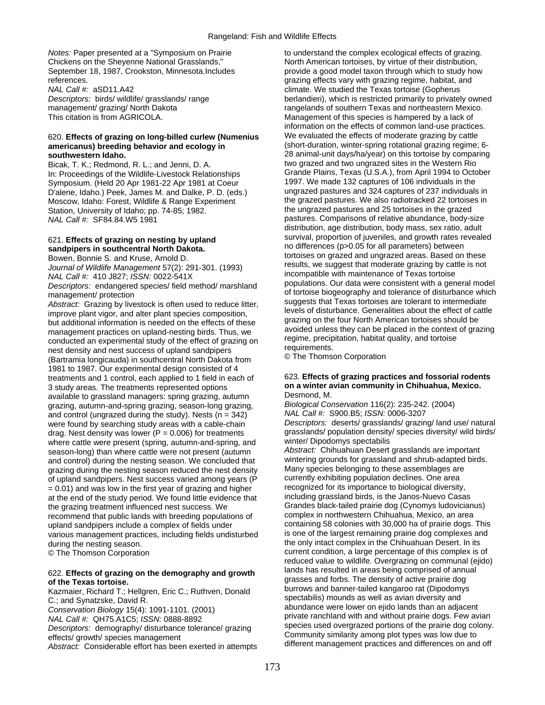*Notes:* Paper presented at a "Symposium on Prairie to understand the complex ecological effects of grazing.

### 620. **Effects of grazing on long-billed curlew (Numenius** We evaluated the effects of moderate grazing by cattle americanus) breeding behavior and ecology in

Bicak, T. K.; Redmond, R. L.; and Jenni, D. A. Symposium. (Held 20 Apr 1981-22 Apr 1981 at Coeur Moscow, Idaho: Forest, Wildlife & Range Experiment the grazed pastures. We also radiotracked 22 tortoise<br>Station Thiversity of Idaho: pp. 74-85: 1982 Station, University of Idaho; pp. 74-85; 1982.<br>NAL Call #: SF84.84 W5 1981

management practices on upland-nesting birds. Thus, we avoided unless they can be placed in the context of grazing on a regime, precipitation, habitat quality, and tortoise conducted an experimental study of the effect of grazing on regime, precipitation, habitat<br>nest density and nest success of upland sandpipers requirements.<br>(Bartramia longicauda) in southcentral North Dakota from C The Tho 1981 to 1987. Our experimental design consisted of 4 treatments and 1 control, each applied to 1 field in each of 623. **Effects of grazing practices and fossorial rodents**<br>3 study areas. The treatments represented options **on a winter avian community in Chihuahua, Mexico.** 3 study areas. The treatments represented options **on a winter a**<br>available to grassland managers: spring grazing autumn **Desmond. M.** available to grassland managers: spring grazing, autumn Desmond, M.<br>
grazing autumn-and-spring grazing season-long grazing *Biological Conservation* 116(2): 235-242. (2004) grazing, autumn-and-spring grazing, season-long grazing, *Biological Conservation* 116(2): 235-242<br>2006-3207. (2006-3207) and control (2006-3207 and control (ungrazed during the study). Nests (n = 342) *NAL Call #:* S900.B5; *ISSN:* 0006-3207 were found by searching study areas with a cable-chain *Descriptors:* deserts/ grasslands/ grazing/ land use/ natural<br>
drag Nest density was lower (P = 0,006) for treatments grasslands/ population density/ species diversit drag. Nest density was lower (P = 0.006) for treatments grasslands/ population density<br>where cattle were present (spring, autumn-and-spring, and winter/ Dipodomys spectabilis where cattle were present (spring, autumn-and-spring, and winter/ Dipodomys spectabilis<br>season-long) than where cattle were not present (autumn *Abstract: Chihuahuan Desert grasslands are important* season-long) than where cattle were not present (autumn *Abstract:* Chihuahuan Desert grasslands are important and control) during the nesting season. We concluded that wintering grounds for grassland and shrub-adapted and shrub-adapted birds. We concluded that wintering grounds for grassland and shrub-adapted razing during the nes grazing during the nesting season reduced the nest density Many species belonging to these assemblages are<br>of upland sandpiners, Nest success varied among years (P currently exhibiting population declines. One area of upland sandpipers. Nest success varied among years (P currently exhibiting population declines. One area<br>= 0.01) and was low in the first vear of grazing and higher recognized for its importance to biological diversity = 0.01) and was low in the first year of grazing and higher recognized for its importance to biological diversity,<br>at the end of the study period. We found little evidence that including grassland birds, is the Janos-Nuevo at the end of the study period. We found little evidence that the grazing treatment influenced nest success. We Grandes black-tailed prairie dog (Cynomys ludovicianus)<br>recommend that public lands with breeding populations of complex in northwestern Chihuahua, Mexico, an area recommend that public lands with breeding populations of upland sandpipers include a complex of fields under containing 58 colonies with 30,000 ha of prairie dogs. This<br>various management practices, including fields undisturbed is one of the largest remaining prairie dog complex various management practices, including fields undisturbed during the nesting season. The only intact complex in the Chihuahuan Desert. In its

Chickens on the Sheyenne National Grasslands," North American tortoises, by virtue of their distribution, September 18, 1987, Crookston, Minnesota.Includes provide a good model taxon through which to study how references. grazing effects vary with grazing regime, habitat, and **NAL Call #:** aSD11.A42 **climate. We studied the Texas tortoise (Gopherus** climate. We studied the Texas tortoise (Gopherus *Descriptors:* birds/ wildlife/ grasslands/ range berlandieri), which is restricted primarily to privately owned management/ grazing/ North Dakota rangelands of southern Texas and northeastern Mexico. This citation is from AGRICOLA. Management of this species is hampered by a lack of information on the effects of common land-use practices. **southwestern Idaho.** 28 animal-unit days/ha/year) on this tortoise by comparing<br>Bicak. T. K.: Redmond, R. L.: and Jenni, D. A. 28 animal-unit days/ha/year) on this tortoise by comparing In: Proceedings of the Wildlife-Livestock Relationships Grande Plains, Texas (U.S.A.), from April 1994 to October<br>Symposium (Held 20 Apr 1981-22 Apr 1981 at Coeur 1997. We made 132 captures of 106 individuals in the D'alene, Idaho.) Peek, James M. and Dalke, P. D. (eds.) ungrazed pastures and 324 captures of 237 individuals in<br>Moscow, Idaho: Forest, Wildlife & Range Experiment the grazed pastures. We also radiotracked 22 tortoises in pastures. Comparisons of relative abundance, body-size distribution, age distribution, body mass, sex ratio, adult 621. Effects of grazing on nesting by upland<br>
sandpipers in southcentral North Dakota.<br>
Bowen, Bonnie S. and Kruse, Arnold D.<br>
Journal of Wildlife Management 57(2): 291-301. (1993)<br>
MAL Call #: 410 J827; ISSN: 0022-541X<br>
M populations. Our data were consistent with a general model *Descriptors:* endangered species/ field method/ marshland Execution of tortoise biogeography and tolerance of disturbance which<br>
management/ protection of tortoise biogeography and tolerance of disturbance which<br>
Abstract: Grazing by livestock is often used to reduce litter sugge Abstract: Grazing by livestock is often used to reduce litter,<br>
improve plant vigor, and alter plant species composition,<br>
but additional information is needed on the effects of these<br>
management practices on upland-pertin

© The Thomson Corporation current condition, a large percentage of this complex is of reduced value to wildlife. Overgrazing on communal (ejido) lands has resulted in areas being comprised of annual 622. **Effects of grazing on the demography and growth** grasses and forbs. The density of active prairie dog **of the Texas tortoise.**  Kazmaier, Richard T.; Hellgren, Eric C.; Ruthven, Donald<br>
C.; and Synatzske, David R.<br>
Conservation Biology 15(4): 1091-1101. (2001)<br>
NAL Call #: QH75.A1C5; ISSN: 0888-8892<br>
NAL Call #: QH75.A1C5; ISSN: 0888-8892<br>
Nescript Descriptors: demography/ disturbance tolerance/ grazing<br>effects/ growth/ species management<br>Abstract: Considerable effort has been exerted in attempts<br>Abstract: Considerable effort has been exerted in attempts<br>different ma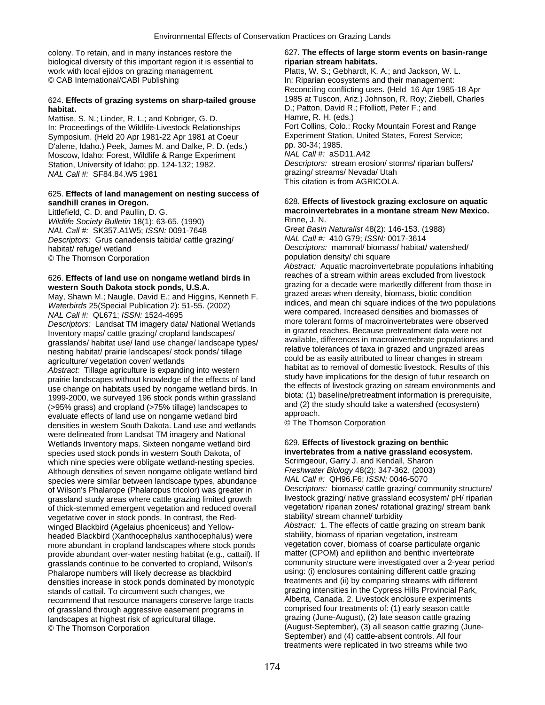colony. To retain, and in many instances restore the 627. **The effects of large storm events on basin-range**  biological diversity of this important region it is essential to **riparian stream habitats.** work with local ejidos on grazing management. Platts, W. S.; Gebhardt, K. A.; and Jackson, W. L. © CAB International/CABI Publishing International In: Riparian ecosystems and their management:

Mattise, S. N.; Linder, R. L.; and Kobriger, G. D. Hamre, R. H. (eds.)<br>In: Proceedings of the Wildlife-Livestock Relationships Fort Collins, Colo.: Rocky Mountain Forest and Range In: Proceedings of the Wildlife-Livestock Relationships Fort Collins, Colo.: Rocky Mountain Forest and Range Symposium. (Held 20 Apr 1981-22 Apr 1981 at Coeur Experiment Station, United States, Forest Service; Symposium. (Held 20 Apr 1981-22 Apr 1981 at Coeur Experiment Station, Forest Station, Inc. States, Forest Stat<br>D'alene, Idaho ) Peek, James M, and Dalke, P, D, (eds.) [2004-01-2005, Forest States, Forest States, Forest S D'alene, Idaho.) Peek, James M. and Dalke, P. D. (eds.) pp. 30-34; 1985.<br>Moscow, Idaho: Forest Wildlife & Range Experiment MAL Call #: aSD11.A42 Moscow, Idaho: Forest, Wildlife & Range Experiment Station, University of Idaho; pp. 124-132; 1982. *Descriptors:* stream erosion/ storms/ riparian buffers/ *NAL Call #: SF84.84.W5 1981* 

### 625. **Effects of land management on nesting success of sandhill cranes in Oregon.** 628. **Effects of livestock grazing exclosure on aquatic**

*Wildlife Society Bulletin* 18(1): 63-65. (1990) Rinne, J. N.<br>NAL Call #: SK357.A1W5: *ISSN:* 0091-7648 Great Basin Naturalist 48(2): 146-153. (1988) *NAL Call #:* SK357.A1W5; *ISSN:* 0091-7648 *Great Basin Naturalist* 48(2): 146-153. (1988) *Descriptors: Grus canadensis tabida/ cattle grazing/* habitat/ refuge/ wetland *Descriptors:* mammal/ biomass/ habitat/ watershed/<br>
© The Thomson Corporation **Description** *population density/ chi square in* the Thomson Corporation © The Thomson Corporation

were delineated from Landsat TM imagery and National Wetlands Inventory maps. Sixteen nongame wetland bird 629. **Effects of livestock grazing on benthic**<br>species used stock ponds in western South Dakota, of **invertebrates from a native grassland ecosystem.** species used stock ponds in western South Dakota, of **invertebrates from a native grassland e**<br>which nine species were obligate wetland-nesting species. <br>Scrimgeour, Garry J. and Kendall, Sharon which nine species were obligate wetland-nesting species. Scrimgeour, Garry J. and Kendall, Sharon<br>Although densities of seven nongame obligate wetland bird Freshwater Biology 48(2): 347-362. (2003) Although densities of seven nongame obligate wetland bird *Freshwater Biology* 48(2): 347-362. (2003) species were similar between landscape types, abundance *NAL Call #:* QH96.F6; *ISSN:* 0046-5070 of Wilson's Phalarope (Phalaropus tricolor) was greater in *Descriptors:* biomass/ cattle grazing/ community structure/ grassland study areas where cattle grazing limited growth livestock grazing/ native grassland ecosystem/ pH/ riparian<br>of thick-stemmed emergent vegetation and reduced overall vegetation/ riparian zones/ rotational grazing/ of thick-stemmed emergent vegetation and reduced overall vegetation/ riparian zones/ rotational vegetation versition versition vegetation vegetation vegetation vegetation vegetation vegetation vegetation vegetation vegetat vegetative cover in stock ponds. In contrast, the Red-<br>winged Blackbird (Agelaius phoeniceus) and Yellow-<br>Abstract: 1. The effects of cattle grazing on stream bank winged Blackbird (Agelaius phoeniceus) and Yellow-<br>headed Blackbird (Xanthocephalus xanthocephalus) were stability, biomass of riparian vegetation, instream headed Blackbird (Xanthocephalus xanthocephalus) were more abundant in cropland landscapes where stock ponds vegetation cover, biomass of coarse particulate organic<br>provide abundant over-water nesting habitat (e.g., cattail). If matter (CPOM) and epilithon and benthic inverte provide abundant over-water nesting habitat (e.g., cattail). If matter (CPOM) and epilithon and benthic invertebrate grasslands continue to be converted to cropland, Wilson's community structure were investigated over a 2-year p<br>Phalarone numbers will likely decrease as blackbird surfact of using: (i) enclosures containing different catt Phalarope numbers will likely decrease as blackbird using: (i) enclosures containing different cattle grazing<br>densities increase in stock ponds dominated by monotypic treatments and (ii) by comparing streams with different densities increase in stock ponds dominated by monotypic treatments and (ii) by comparing streams with different<br>stands of cattail To circumvent such changes, we stranged and intensities in the Cypress Hills Provincial Par stands of cattail. To circumvent such changes, we grazing intensities in the Cypress Hills Provincial Park<br>Fecommend that resource managers conserve large tracts and Alberta, Canada, 2. Livestock enclosure experiments recommend that resource managers conserve large tracts Alberta, Canada. 2. Livestock enclosure experiments<br>
of grassland through aggressive easement programs in Comprised four treatments of: (1) early season cattle of grassland through aggressive easement programs in landscapes at highest risk of agricultural tillage. Grazing grazing (June-August), (2) late season cattle grazing © The Thomson Corporation (August-September), (3) all season cattle grazing (June-

Reconciling conflicting uses. (Held 16 Apr 1985-18 Apr 624. **Effects of grazing systems on sharp-tailed grouse** 1985 at Tuscon, Ariz.) Johnson, R. Roy; Ziebell, Charles **habitat.** D.; Patton, David R.; Ffolliott, Peter F.; and Mattise. S. N.: Linder, R. L.; and Kobriger, G. D. Hamre, R. H. (eds.) This citation is from AGRICOLA.

# Littlefield, C. D. and Paullin, D. G. **macroinvertebrates in a montane stream New Mexico.**<br>*Wildlife Society Bulletin* 18(1): 63-65. (1990) **Caucase Commentance Stream New Mexico. Rinne, J. N.**

*Abstract:* Aquatic macroinvertebrate populations inhabiting reaches of a stream within areas excluded from livestock 626. **Effects of land use on nongame wetland birds in western South Dakota stock ponds, U.S.A.** grazing for a decade were markedly different from those in<br>
Mexical point Dakota stock ponds, U.S.A. Changing for a decade were markedly different from those in May, Shawn M.; Naugle, David E.; and Higgins, Kenneth F. grazed areas when density, biomass, biotic condition<br>Materbirds 25 Special Publication 2): 51-55 (2002) [1] indices, and mean chi square indices of the two populatio *Waterbirds* 25(Special Publication 2): 51-55. (2002) **Indices, and mean chi square indices of the two population**<br> *NAL Call #:* QL671; *ISSN:* 1524-4695<br> *Nescriptors:* Landsat TM imagery data/ National Wetlands more tol Descriptors: Landsat TM imagery data/ National Wetlands<br>
Invertory maps/ cattle grazing/ cropland landscapes/<br>
Invertory maps/ cattle grazing/ cropland landscapes/<br>
In grazed reaches. Because pretreatment data were not<br>
gr

September) and (4) cattle-absent controls. All four treatments were replicated in two streams while two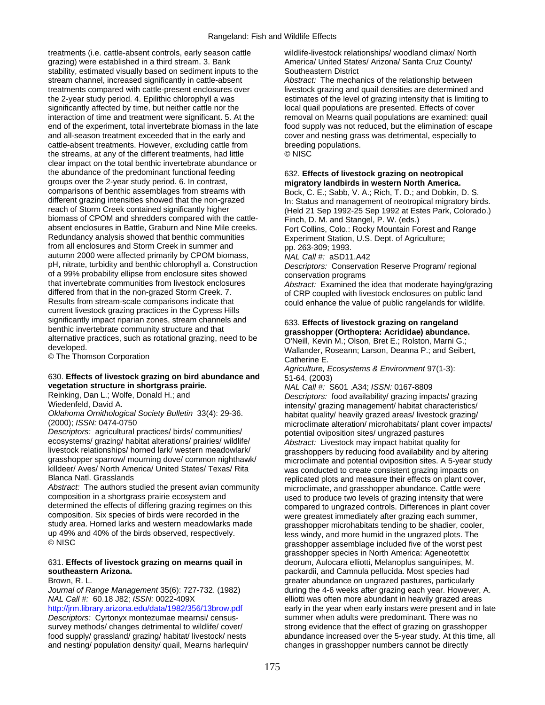treatments (i.e. cattle-absent controls, early season cattle wildlife-livestock relationships/ woodland climax/ North grazing) were established in a third stream. 3. Bank America/ United States/ Arizona/ Santa Cruz County/ stability, estimated visually based on sediment inputs to the Southeastern District<br>stream channel, increased significantly in cattle-absent Abstract: The mechanics of the relationship between stream channel, increased significantly in cattle-absent treatments compared with cattle-present enclosures over livestock grazing and quail densities are determined and the 2-year study period. 4. Epilithic chlorophyll a was estimates of the level of grazing intensity that is limiting to significantly affected by time, but neither cattle nor the local quail populations are presented. Effects of cover interaction of time and treatment were significant. 5. At the removal on Mearns quail populations are examined: quail end of the experiment, total invertebrate biomass in the late food supply was not reduced, but the elimination of escape and all-season treatment exceeded that in the early and cover and nesting grass was detrimental, especially to cattle-absent treatments. However, excluding cattle from breeding populations. the streams, at any of the different treatments, had little © NISC clear impact on the total benthic invertebrate abundance or the abundance of the predominant functional feeding 632. Effects of livestock grazing on neotropical groups over the 2-year study period. 6. In contrast, **migratory landbirds in western North America.**<br> **migratory landbirds in western North America.**<br> **Bock C. F. Sabb, V. A. Rich T. D. and Dobkin** comparisons of benthic assemblages from streams with Bock, C. E.; Sabb, V. A.; Rich, T. D.; and Dobkin, D. S.<br>different grazing intensities showed that the non-grazed In: Status and management of neotropical migratory bi different grazing intensities showed that the non-grazed In: Status and management of neotropical migratory birds.<br>In: Status and management of neotropical migratory birds.<br>In: Status and management of neotropical migrator biomass of CPOM and shredders compared with the cattle-<br>absent enclosures in Battle, Graburn and Nine Mile creeks. Fort Collins, Colo : Rocky Mountain Fo Redundancy analysis showed that benthic communities Experiment Station, U.S. Dept. of Agriculture; from all enclosures and Storm Creek in summer and pp. 263-309; 1993. autumn 2000 were affected primarily by CPOM biomass, *NAL Call #:* aSD11.A42 pH, nitrate, turbidity and benthic chlorophyll a. Construction *Descriptors:* Conservation Reserve Program/ regional of a 99% probability ellipse from enclosure sites showed<br>that invertebrate communities from livestock enclosures *Abstract:* Examined the that invertebrate communities from livestock enclosures *Abstract:* Examined the idea that moderate haying/grazing<br>differed from that in the non-grazed Storm Creek. 7. The state of CRP coupled with livestock enclosures on differed from that in the non-grazed Storm Creek. 7. of CRP coupled with livestock enclosures on public land<br>Results from stream-scale comparisons indicate that could enhance the value of public rangelands for wildlife. current livestock grazing practices in the Cypress Hills significantly impact riparian zones, stream channels and<br>
benthic invertebrate community structure and that<br>
alternative practices, such as rotational grazing, need to be<br>
developed.<br>
The Thomson Corporation<br>
Catherine E.<br>

## 630. **Effects of livestock grazing on bird abundance and** 51-64. (2003)<br> **vegetation structure in shortgrass prairie.** MAL Call # S

*Descriptors:* agricultural practices/ birds/ communities/ potential oviposition sites/ ungrazed pastures ecosystems/ grazing/ habitat alterations/ prairies/ wildlife/ *Abstract:* Livestock may impact habitat quality for livestock relationships/ horned lark/ western meadowlark/ express of reducing food availability and by altering<br>grasshopper sparrow/ mourning dove/ common nighthawk/ expressionate and potential oviposition sites. A 5-vear grasshopper sparrow/ mourning dove/ common nighthawk/ microclimate and potential oviposition sites. A 5-year study<br>killdeer/ Aves/ North America/ United States/ Texas/ Rita was conducted to create consistent grazing impact killdeer/ Aves/ North America/ United States/ Texas/ Rita was conducted to create consistent grazing impacts on<br>Blanca Natl. Grasslands

*Abstract:* The authors studied the present avian community microclimate, and grasshopper abundance. Cattle were composition in a shortgrass prairie ecosystem and summany used to produce two levels of grazing intensity tha determined the effects of differing grazing regimes on this compared to ungrazed controls. Differences in plant cover<br>composition. Six species of birds were recorded in the were greatest immediately after grazing each summ composition. Six species of birds were recorded in the were greatest immediately after grazing each summer,<br>study area. Horned larks and western meadowlarks made arasshopper microbabitats tending to be shadier, coole study area. Horned larks and western meadowlarks made grasshopper microhabitats tending to be shadier, cooler,<br>up 49% and 40% of the birds observed, respectively. up 49% and 40% of the birds observed, respectively. less windy, and more humid in the ungrazed plots. The ungrazed plots. The ungrazed plots of the worst pes

### 631. **Effects of livestock grazing on mearns quail in** deorum, Aulocara elliotti, Melanoplus sanguinipes, M. **southeastern Arizona. packardii, and Camnula pellucida. Most species had Camnula pellucida. Most species had**

*Descriptors:* Cyrtonyx montezumae mearnsi/ census- summer when adults were predominant. There was no and nesting/ population density/ quail, Mearns harlequin/ changes in grasshopper numbers cannot be directly

America/ United States/ Arizona/ Santa Cruz County/

(Held 21 Sep 1992-25 Sep 1992 at Estes Park, Colorado.) Fort Collins, Colo.: Rocky Mountain Forest and Range

could enhance the value of public rangelands for wildlife.

*Agriculture, Ecosystems & Environment* 97(1-3):

**vegetation structure in shortgrass prairie.** *NAL Call #:* S601 .A34; *ISSN:* 0167-8809 Reinking, Dan L.; Wolfe, Donald H.; and *Descriptors:* food availability/ grazing impacts/ grazing Wiedenfeld, David A.<br>Oklahoma Ornithological Society Bulletin 33(4): 29-36. intensity/ grazing management/ habitat characteristics/ *Oklahoma Ornithological Society Bulletin* 33(4): 29-36. habitat quality/ heavily grazed areas/ livestock grazing/ microclimate alteration/ microhabitats/ plant cover impacts/ Blanca Natl. Grasslands<br>Abstract: The authors studied the present avian community entity of pricroclimate and grasshopper abundance. Cattle were used to produce two levels of grazing intensity that were grasshopper assemblage included five of the worst pest grasshopper species in North America: Ageneotettix Brown, R. L. greater abundance on ungrazed pastures, particularly *Journal of Range Management* 35(6): 727-732. (1982) during the 4-6 weeks after grazing each year. However, A. *NAL Call #:* 60.18 J82; *ISSN:* 0022-409X elliotti was often more abundant in heavily grazed areas <http://jrm.library.arizona.edu/data/1982/356/13brow.pdf>early in the year when early instars were present and in late survey methods/ changes detrimental to wildlife/ cover/ strong evidence that the effect of grazing on grasshopper food supply/ grassland/ grazing/ habitat/ livestock/ nests abundance increased over the 5-year study. At this time, all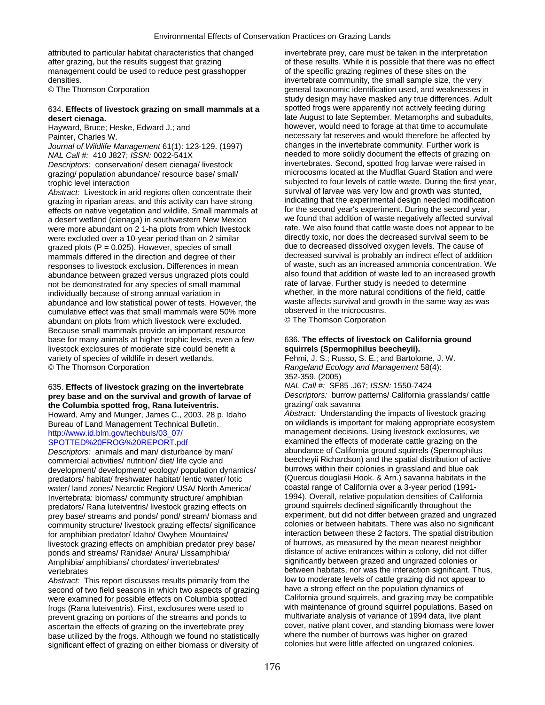attributed to particular habitat characteristics that changed invertebrate prey, care must be taken in the interpretation management could be used to reduce pest grasshopper of the specific grazing regimes of these sites on the densities. **invertebrate community, the small sample size, the very** invertebrate community, the small sample size, the very

## **desert cienaga. late August to late September. Metamorphs and subadults, desert cienaga.**

*Journal of Wildlife Management* 61(1): 123-129. (1997)

*Abstract:* Livestock in arid regions often concentrate their survival of larvae was very low and growth was stunted,<br>grazing in riparian areas, and this activity can have strong indicating that the experimental design nee grazing in riparian areas, and this activity can have strong indicating that the experimental design needed modification<br>effects on native vegetation and wildlife. Small mammals at for the second year's experiment. During effects on native vegetation and wildlife. Small mammals at for the second year's experiment. During the second year,<br>a desert wetland (cienaga) in southwestern New Mexico we found that addition of waste negatively affecte a desert wetland (cienaga) in southwestern New Mexico we found that addition of waste negatively affected survival were more abundant on 2 1-ha plots from which livestock rate. We also found that cattle waste does not appear to be<br>were excluded over a 10-year period than on 2 similar directly toxic, nor does the decreased survival seem were excluded over a 10-year period than on 2 similar directly toxic, nor does the decreased survival seem to b<br>due to decreased dissolved oxygen levels. The cause of grazed plots (P =  $0.025$ ). However, species of small mammals differed in the direction and degree of their decreased survival is probably an indirect effect of addition abundance between grazed versus ungrazed plots could also found that addition of waste led to an increased<br>not be demonstrated for any species of small mammal and rate of larvae. Further study is needed to determine not be demonstrated for any species of small mammal individually because of strong annual variation in whether, in the more natural conditions of the field, cattle<br>abundance and low statistical power of tests. However, the waste affects survival and growth in the same way a abundance and low statistical power of tests. However, the waste affects survival and growth in the same way a<br>cumulative effect was that small mammals were 50% more observed in the microcosms. cumulative effect was that small mammals were 50% more observed in the microcosms.<br>Abundant on plots from which livestock were excluded  $\bullet$  The Thomson Corporation abundant on plots from which livestock were excluded. Because small mammals provide an important resource base for many animals at higher trophic levels, even a few 636. **The effects of livestock on California ground**  livestock exclosures of moderate size could benefit a **squirrels (Spermophilus beecheyii).**  © The Thomson Corporation *Rangeland Ecology and Management* 58(4):

### 635. **Effects of livestock grazing on the invertebrate** *NAL Call #:* SF85 .J67; *ISSN:* 1550-7424 **prey base and on the survival and growth of larvae of** *Descriptors:* **burrow p<br>
<b>the Columbia spotted frog. Rana luteiventris property cattles arrazing/ oak savanna the Columbia spotted frog, Rana luteiventris.** *grazing/ oak savanna*<br>Howard Amy and Munger James C, 2003, 28 p. Idaho *Abstract:* Understanding the impacts of livestock grazing

Bureau of Land Management Technical Bulletin. [http://www.id.blm.gov/techbuls/03\\_07/](http://www.id.blm.gov/techbuls/03_07/SPOTTED%20FROG%20REPORT.pdf) management decisions. Using livestock exclosures, we

*Descriptors:* animals and man/ disturbance by man/ commercial activities/ nutrition/ diet/ life cycle and development/ development/ ecology/ population dynamics/ predators/ habitat/ freshwater habitat/ lentic water/ lotic (Quercus douglasii Hook. & Arn.) savanna habitats in the water/ land zones/ Nearctic Region/ USA/ North America/ coastal range of California over a 3-year period water/ land zones/ Nearctic Region/ USA/ North America/ coastal range of California over a 3-year period (1991-<br>Invertebrata: biomass/ community structure/ amphibian 1994). Overall, relative population densities of Califor Invertebrata: biomass/ community structure/ amphibian 1994). Overall, relative population densities of Califor<br>The dators/ Rana luteiventris/ livestock grazing effects on a caround squirrels declined significantly througho community structure/ livestock grazing effects/ significance livestock grazing effects on amphibian predator prey base/ of burrows, as measured by the mean nearest neighbor<br>honds and streams/ Ranidae/ Anura/ Lissamphibia/ on a distance of active entrances within a colony, did not di ponds and streams/ Ranidae/ Anura/ Lissamphibia/ distance of active entrances within a colony, did not different<br>Amphibia/ amphibians/ chordates/ invertebrates/ some significantly between grazed and ungrazed colonies or Amphibia/ amphibians/ chordates/ invertebrates/

*Abstract:* This report discusses results primarily from the low to moderate levels of cattle grazing did not app<br>second of two field seasons in which two aspects of grazing have a strong effect on the population dynamics second of two field seasons in which two aspects of grazing were examined for possible effects on Columbia spotted California ground squirrels, and grazing may be compatible frogs (Rana luteiventris). First, exclosures were used to with maintenance of ground squirrel populations. Based on<br>prevent grazing on portions of the streams and ponds to multivariate analysis of variance of 1994 data, li prevent grazing on portions of the streams and ponds to multivariate analysis of variance of 1994 data, live plant<br>ascertain the effects of grazing on the invertebrate prev cover, native plant cover, and standing biomass w ascertain the effects of grazing on the invertebrate prey cover, native plant cover, and standing biomass were<br>hase utilized by the frogs. Although we found no statistically where the number of burrows was higher on grazed base utilized by the frogs. Although we found no statistically where the number of burrows was higher on grazed<br>significant effect of grazing on either biomass or diversity of colonies but were little affected on ungrazed significant effect of grazing on either biomass or diversity of

after grazing, but the results suggest that grazing on these results. While it is possible that there was no effect © The Thomson Corporation general taxonomic identification used, and weaknesses in study design may have masked any true differences. Adult 634. **Effects of livestock grazing on small mammals at a** spotted frogs were apparently not actively feeding during Hayward, Bruce; Heske, Edward J.; and however, would need to forage at that time to accumulate<br>Painter, Charles W.<br>Frankline of the structure of the mecessary fat reserves and would therefore be affected by necessary fat reserves and would therefore be affected by changes in the invertebrate community. Further work is *NAL Call #:* 410 J827; *ISSN:* 0022-541X needed to more solidly document the effects of grazing on *Descriptors:* conservation/ desert cienaga/ livestock invertebrates. Second, spotted frog larvae were raised in grazing/ population abundance/ resource base/ small/ microcosms located at the Mudflat Guard Station and were trophic level interaction<br>
Abstract: I ivestock in arid regions often concentrate their<br>
Abstract: I ivestock in arid regions often concentrate their<br>
Survival of larvae was very low and growth was stunted, responses to livestock exclusion. Differences in mean of waste, such as an increased ammonia concentration. We<br>abundance between grazed versus ungrazed plots could also found that addition of waste led to an increased grow

Fehmi, J. S.; Russo, S. E.; and Bartolome, J. W. 352-359. (2005)

Howard, Amy and Munger, James C., 2003. 28 p. Idaho *Abstract:* Understanding the impacts of livestock grazing SPOTTED%20FROG%20REPORT.pdf examined the effects of moderate cattle grazing on the<br>Descriptors: animals and man/ disturbance by man/ abundance of California ground squirrels (Spermophilus beecheyii Richardson) and the spatial distribution of active<br>burrows within their colonies in grassland and blue oak predators/ Rana luteiventris/ livestock grazing effects on ground squirrels declined significantly throughout the<br>prev base/ streams and ponds/ pond/ stream/ biomass and experiment, but did not differ between grazed and un prey base/ streams and ponds/ pond/ stream/ biomass and experiment, but did not differ between grazed and ungrazed<br>community structure/ livestock grazing effects/ significance colonies or between habitats. There was also n for amphibian predator/ Idaho/ Owyhee Mountains/ interaction between these 2 factors. The spatial distribution<br>livestock grazing effects on amphibian predator prev base/ of burrows, as measured by the mean nearest neighbor vertebrates<br>
Abstract: This report discusses results primarily from the low to moderate levels of cattle grazing did not appear to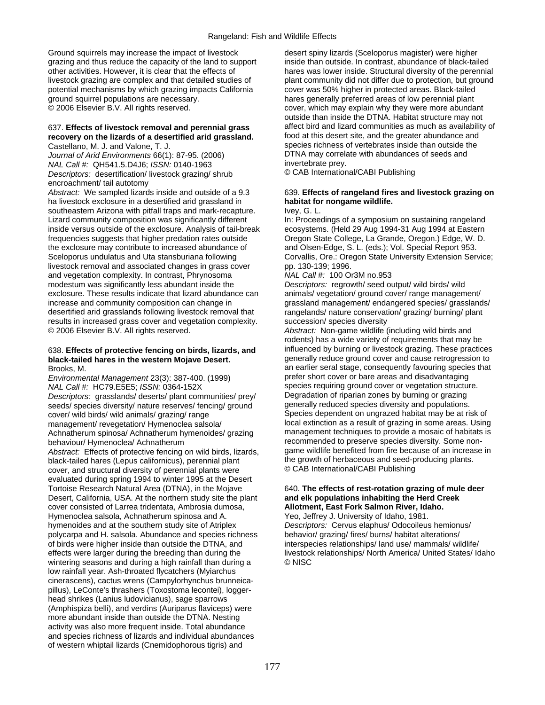Ground squirrels may increase the impact of livestock desert spiny lizards (Sceloporus magister) were higher grazing and thus reduce the capacity of the land to support inside than outside. In contrast, abundance of black-tailed potential mechanisms by which grazing impacts California cover was 50% higher in protected areas. Black-tailed ground squirrel populations are necessary. hares generally preferred areas of low perennial plant © 2006 Elsevier B.V. All rights reserved. cover, which may explain why they were more abundant

## recovery on the lizards of a desertified arid grassland.

*Journal of Arid Environments* 66(1): 87-95. (2006) DTNA may correlate with abundances of seeds and<br>
NAL Call #: OH541 5 D4J6; JSSN: 0140-1963 *NAL Call #:* QH541.5.D4J6; *ISSN:* 0140-1963<br>Descriptors: desertification/ livestock grazing/ shrub **come COAB** International/CABI Publishing *Descriptors: desertification*/ livestock grazing/ shrub encroachment/ tail autotomy

Abstract: We sampled lizards inside and outside of a 9.3 639. **Effects of rangeland fires and livestock grazing on** ha livestock exclosure in a desertified arid grassland in **habitat for nongame wildlife.** southeastern Arizona with pitfall traps and mark-recapture. Ivey, G. L. Lizard community composition was significantly different In: Proceedings of a symposium on sustaining rangeland inside versus outside of the exclosure. Analysis of tail-break ecosystems. (Held 29 Aug 1994-31 Aug 1994 at Eastern frequencies suggests that higher predation rates outside **Oregon State College, La Grande, Oregon.**) Edge, W. D. the exclosure may contribute to increased abundance of and Olsen-Edge, S. L. (eds.); Vol. Special Report 953. Sceloporus undulatus and Uta stansburiana following Corvallis, Ore.: Oregon State University Extension Service;<br>
livestock removal and associated changes in grass cover pp. 130-139: 1996. livestock removal and associated changes in grass cover and vegetation complexity. In contrast, Phrynosoma *NAL Call #:* 100 Or3M no.953 modestum was significantly less abundant inside the *Descriptors:* regrowth/ seed output/ wild birds/ wild exclosure. These results indicate that lizard abundance can animals/ vegetation/ ground cover/ range management/ increase and community composition can change in grassland management/ endangered species/ grasslands/ desertified arid grasslands following livestock removal that rangelands/ nature conservation/ grazing/ burning/ plant results in increased grass cover and vegetation complexity. succession/ species diversity © 2006 Elsevier B.V. All rights reserved. *Abstract:* Non-game wildlife (including wild birds and

### 638. Effects of protective fencing on birds, lizards, and **black-tailed hares in the western Mojave Desert.** generally reduce ground cover and cause retrogression to

*Environmental Management* 23(3): 387-400. (1999) *NAL Call #:* HC79.E5E5; *ISSN:* 0364-152X <br>Descriptors: grasslands/ deserts/ plant communities/ prev/ Degradation of riparian zones by burning or grazing *Descriptors:* grasslands/ deserts/ plant communities/ prey/ Degradation of riparian zones by burning or grazing<br>Seeds/ species diversity/ pature reserves/ fencing/ ground generally reduced species diversity and population seeds/ species diversity/ nature reserves/ fencing/ ground cover/ wild birds/ wild animals/ grazing/ range  $\frac{3}{2}$  Species dependent on ungrazed habitat may be at risk of management/ revegetation/ Hymenoclea salsola/ management/ revegetation/ Hymenoclea salsola/ local extinction as a result of grazing in some areas. Using<br>Achnatherum spinosa/ Achnatherum hymenoides/ grazing management techniques to provide a mosaic of habitats is Achnatherum spinosa/ Achnatherum hymenoides/ grazing behaviour/ Hymenoclea/ Achnatherum<br>Abstract: Effects of protective fencing on wild birds. lizards. game wildlife benefited from fire because of an increase in *Abstract:* Effects of protective fencing on wild birds, lizards, game wildlife benefited from fire because of an increase in the production of herbaceous and seed-producing plants. black-tailed hares (Lepus californicus), perennial plant the growth of herbaceous and seed-producing plants.<br>The growth of herbaceous and structural diversity of perennial plants were  $\circ$  CAB International/CABI Publishing cover, and structural diversity of perennial plants were evaluated during spring 1994 to winter 1995 at the Desert Tortoise Research Natural Area (DTNA), in the Mojave 640. **The effects of rest-rotation grazing of mule deer**  Desert, California, USA. At the northern study site the plant **and elk populations inhabiting the Herd Creek** cover consisted of Larrea tridentata, Ambrosia dumosa, **Allotment, East Fork Salmon River, Idaho.** cover consisted of Larrea tridentata, Ambrosia dumosa, Hymenoclea salsola, Achnatherum spinosa and A. Yeo, Jeffrey J. University of Idaho, 1981. hymenoides and at the southern study site of Atriplex *Descriptors:* Cervus elaphus/ Odocoileus hemionus/ polycarpa and H. salsola. Abundance and species richness behavior/ grazing/ fires/ burns/ habitat alterations/ of birds were higher inside than outside the DTNA, and interspecies relationships/ land use/ mammals/ wildlife/<br>effects were larger during the breeding than during the livestock relationships/ North America/ United States/ wintering seasons and during a high rainfall than during a  $\heartsuit$  NISC low rainfall year. Ash-throated flycatchers (Myiarchus cinerascens), cactus wrens (Campylorhynchus brunneicapillus), LeConte's thrashers (Toxostoma lecontei), loggerhead shrikes (Lanius ludovicianus), sage sparrows (Amphispiza belli), and verdins (Auriparus flaviceps) were more abundant inside than outside the DTNA. Nesting activity was also more frequent inside. Total abundance and species richness of lizards and individual abundances of western whiptail lizards (Cnemidophorous tigris) and

other activities. However, it is clear that the effects of hares was lower inside. Structural diversity of the perennial livestock grazing are complex and that detailed studies of plant community did not differ due to protection, but ground outside than inside the DTNA. Habitat structure may not 637. **Effects of livestock removal and perennial grass** affect bird and lizard communities as much as availability of recovery on the lizards of a desertified arid grassland. Tood at this desert site, and the greater abund Castellano, M. J. and Valone, T. J. Species richness of vertebrates inside than outside the

rodents) has a wide variety of requirements that may be influenced by burning or livestock grazing. These practices Brooks, M.<br>
Environmental Management 23(3): 387-400 (1999) an earlier seral stage, consequently favouring species that<br>
prefer short cover or bare areas and disadvantaging

livestock relationships/ North America/ United States/ Idaho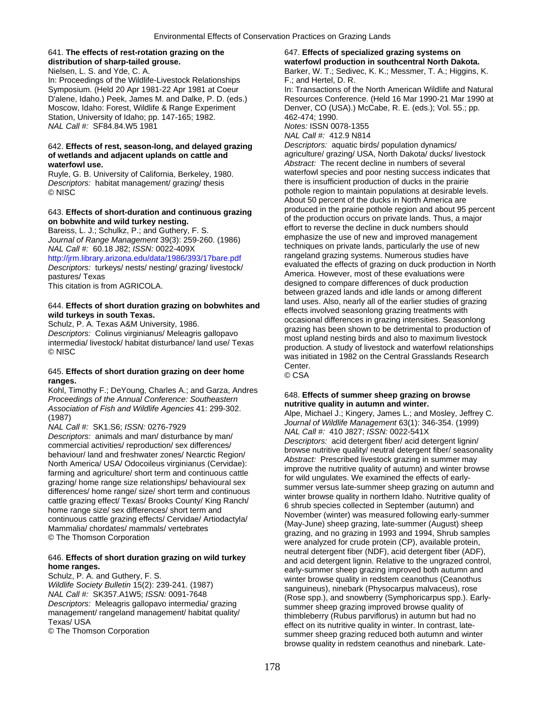## 641. **The effects of rest-rotation grazing on the** 647. **Effects of specialized grazing systems on**

In: Proceedings of the Wildlife-Livestock Relationships F.; and Hertel, D. R. Moscow, Idaho: Forest, Wildlife & Range Experiment Denver, CO (USA).) McCabe, R. E. (eds.); Vol. 55.; pp. Station, University of Idaho; pp. 147-165; 1982. 462-474; 1990. *NAL Call #:* SF84.84.W5 1981 *Notes:* ISSN 0078-1355

### 642. **Effects of rest, season-long, and delayed grazing** *Descriptors:* aquatic birds/ population dynamics/ **of wetlands and adjacent uplands on cattle and and adjustively grazing/ USA, North Dakota/ ducks/ livestock waterfowl use.** *Abstract:* The recent decline in numbers of several

### 645. **Effects of short duration grazing on deer home** © CSA **ranges.**

### **distribution of sharp-tailed grouse. waterfowl production in southcentral North Dakota.** Barker, W. T.; Sedivec, K. K.; Messmer, T. A.; Higgins, K.

Symposium. (Held 20 Apr 1981-22 Apr 1981 at Coeur In: Transactions of the North American Wildlife and Natural D'alene, Idaho.) Peek, James M. and Dalke, P. D. (eds.) Resources Conference. (Held 16 Mar 1990-21 Mar 1990 at

*NAL Call #:* 412.9 N814 Ruyle, G. B. University of California, Berkeley, 1980. waterfowl species and poor nesting success indicates that *Descriptors:* habitat management/ grazing/ thesis there is insufficient production of ducks in the prairie © NISC pothole region to maintain populations at desirable levels. About 50 percent of the ducks in North America are 643. Effects of short-duration and continuous grazing<br>
on bobwhite and wild turkey nesting.<br>
Bareiss, L. J.; Schulkz, P.; and Guthery, F. S.<br>
Journal of Range Management 39(3): 259-260. (1986)<br>
MAL Call #: 60.18 J82; ISSN: NAL Call #: 60.18 J82; ISSN: 0022-409X<br>
http://jrm.library.arizona.edu/data/1986/393/17bare.pdf<br>
http://jrm.library.arizona.edu/data/1986/393/17bare.pdf<br>
Descriptors: turkeys/ nests/ nesting/ grazing/ livestock/<br>
pastures/ between grazed lands and idle lands or among different 644. Effects of short duration grazing on bobwhites and<br>
wild turkeys in south Texas.<br>
Schulz, P. A. Texas A&M University, 1986.<br>
Descriptors: Colinus virginianus/ Meleagris gallopavo<br>
intermedia/ livestock/ habitat distur Center.

Kohl, Timothy F.; DeYoung, Charles A.; and Garza, Andres<br>
Proceedings of the Annual Conference: Southeastern<br>
Association of Fish and Wildlife Agencies 41: 299-302.<br>
Also, Michael J.; Kingery, James L.; and Mosley, Jeffrey 646. Effects of short duration grazing on wild turkey<br>
home ranges.<br>
Schulz, P. A. and Guthery, F. S.<br>
Schulz, P. A. and Guthery, F. S.<br>
Wildlife Society Bulletin 15(2): 239-241. (1987)<br>
NAL Call #: SK357.A1W5; ISSN: 0091browse quality in redstem ceanothus and ninebark. Late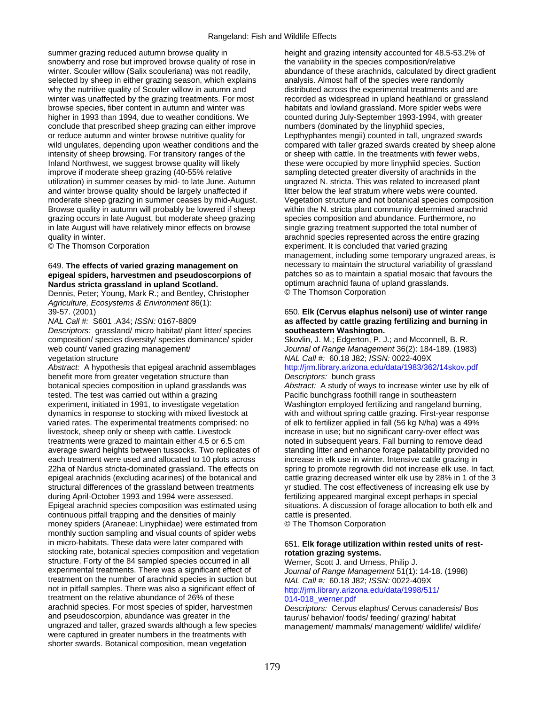summer grazing reduced autumn browse quality in height and grazing intensity accounted for 48.5-53.2% of snowberry and rose but improved browse quality of rose in the variability in the species composition/relative selected by sheep in either grazing season, which explains analysis. Almost half of the species were randomly why the nutritive quality of Scouler willow in autumn and distributed across the experimental treatments and are winter was unaffected by the grazing treatments. For most recorded as widespread in upland heathland or grassland browse species, fiber content in autumn and winter was habitats and lowland grassland. More spider webs were higher in 1993 than 1994, due to weather conditions. We counted during July-September 1993-1994, with greater conclude that prescribed sheep grazing can either improve numbers (dominated by the linyphiid species, or reduce autumn and winter browse nutritive quality for Lepthyphantes mengii) counted in tall, ungrazed swards wild ungulates, depending upon weather conditions and the compared with taller grazed swards created by sheep alone intensity of sheep browsing. For transitory ranges of the or sheep with cattle. In the treatments with fewer webs, Inland Northwest, we suggest browse quality will likely these were occupied by more linyphiid species. Suction improve if moderate sheep grazing (40-55% relative sampling detected greater diversity of arachnids in the utilization) in summer ceases by mid- to late June. Autumn ungrazed N. stricta. This was related to increased plant and winter browse quality should be largely unaffected if litter below the leaf stratum where webs were counted. moderate sheep grazing in summer ceases by mid-August. Vegetation structure and not botanical species composition Browse quality in autumn will probably be lowered if sheep within the N. stricta plant community determined arachnid grazing occurs in late August, but moderate sheep grazing species composition and abundance. Furthermore, no in late August will have relatively minor effects on browse single grazing treatment supported the total number of quality in winter. The same state of the entire grazing species represented across the entire grazing

## **epigeal spiders, harvestmen and pseudoscorpions of patches so as to maintain a spatial mosaic that <b>Nardus that favours that fact part** fatter are patial mosaic that **Nardus that fact that fact that fact that fact that Nardus stricta grassland in upland Scotland. Community** optimum arachnid fauna of up<br>Dennis, Peter: Young, Mark R.: and Bentley, Christopher **Community Community Community**

Dennis, Peter; Young, Mark R.; and Bentley, Christopher *Agriculture, Ecosystems & Environment* 86(1):

*NAL Call #:* S601 .A34; *ISSN:* 0167-8809 **as affected by cattle grazing fertilizing and burning in**  *Descriptors:* grassland/ micro habitat/ plant litter/ species **southeastern Washington.**  composition/ species diversity/ species dominance/ spider Skovlin, J. M.; Edgerton, P. J.; and Mcconnell, B. R. web count/ varied grazing management/ *Journal of Range Management* 36(2): 184-189. (1983)

Abstract: A hypothesis that epigeal arachnid assemblages http://jrm.library.arizona.edu/data/1983/362/14skov.pdf benefit more from greater vegetation structure than *Descriptors:* bunch grass botanical species composition in upland grasslands was *Abstract:* A study of ways to increase winter use by elk of tested. The test was carried out within a grazing example  $P$ acific bunchgrass foothill range in southeastern experiment, initiated in 1991, to investigate vegetation Washington employed fertilizing and rangeland burning, dynamics in response to stocking with mixed livestock at with and without spring cattle grazing. First-year response varied rates. The experimental treatments comprised: no of elk to fertilizer applied in fall (56 kg N/ha) was a 49% livestock, sheep only or sheep with cattle. Livestock increase in use; but no significant carry-over effect was<br>treatments were grazed to maintain either 4.5 or 6.5 cm hoted in subsequent years. Fall burning to remove dead average sward heights between tussocks. Two replicates of standing litter and enhance forage palatability provided no each treatment were used and allocated to 10 plots across increase in elk use in winter. Intensive cattle grazing in 22ha of Nardus stricta-dominated grassland. The effects on spring to promote regrowth did not increase elk use. In fact, epigeal arachnids (excluding acarines) of the botanical and cattle grazing decreased winter elk use by 28% in 1 of the 3 structural differences of the grassland between treatments yr studied. The cost effectiveness of increasing elk use by during April-October 1993 and 1994 were assessed. **Fertilizing appeared marginal except perhaps in special** Epigeal arachnid species composition was estimated using situations. A discussion of forage allocation to both elk and continuous pitfall trapping and the densities of mainly cattle is presented. money spiders (Araneae: Linyphiidae) were estimated from © The Thomson Corporation monthly suction sampling and visual counts of spider webs in micro-habitats. These data were later compared with 651. Elk forage utilization within rested units of rest-<br>stocking rate, botanical species composition and vegetation **rotation grazing systems.** stocking rate, botanical species composition and vegetation structure. Forty of the 84 sampled species occurred in all Werner, Scott J. and Urness, Philip J.<br>
experimental treatments. There was a significant effect of Journal of Range Management 51(1) treatment on the number of arachnid species in suction but *NAL Call #:* 60.18 J82; *ISSN:* 0022-409X not in pitfall samples. There was also a significant effect of http://jrm.library.arizona.edu/data/1998/511/ treatment on the relative abundance of 26% of these 014-018\_werner.pdf<br>arachnid species. For most species of spider, harvestmen Descriptors: Cervus arachnid species. For most species of spider, harvestmen *Descriptors:* Cervus elaphus/ Cervus canadensis/ Bos and pseudoscorpion, abundance was greater in the taurus/ behavior/ foods/ feeding/ grazing/ habitat<br>ungrazed and taller, grazed swards although a few species management/ mammals/ management/ wildlife/ v were captured in greater numbers in the treatments with shorter swards. Botanical composition, mean vegetation

winter. Scouler willow (Salix scouleriana) was not readily, abundance of these arachnids, calculated by direct gradient © The Thomson Corporation experiment. It is concluded that varied grazing management, including some temporary ungrazed areas, is 649. **The effects of varied grazing management on** necessary to maintain the structural variability of grassland

# 39-57. (2001) 650. **Elk (Cervus elaphus nelsoni) use of winter range**

vegetation structure *NAL Call #:* 60.18 J82; *ISSN:* 0022-409X

noted in subsequent years. Fall burning to remove dead

Journal of Range Management 51(1): 14-18. (1998)

management/ mammals/ management/ wildlife/ wildlife/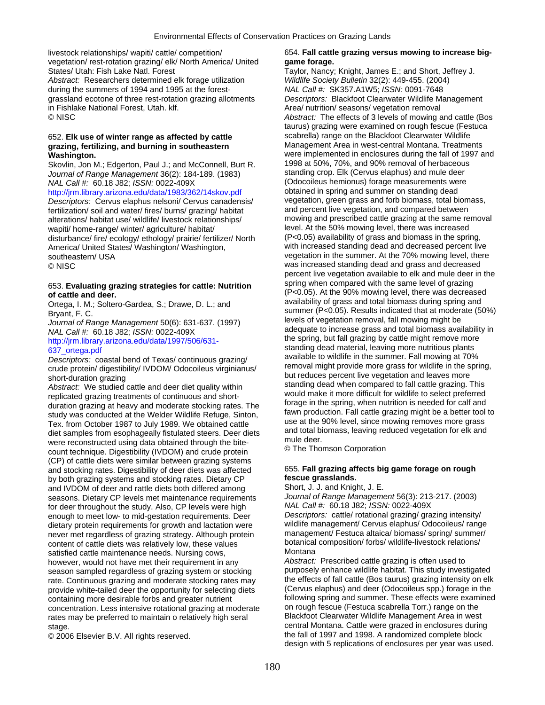livestock relationships/ wapiti/ cattle/ competition/ 654. **Fall cattle grazing versus mowing to increase big**vegetation/ rest-rotation grazing/ elk/ North America/ United **game forage.**  States/ Utah: Fish Lake Natl. Forest Taylor, Nancy; Knight, James E.; and Short, Jeffrey J. *Abstract:* Researchers determined elk forage utilization *Wildlife Society Bulletin* 32(2): 449-455. (2004) during the summers of 1994 and 1995 at the forest- *NAL Call #:* SK357.A1W5; *ISSN:* 0091-7648 grassland ecotone of three rest-rotation grazing allotments *Descriptors:* Blackfoot Clearwater Wildlife Management in Fishlake National Forest, Utah. klf. Area/ nutrition/ seasons/ vegetation removal

# grazing, fertilizing, and burning in southeastern

Skovlin, Jon M.; Edgerton, Paul J.; and McConnell, Burt R. 1998 at 50%, 70%, and 90% removal of herbaceous<br>Journal of Range Management 36(2): 184-189 (1983) standing crop. Elk (Cervus elaphus) and mule deer *Journal of Range Management* 36(2): 184-189. (1983)

*Descriptors:* Cervus elaphus nelsoni/ Cervus canadensis/ vegetation, green grass and forb biomass, total biomass, fertilization/ soil and water/ fires/ burns/ grazing/ habitat alterations/ habitat use/ wildlife/ livestock relationships/ mowing and prescribed cattle grazing at the same removal<br>wapiti/ home-range/ winter/ agriculture/ habitat/ level. At the 50% mowing level, there was increased wapiti/ home-range/ winter/ agriculture/ habitat/ level. At the 50% mowing level, there was increased<br>disturbance/ fire/ ecology/ ethology/ prairie/ fertilizer/ North (P<0.05) availability of grass and biomass in the sprin disturbance/ fire/ ecology/ ethology/ prairie/ fertilizer/ North America/ United States/ Washington/ Washington, with increased standing dead and decreased percent live

replicated grazing treatments of continuous and short-<br>duration grazing at heavy and moderate stocking rates. The<br>study was conducted at the Welder Wildlife Refuge, Sinton,<br>Tex. from October 1987 to July 1989. We obtained were reconstructed using data obtained through the bite- Thomson Corporation count technique. Digestibility (IVDOM) and crude protein  $\heartsuit$  The Thomson Corporation (CP) of cattle diets were similar between grazing systems and stocking rates. Digestibility of deer diets was affected 655. **Fall grazing affects big game forage on rough**<br>
by both grazing systems and stocking rates. Dietary CP **fescue grasslands.** by both grazing systems and stocking rates. Dietary CP **fescue grasslands.**  and IVDOM of deer and rattle diets both differed among Short, J. J. and Knight, J. E.<br>Seasons, Dietary CP levels met maintenance requirements Journal of Range Management 56(3): 213-217. (2003) seasons. Dietary CP levels met maintenance requirements *Journal of Range Management* 56(3): 213<br>1998: for deer throughout the study Also CP levels were high **NAL Call #:** 60.18 J82; *ISSN:* 0022-409X for deer throughout the study. Also, CP levels were high *NAL Call #:* 60.18 J82; *ISSN:* 0022-409X enough to meet low- to mid-gestation requirements. Deer *Descriptors:* cattle/ rotational grazing/ grazing intensity/ dietary protein requirements for growth and lactation were wildlife management/ Cervus elaphus/ Odocoileus/ range<br>never met regardless of grazing strategy. Although protein management/ Festuca altaica/ biomass/ spring/ sum never met regardless of grazing strategy. Although protein management/ Festuca altaica/ biomass/ spring/ summe<br>Content of cattle diets was relatively low, these values botanical composition/ forbs/ wildlife-livestock relat content of cattle diets was relatively low, these values botanical<br>
satisfied cattle maintenance needs Nursing cows<br>
Montana satisfied cattle maintenance needs. Nursing cows,<br>however would not have met their requirement in any **Abstract:** Prescribed cattle grazing is often used to however, would not have met their requirement in any *Abstract:* Prescribed cattle grazing is often used to season sampled regardless of grazing system or stocking rate. Continuous grazing and moderate stocking rates may the effects of fall cattle (Bos taurus) grazing intensity on elk provide white-tailed deer the opportunity for selecting diets (Cervus elaphus) and deer (Odocoileus spp.) forage in the containing more desirable forbs and greater nutrient following spring and summer. These effects were examined<br>
concentration. Less intensive rotational grazing at moderate on rough fescue (Festuca scabrella Torr.) range on concentration. Less intensive rotational grazing at moderate on rough fescue (Festuca scabrella Torr.) range on the rates may be preferred to maintain o relatively high seral stage. Central Montana. Cattle were grazed in enclosures during

© NISC *Abstract:* The effects of 3 levels of mowing and cattle (Bos taurus) grazing were examined on rough fescue (Festuca 652. **Elk use of winter range as affected by cattle** scabrella) range on the Blackfoot Clearwater Wildlife **Washington.**<br>Skovlin, Jon M.: Edgerton, Paul J.: and McConnell, Burt R. **1998** at 50%, 70%, and 90% removal of herbaceous *NAL Call #:* 60.18 J82; *ISSN:* 0022-409X<br>http://irm library arizona edu/data/1983/362/14skov ndf obtained in spring and summer on standing dead <http://jrm.library.arizona.edu/data/1983/362/14skov.pdf>obtained in spring and summer on standing dead<br>Descriptors: Cervus elaphus nelsoni/ Cervus canadensis/ ovegetation, green grass and forb biomass, total biomass, southeastern/ USA vegetation in the summer. At the 70% mowing level, there<br>
© NISC vas increased standing dead and grass and decreased was increased standing dead and grass and decreased percent live vegetation available to elk and mule deer in the spring when compared with the same level of grazing 653. **Evaluating grazing strategies for cattle: Nutrition**<br> **of cattle and deer.**<br>
Ortega J. M.: Soltero-Gardea, S.: Drawe, D. J.: and availability of grass and total biomass during spring and<br>
availability of grass and to Ortega, I. M.; Soltero-Gardea, S.; Drawe, D. L.; and availability of grass and total biomass during spring and<br>Summer (P<0.05). Results indicated that at moderate (50%) Bryant, F. C.<br>
Journal of Range Management 50(6): 631-637. (1997)<br>
MAL Call #: 60.18 J82; ISSN: 0022-409X<br>
MAL Call #: 60.18 J82; ISSN: 0022-409X<br>
MAL Call #: 60.18 J82; ISSN: 0022-409X the spring, but fall grazing by cattle might remove more<br>[http://jrm.library.arizona.edu/data/1997/506/631-](http://jrm.library.arizona.edu/data/1997/506/631-637_ortega.pdf)<br>http://jrm.library.arizona.edu/data/1997/506/631-<br>http://jrm.library.arizona.edu/data/1997/506/631-Example and the state of the standing dead material, leaving more nutritious plants<br>
Descriptors: coastal bend of Texas/ continuous grazing/<br>
crude protein/ digestibility/ IVDOM/ Odocolleus virginianus/<br>
short-duration gra

© 2006 Elsevier B.V. All rights reserved. the fall of 1997 and 1998. A randomized complete block design with 5 replications of enclosures per year was used.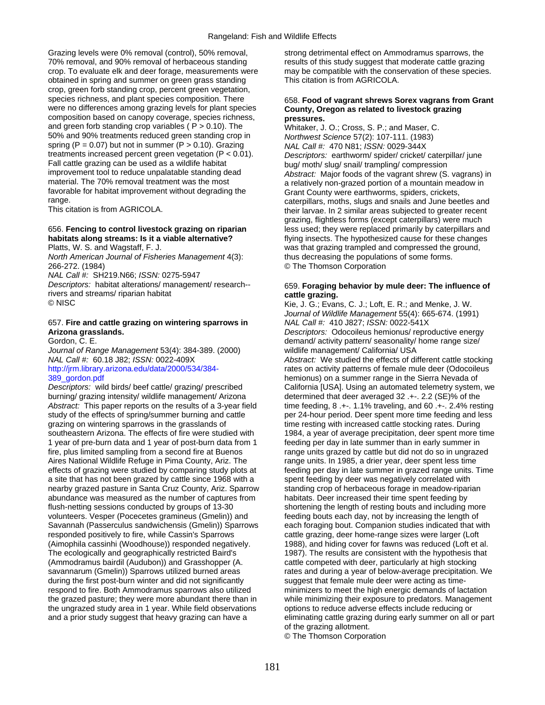Grazing levels were 0% removal (control), 50% removal, strong detrimental effect on Ammodramus sparrows, the 70% removal, and 90% removal of herbaceous standing results of this study suggest that moderate cattle grazing crop. To evaluate elk and deer forage, measurements were may be compatible with the conservation of these species. obtained in spring and summer on green grass standing This citation is from AGRICOLA. crop, green forb standing crop, percent green vegetation, species richness, and plant species composition. There 658. **Food of vagrant shrews Sorex vagrans from Grant** were no differences among grazing levels for plant species **County, Oregon as related to livestock grazing**  composition based on canopy coverage, species richness, **pressures.**  and green forb standing crop variables (P > 0.10). The Whitaker, J. O.; Cross, S. P.; and Maser, C. 50% and 90% treatments reduced green standing crop in *Northwest Science* 57(2): 107-111. (1983) spring (P = 0.07) but not in summer (P > 0.10). Grazing treatments increased percent green vegetation (P < 0.01). Fall cattle grazing can be used as a wildlife habitat bug/ moth/ slug/ moth/ slug/ snail/ trampling/ compression<br>
improvement tool to reduce unpalatable standing dead *Abstract:* Maior foods of the vagrant shrew (S improvement tool to reduce unpalatable standing dead *Abstract:* Major foods of the vagrant shrew (S. vagrans) in favorable for habitat improvement without degrading the Grant County were earthworms, spiders, crickets,<br>Caternillars, moths, slugs and spails and lune begraphic

*North American Journal of Fisheries Management* 4(3): thus decreasing the populations of some forms. 266-272. (1984) © The Thomson Corporation

*NAL Call #:* SH219.N66; *ISSN:* 0275-5947 *Descriptors:* habitat alterations/ management/ research-- 659. **Foraging behavior by mule deer: The influence of**  rivers and streams/ riparian habitat **cattle grazing.**<br>
© NISC **CALL CONTEXE** 

### 657. Fire and cattle grazing on wintering sparrows in **Arizona grasslands.** *Descriptors:* Odocoileus hemionus/ reproductive energy

*Journal of Range Management* 53(4): 384-389. (2000) wildlife management/ California/ USA

*Descriptors:* wild birds/ beef cattle/ grazing/ prescribed California [USA]. Using an automated telemetry system, we burning/ grazing intensity/ wildlife management/ Arizona determined that deer averaged 32 .+-. 2.2 (SE)% of the *Abstract:* This paper reports on the results of a 3-year field time feeding, 8 .+-. 1.1% traveling, and 60 .+-. 2.4% resting study of the effects of spring/summer burning and cattle per 24-hour period. Deer spent more time feeding and less grazing on wintering sparrows in the grasslands of time resting with increased cattle stocking rates. During southeastern Arizona. The effects of fire were studied with 1984, a year of average precipitation, deer spent more time 1 year of pre-burn data and 1 year of post-burn data from 1 feeding per day in late summer than in early summer in fire, plus limited sampling from a second fire at Buenos range units grazed by cattle but did not do so in ungrazed Aires National Wildlife Refuge in Pima County, Ariz. The range units. In 1985, a drier year, deer spent less time effects of grazing were studied by comparing study plots at feeding per day in late summer in grazed range units. Time a site that has not been grazed by cattle since 1968 with a spent feeding by deer was negatively correlated with nearby grazed pasture in Santa Cruz County, Ariz. Sparrow standing crop of herbaceous forage in meadow-riparian abundance was measured as the number of captures from habitats. Deer increased their time spent feeding by flush-netting sessions conducted by groups of 13-30 shortening the length of resting bouts and including more volunteers. Vesper (Pocecetes gramineus (Gmelin)) and feeding bouts each day, not by increasing the length of Savannah (Passerculus sandwichensis (Gmelin)) Sparrows each foraging bout. Companion studies indicated that with responded positively to fire, while Cassin's Sparrows cattle grazing, deer home-range sizes were larger (Loft<br>(Aimophila cassinhi (Woodhouse)) responded negatively. 1988), and hiding cover for fawns was reduced (Loft et (Aimophila cassinhi (Woodhouse)) responded negatively. 1988), and hiding cover for fawns was reduced (Loft et al.<br>The ecologically and geographically restricted Baird's 1987). The results are consistent with the hypothesis (Ammodramus bairdil (Audubon)) and Grasshopper (A. cattle competed with deer, particularly at high stocking savannarum (Gmelin)) Sparrows utilized burned areas rates and during a year of below-average precipitation. We during the first post-burn winter and did not significantly suggest that female mule deer were acting as timerespond to fire. Both Ammodramus sparrows also utilized minimizers to meet the high energic demands of lactation the grazed pasture; they were more abundant there than in while minimizing their exposure to predators. Management the ungrazed study area in 1 year. While field observations options to reduce adverse effects include reducing or and a prior study suggest that heavy grazing can have a eliminating cattle grazing during early summer on all or part

Descriptors: earthworm/ spider/ cricket/ caterpillar/ june a relatively non-grazed portion of a mountain meadow in range.<br>This citation is from AGRICOLA.<br>This citation is from AGRICOLA.<br>This citation is from AGRICOLA. their larvae. In 2 similar areas subjected to greater recent grazing, flightless forms (except caterpillars) were much 656. **Fencing to control livestock grazing on riparian** less used; they were replaced primarily by caterpillars and **habitats along streams: Is it a viable alternative?** flying insects. The hypothesized cause for these changes Platts, W. S. and Wagstaff, F. J. was that grazing trampled and compressed the ground,

Kie, J. G.; Evans, C. J.; Loft, E. R.; and Menke, J. W. *Journal of Wildlife Management* 55(4): 665-674. (1991) Gordon, C. E. **Gordon, C. E.** demand/ activity pattern/ seasonality/ home range size/ *NAL Call #:* 60.18 J82; *ISSN:* 0022-409X *Abstract:* We studied the effects of different cattle stocking [http://jrm.library.arizona.edu/data/2000/534/384-](http://jrm.library.arizona.edu/data/2000/534/384-389_gordon.pdf) rates on activity patterns of female mule deer (Odocoileus [389\\_gordon.pdf](http://jrm.library.arizona.edu/data/2000/534/384-389_gordon.pdf) hemionus) on a summer range in the Sierra Nevada of 1987). The results are consistent with the hypothesis that of the grazing allotment.

© The Thomson Corporation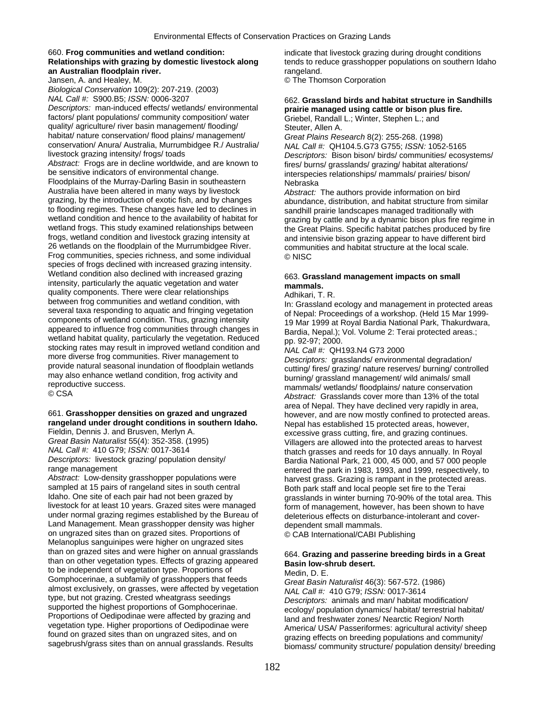### 660. **Frog communities and wetland condition:** indicate that livestock grazing during drought conditions **an Australian floodplain river. rangeland. rangeland. rangeland.**

*Biological Conservation* 109(2): 207-219. (2003)

*Descriptors:* man-induced effects/ wetlands/ environmental **prairie managed using cattle or bison plus fire.**  factors/ plant populations/ community composition/ water quality/ agriculture/ river basin management/ flooding/ Steuter, Allen A. habitat/ nature conservation/ flood plains/ management/ *Great Plains Research* 8(2): 255-268. (1998) conservation/ Anura/ Australia, Murrumbidgee R./ Australia/ *NAL Call #:* QH104.5.G73 G755; *ISSN:* 1052-5165 *Abstract:* Frogs are in decline worldwide, and are known to fires/ burns/ grasslands/ grazing/ habitat alterations/<br>/be sensitive indicators of environmental change. interspecies relationships/ mammals/ prairies/ bison Floodplains of the Murray-Darling Basin in southeastern Nebraska Australia have been altered in many ways by livestock *Abstract:* The authors provide information on bird grazing, by the introduction of exotic fish, and by changes abundance, distribution, and habitat structure from similar<br>to flooding regimes. These changes have led to declines in sandhill prairie landscapes managed traditi to flooding regimes. These changes have led to declines in sandhill prairie landscapes managed traditionally with<br>wetland condition and hence to the availability of habitat for sangring by cattle and by a dynamic bison plu wetland condition and hence to the availability of habitat for grazing by cattle and by a dynamic bison plus fire regime in<br>wetland frogs. This study examined relationships between the Great Plains. Specific habitat patche wetland frogs. This study examined relationships between the Great Plains. Specific habitat patches produced by fire<br>frogs, wetland condition and livestock grazing intensity at and intensivie bison grazing appear to have d 26 wetlands on the floodplain of the Murrumbidgee River. communities and habitat structure at the local scale. Frog communities, species richness, and some individual  $\odot$  NISC species of frogs declined with increased grazing intensity. Wetland condition also declined with increased grazing intensity, particularly the aquatic vegetation and water quality components. There were clear relationships  $\overrightarrow{A}$  object  $\overrightarrow{F}$  P quality components. There were clear relationships<br>
between frog communities and wetland condition, with<br>
several taxa responding to aquatic and fringing vegetation<br>
components of welalal condition. Thus, grazing intensity

## 661. **Grasshopper densities on grazed and ungrazed** however, and are now mostly confined to protected areas.

*Abstract:* Low-density grasshopper populations were harvest grass. Grazing is rampant in the protected areas.<br>
So Boh park staff and local people set fire to the Terain sampled at 15 paragles in south central and local pe sampled at 15 pairs of rangeland sites in south central Both park staff and local people set fire to the Terai<br>Idaho. One site of each pair had not been grazed by example are set and sin winter burning 70-90% of the total Idaho. One site of each pair had not been grazed by grasslands in winter burning 70-90% of the total area. This<br>Iivestock for at least 10 years. Grazed sites were managed form of management, however, has been shown to have under normal grazing regimes established by the Bureau of deleterious effects on disturbance-intolerant and cover-Land Management. Mean grasshopper density was higher dependent small mammals. on ungrazed sites than on grazed sites. Proportions of © CAB International/CABI Publishing Melanoplus sanguinipes were higher on ungrazed sites than on grazed sites and were higher on annual grasslands<br>
than on other vegetation types. Effects of grazing appeared<br> **Basin low-shrub desert.**<br>
Media D. E. to be independent or vegetation type. Proportions of<br>
Great Basin Naturalist 46(3): 567-572. (1986)<br>
almost exclusively, on grasses, were affected by vegetation<br>
type, but not grazing. Crested wheatgrass seedings<br>
NAL Call type, but not grazing. Crested wheatgrass seedings *Descriptors:* animals and man/ habitat modification/

**Relationships with grazing by domestic livestock along** tends to reduce grasshopper populations on southern Idaho

Jansen, A. and Healey, M. © The Thomson Corporation

## *NAL Call #:* S900.B5; *ISSN:* 0006-3207 662. **Grassland birds and habitat structure in Sandhills**

Descriptors: Bison bison/ birds/ communities/ ecosystems/ interspecies relationships/ mammals/ prairies/ bison/

and intensivie bison grazing appear to have different bird

area of Nepal. They have declined very rapidly in area, **rangeland under drought conditions in southern Idaho. Nepal has established 15 protected areas, however,** Fieldin, Dennis J. and Brusven, Merlyn A. *notelyn B. excessive grass cutting, fire, and grazing continues.* Fieldin, Dennis J. and Brusven, Merlyn A. excessive grass cutting, fire, and grazing continues.<br>Great Basin Naturalist 55(4): 352-358. (1995) excessive and Villagers are allowed into the protected areas to han *Great Basin Naturalist* 55(4): 352-358. (1995) Villagers are allowed into the protected areas to harvest *NAL Call #:* 410 G79; *ISSN:* 0017-3614 thatch grasses and reeds for 10 days annually. In Royal *Descriptors:* livestock grazing/ population density/ Bardia National Park, 21 000, 45 000, and 57 000 people range management range management<br>
Abstract: Low-density grasshopper populations were<br>
harvest grass. Grazing is rampant in the protected areas. form of management, however, has been shown to have

supported the highest proportions of Gomphocerinae.<br>
Proportions of Oedipodinae were affected by grazing and<br>
vegetation type. Higher proportions of Oedipodinae were<br>
found on grazed sites than on ungrazed sites, and on<br>
s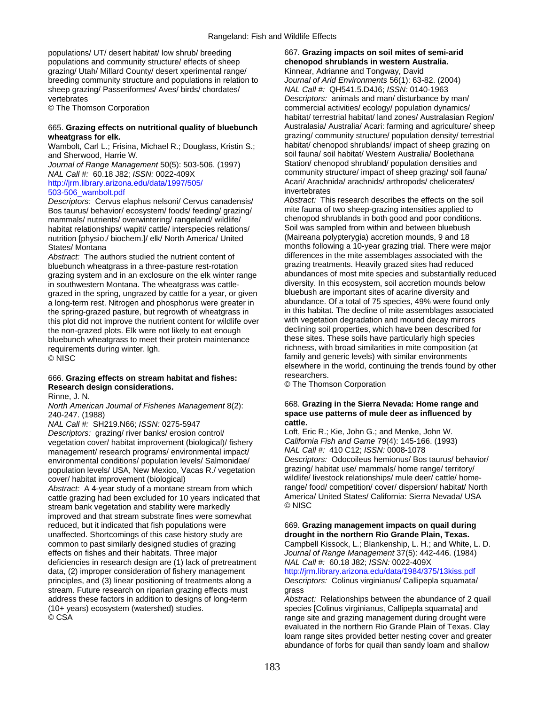populations/ UT/ desert habitat/ low shrub/ breeding 667. **Grazing impacts on soil mites of semi-arid**  populations and community structure/ effects of sheep **chenopod shrublands in western Australia.**  grazing/ Utah/ Millard County/ desert xperimental range/ Kinnear, Adrianne and Tongway, David breeding community structure and populations in relation to *Journal of Arid Environments* 56(1): 63-82. (2004) sheep grazing/ Passeriformes/ Aves/ birds/ chordates/ *NAL Call #:* QH541.5.D4J6; *ISSN:* 0140-1963 vertebrates *Descriptors:* animals and man/ disturbance by man/

Wambolt, Carl L.; Frisina, Michael R.; Douglass, Kristin S.;

*Journal of Range Management* 50(5): 503-506. (1997)

*Descriptors:* Cervus elaphus nelsoni/ Cervus canadensis/ *Abstract:* This research describes the effects on the s<br>Ros taurus/ behavior/ ecosystem/ foods/ feeding/ grazing/ mite fauna of two sheep-grazing intensities appli Bos taurus/ behavior/ ecosystem/ foods/ feeding/ grazing/ mite fauna of two sheep-grazing intensities applied to<br>mammals/ nutrients/ overwintering/ rangeland/ wildlife/ chenopod shrublands in both good and poor conditions. mammals/ nutrients/ overwintering/ rangeland/ wildlife/ chenopod shrublands in both good and poor condition<br>habitat relationships/ wapiti/ cattle/ interspecies relations/ Soil was sampled from within and between bluebush habitat relationships/ wapiti/ cattle/ interspecies relations/ Soil was sampled from within and between bluebush<br>18 nutrition Iphysio / biochem I/ elk/ North America/ United (Maireana polypterygia) accretion mounds, 9 and nutrition [physio./ biochem.]/ elk/ North America/ United

*Abstract:* The authors studied the nutrient content of grazing system and in an exclosure on the elk winter range abundances of most mite species and substantially reduce<br>in southwestern Montana. The wheatgrass was cattle-<br>diversity. In this ecosystem, soil accretion mounds be in southwestern Montana. The wheatgrass was cattle-<br>
orazed in the spring, ungrazed by cattle for a year, or given<br>
bluebush are important sites of acarine diversity and grazed in the spring, ungrazed by cattle for a year, or given bluebush are important sites of acarine diversity and<br>a long-term rest. Nitrogen and phosphorus were greater in abundance. Of a total of 75 species, 49% were fo a long-term rest. Nitrogen and phosphorus were greater in abundance. Of a total of 75 species, 49% were found only<br>the spring-grazed pasture, but regrowth of wheatgrass in a single in this habitat. The decline of mite asse the spring-grazed pasture, but regrowth of wheatgrass in in this habitat. The decline of mite assemblages associ<br>this plot did not improve the nutrient content for wildlife over with vegetation degradation and mound decay this plot did not improve the nutrient content for wildlife over with vegetation degradation and mound decay mirrors<br>the non-grazed plots. Fik were not likely to eat enough declining soil properties, which have been descri the non-grazed plots. Elk were not likely to eat enough declining soil properties, which have been described fo<br>bluebunch wheatgrass to meet their protein maintenance these sites. These soils have particularly high species bluebunch wheatgrass to meet their protein maintenance

## researchers. 666. **Grazing effects on stream habitat and fishes:** © The Thomson Corporation **Research design considerations.**

Rinne, J. N.

*NAL Call #:* SH219.N66; *ISSN:* 0275-5947 **cattle.**  *Descriptors:* grazing/ river banks/ erosion control/ Loft, Eric R.; Kie, John G.; and Menke, John W. vegetation cover/ habitat improvement (biological)/ fishery *California Fish and Game* 79(4): 145-166. (1997)<br>MAL Call #: 410 C12; ISSN: 0008-1078 management/ research programs/ environmental impact/ *NAL Call #:* 410 C12; *ISSN:* 0008-1078 environmental conditions/ population levels/ Salmonidae/ *Descriptors:* Odocoileus hemionus/ Bos taurus/ behavior<br>// population levels/ USA, New Mexico, Vacas R./ yegetation grazing/ habitat use/ mammals/ home range/ terri population levels/ USA, New Mexico, Vacas R./ vegetation

*Abstract:* A 4-year study of a montane stream from which range/ food/ competition/ cover/ dispersion/ habitat/ Nor<br>Cattle grazing had been excluded for 10 years indicated that America/ United States/ California: Sierra Ne cattle grazing had been excluded for 10 years indicated that America<br>stream bank vegetation and stability were markedly CONISC stream bank vegetation and stability were markedly improved and that stream substrate fines were somewhat reduced, but it indicated that fish populations were 669. **Grazing management impacts on quail during**  unaffected. Shortcomings of this case history study are **drought in the northern Rio Grande Plain, Texas. common to past similarly designed studies of grazing** Campbell Kissock, L.; Blankenship, L. H.; and White common to past similarly designed studies of grazing Campbell Kissock, L.; Blankenship, L. H.; and White, L. D.<br>
effects on fishes and their habitats. Three major Journal of Range Management 37(5): 442-446. (1984) deficiencies in research design are (1) lack of pretreatment data, (2) improper consideration of fishery management http://jrm.library.arizona.edu/data/1984/375/13kiss.pdf principles, and (3) linear positioning of treatments along a *Descriptors:* Colinus virginianus/ Callipepla squamata/ stream. Future research on riparian grazing effects must grass address these factors in addition to designs of long-term *Abstract:* Relationships between the abundance of 2 quail (10+ years) ecosystem (watershed) studies. species [Colinus virginianus, Callipepla squamata] and

© The Thomson Corporation commercial activities/ ecology/ population dynamics/ habitat/ terrestrial habitat/ land zones/ Australasian Region/ 665. **Grazing effects on nutritional quality of bluebunch** Australasia/ Australia/ Acari: farming and agriculture/ sheep **wheatgrass for elk.**<br>Wambolt Carl Literian Michael Richael Richael Siterial buildings and habitat/ chenopod shrublands/ impact of sheep grazing on and Sherwood, Harrie W.<br>and Sherwood, Harrie W. soil fauna/ soil fauna/ soil habitat/ Western Australia/ Boolethana<br>Journal of Range Management 50(5): 503-506. (1997) Station/ chenopod shrubland/ population densities and *NAL Call #:* 60.18 J82; *ISSN:* 0022-409X community structure/ impact of sheep grazing/ soil fauna/ http://jrm.library.arizona.edu/data/1997/505/ <br>503-506 wambolt ndf<br>invertebrates<br>invertebrates

503-506\_wambolt.pdf<br>Descriptors: Cervus elaphus nelsoni/ Cervus canadensis/ abstract: This research describes the effects on the soil States/ Montana<br>Abstract: The authors studied the nutrient content of differences in the mite assemblages associated with the bluebunch wheatgrass in a three-pasture rest-rotation grazing treatments. Heavily grazed sites had reduced<br>grazing system and in an exclosure on the elk winter range abundances of most mite species and substantially reduce requirements during winter. Igh. The richness, with broad similarities in mite composition (at  $\circ$  NISC and SIC family and generic levels) with similar environments elsewhere in the world, continuing the trends found by other

### *North American Journal of Fisheries Management* 8(2): 668. **Grazing in the Sierra Nevada: Home range and**  240-247. (1988) **space use patterns of mule deer as influenced by**

cover/ habitat improvement (biological) wildlife/ livestock relationships/ mule deer/ cattle/ home-<br>
Abstract: A 4-vear study of a montane stream from which range/ food/ competition/ cover/ dispersion/ habitat/ North

Journal of Range Management 37(5): 442-446. (1984)<br>NAL Call #: 60.18 J82; *ISSN:* 0022-409X

© CSA range site and grazing management during drought were evaluated in the northern Rio Grande Plain of Texas. Clay loam range sites provided better nesting cover and greater abundance of forbs for quail than sandy loam and shallow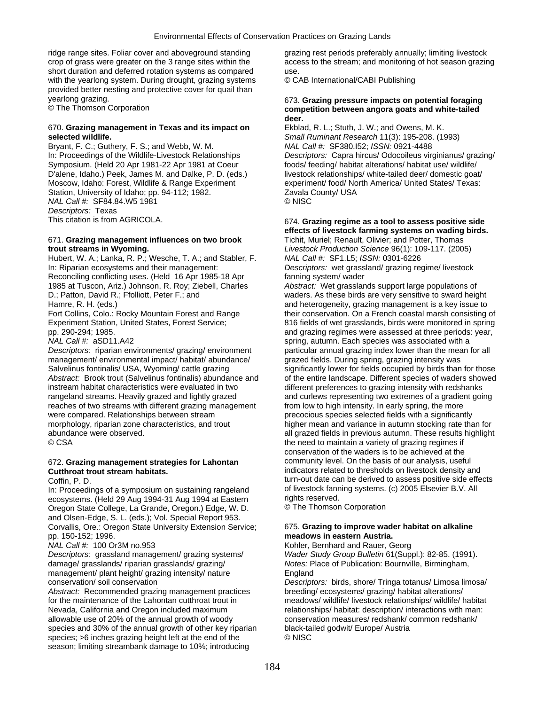ridge range sites. Foliar cover and aboveground standing grazing rest periods preferably annually; limiting livestock crop of grass were greater on the 3 range sites within the access to the stream; and monitoring of hot season grazing short duration and deferred rotation systems as compared use. with the yearlong system. During drought, grazing systems  $\odot$  CAB International/CABI Publishing provided better nesting and protective cover for quail than

### 670. **Grazing management in Texas and its impact on** Ekblad, R. L.; Stuth, J. W.; and Owens, M. K. **selected wildlife.** *Small Ruminant Research* 11(3): 195-208. (1993)

Bryant, F. C.; Guthery, F. S.; and Webb, W. M. *NAL Call #:* SF380.I52; *ISSN:* 0921-4488 Symposium. (Held 20 Apr 1981-22 Apr 1981 at Coeur foods/ feeding/ habitat alterations/ habitat use/ wildlife/ Moscow, Idaho: Forest, Wildlife & Range Experiment experiment/ food/ North America/ United States/ Texas: Station, University of Idaho; pp. 94-112; 1982. Zavala County/ USA *NAL Call #:* SF84.84.W5 1981 © NISC *Descriptors:* Texas

### 671. **Grazing management influences on two brook** Tichit, Muriel; Renault, Olivier; and Potter, Thomas **trout streams in Wyoming.** *Livestock Production Science* 96(1): 109-117. (2005)

Hubert, W. A.; Lanka, R. P.; Wesche, T. A.; and Stabler, F. *NAL Call #:* SF1.L5; *ISSN:* 0301-6226 In: Riparian ecosystems and their management: *Descriptors:* wet grassland/ grazing regime/ livestock Reconciling conflicting uses. (Held 16 Apr 1985-18 Apr fanning system/wader 1985 at Tuscon, Ariz.) Johnson, R. Roy; Ziebell, Charles *Abstract:* Wet grasslands support large populations of

*Descriptors:* riparian environments/ grazing/ environment particular annual grazing index lower than the mean for all management/ environmental impact/ habitat/ abundance/ grazed fields. During spring, grazing intensity was instream habitat characteristics were evaluated in two different preferences to grazing intensity with redshanks rangeland streams. Heavily grazed and lightly grazed and curlews representing two extremes of a gradient going reaches of two streams with different grazing management from low to high intensity. In early spring, the more were compared. Relationships between stream precocious species selected fields with a significantly morphology, riparian zone characteristics, and trout higher mean and variance in autumn stocking rate than for

## 672. Grazing management strategies for Lahontan

In: Proceedings of a symposium on sustaining rangeland of livestock fanning rangeland of livestock fanning systems. (Held 29 Aug 1994-31 Aug 1994 at Fastern ecosystems. (Held 29 Aug 1994-31 Aug 1994 at Eastern rights reserved.<br>Oregon State College, La Grande, Oregon.) Edge, W. D. <br>Came Thomson Corporation Oregon State College, La Grande, Oregon.) Edge, W. D. and Olsen-Edge, S. L. (eds.); Vol. Special Report 953. Corvallis, Ore.: Oregon State University Extension Service; 675. **Grazing to improve wader habitat on alkaline**  pp. 150-152; 1996. **meadows in eastern Austria.** 

### *NAL Call #:* 100 Or3M no.953 Kohler, Bernhard and Rauer, Georg

*Descriptors:* grassland management/ grazing systems/ *Wader Study Group Bulletin* 61(Suppl.): 82-85. (1991). damage/ grasslands/ riparian grasslands/ grazing/ *Notes:* Place of Publication: Bournville, Birmingham, management/ plant height/ grazing intensity/ nature England

*Abstract:* Recommended grazing management practices breeding/ ecosystems/ grazing/ habitat alterations/ for the maintenance of the Lahontan cutthroat trout in meadows/ wildlife/ livestock relationships/ wildlife/ habitat Nevada, California and Oregon included maximum relationships/ habitat: description/ interactions with man: allowable use of 20% of the annual growth of woody conservation measures/ redshank/ common redshank/ species and 30% of the annual growth of other key riparian black-tailed godwit/ Europe/ Austria species; >6 inches grazing height left at the end of the © NISC season; limiting streambank damage to 10%; introducing

### yearlong grazing.<br> **Caraging by Communist Communist Caraging Communist Communist Communist Communist Communist Communist Communist C**<br> **Communist Communist Communist Communist Communist Communist Communist Communist Commun** © The Thomson Corporation **competition between angora goats and white-tailed deer.**

In: Proceedings of the Wildlife-Livestock Relationships *Descriptors:* Capra hircus/ Odocoileus virginianus/ grazing/ D'alene, Idaho.) Peek, James M. and Dalke, P. D. (eds.) livestock relationships/ white-tailed deer/ domestic goat/

### 674. Grazing regime as a tool to assess positive side **effects of livestock farming systems on wading birds.**

waders. As these birds are very sensitive to sward height

Hamre, R. H. (eds.)<br>
Fort Collins, Colo.: Rocky Mountain Forest and Range and their conservation. On a French coastal marsh consisting Fort Collins, Colo.: Rocky Mountain Forest and Range their conservation. On a French coastal marsh consisting of<br>Experiment Station, United States, Forest Service;<br>816 fields of wet grasslands, birds were monitored in spri 816 fields of wet grasslands, birds were monitored in spring pp. 290-294; 1985. and grazing regimes were assessed at three periods: year, *NAL Call #:* aSD11.A42 spring, autumn. Each species was associated with a Salvelinus fontinalis/ USA, Wyoming/ cattle grazing strategy significantly lower for fields occupied by birds than for those Abstract: Brook trout (Salvelinus fontinalis) abundance and of the entire landscape. Different species of waders showed abundance were observed. all grazed fields in previous autumn. These results highlight © CSA the need to maintain a variety of grazing regimes if conservation of the waders is to be achieved at the **Cutthroat trout stream habitats.** indicators related to thresholds on livestock density and Coffin, P. D.<br>
In: Proceedings of a symposium on sustaining rangeland of livestock fanning systems. (c) 2005 Elsevier B.V. All

conservation/ soil conservation *Descriptors:* birds, shore/ Tringa totanus/ Limosa limosa/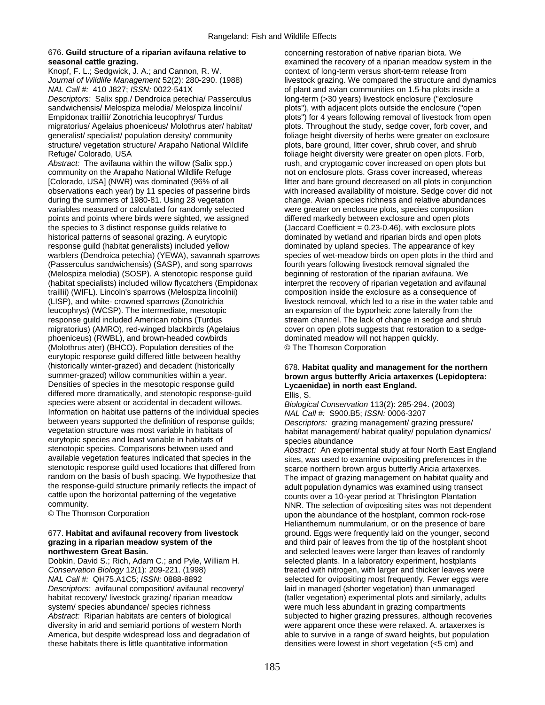## 676. **Guild structure of a riparian avifauna relative to** concerning restoration of native riparian biota. We

*NAL Call #:* 410 J827; *ISSN:* 0022-541X of plant and avian communities on 1.5-ha plots inside a *Descriptors:* Salix spp./ Dendroica petechia/ Passerculus long-term (>30 years) livestock enclosure ("exclosure sandwichensis/ Melospiza melodia/ Melospiza lincolnii/ plots"), with adjacent plots outside the enclosure ("open migratorius/ Agelaius phoeniceus/ Molothrus ater/ habitat/ plots. Throughout the study, sedge cover, forb cover, and generalist/ specialist/ population density/ community foliage height diversity of herbs were greater on exclosure structure/ vegetation structure/ Arapaho National Wildlife plots, bare ground, litter cover, shrub cover, and shrub Refuge/ Colorado, USA foliage height diversity were greater on open plots. Forb,

Abstract: The avifauna within the willow (Salix spp.) rush, and cryptogamic cover increased on open plots but community on the Arapaho National Wildlife Refuge not on enclosure plots. Grass cover increased, whereas [Colorado, USA] (NWR) was dominated (96% of all litter and bare ground decreased on all plots in conjunction observations each year) by 11 species of passerine birds with increased availability of moisture. Sedge cover did not variables measured or calculated for randomly selected were greater on enclosure plots, species composition points and points where birds were sighted, we assigned differed markedly between exclosure and open plots the species to 3 distinct response quilds relative to  $($ Jaccard Coefficient = 0.23-0.46), with exclosure plots historical patterns of seasonal grazing. A eurytopic dominated by wetland and riparian birds and open plots response guild (habitat generalists) included yellow dominated by upland species. The appearance of key warblers (Dendroica petechia) (YEWA), savannah sparrows species of wet-meadow birds on open plots in the third and (Passerculus sandwichensis) (SASP), and song sparrows fourth years following livestock removal signaled the (Melospiza melodia) (SOSP). A stenotopic response guild beginning of restoration of the riparian avifauna. We (habitat specialists) included willow flycatchers (Empidonax interpret the recovery of riparian vegetation and avifaunal traillii) (WIFL). Lincoln's sparrows (Melospiza lincolnii) composition inside the exclosure as a consequence of (LISP), and white- crowned sparrows (Zonotrichia livestock removal, which led to a rise in the water table and leucophrys) (WCSP). The intermediate, mesotopic an expansion of the byporheic zone laterally from the response guild included American robins (Turdus stream channel. The lack of change in sedge and shrub migratorius) (AMRO), red-winged blackbirds (Agelaius cover on open plots suggests that restoration to a sedgephoeniceus) (RWBL), and brown-headed cowbirds dominated meadow will not happen quickly. (Molothrus ater) (BHCO). Population densities of the © The Thomson Corporation eurytopic response guild differed little between healthy (historically winter-grazed) and decadent (historically 678. **Habitat quality and management for the northern**  $\frac{1}{100}$  summer-grazed) willow communities within a year. Densities of species in the mesotopic response guild differed more dramatically, and stenotopic response-guild Ellis, S. species were absent or accidental in decadent willows. *Biological Conservation* 113(2): 285-294. (2003) Information on habitat use patterns of the individual species *NAL Call #:* S900.B5; *ISSN:* 0006-3207<br>between years supported the definition of response guilds; *Descriptors: grazing management/ graz* between years supported the definition of response guilds; *Descriptors:* grazing management/ grazing pressure/ eurytopic species and least variable in habitats of species abundance<br>stenotopic species. Comparisons between used and a abstract: An experiavailable vegetation features indicated that species in the sites, was used to examine ovipositing preferences in the<br>stenotopic response guild used locations that differed from scarce northern brown argus butterfly Aricia stenotopic response guild used locations that differed from scarce northern brown argus butterfly Aricia artaxerxes.<br>The impact of grazing management on habitat guality are random with the impact of grazing management on h the response-guild structure primarily reflects the impact of adult population dynamics was examined using transect cattle upon the horizontal patterning of the vegetative counts over a 10-year period at Thrislington Plantation<br>
COUNTS The selection of ovinositing sites was not dependent

Dobkin, David S.; Rich, Adam C.; and Pyle, William H. Selected plants. In a laboratory experiment, hostplants Conservation Biology 12(1): 209-221. (1998) treated with nitrogen, with larger and thicker leaves were<br>
NAL Call #: QH75.A1C5; ISSN: 0888-8892 selected for ovipositing most frequently. Fewer eggs were *Descriptors:* avifaunal composition/ avifaunal recovery/ system/ species abundance/ species richness were much less abundant in grazing compartments<br> *Abstract:* Riparian habitats are centers of biological subjected to higher grazing pressures, although rec diversity in arid and semiarid portions of western North were apparent once these were relaxed. A. artaxerxes is these habitats there is little quantitative information densities were lowest in short vegetation (<5 cm) and

**seasonal cattle grazing.** examined the recovery of a riparian meadow system in the Knopf, F. L.; Sedgwick, J. A.; and Cannon, R. W. context of long-term versus short-term release from *Journal of Wildlife Management* 52(2): 280-290. (1988) livestock grazing. We compared the structure and dynamics Empidonax traillii/ Zonotrichia leucophrys/ Turdus plots") for 4 years following removal of livestock from open change. Avian species richness and relative abundances

# brown argus butterfly Aricia artaxerxes (Lepidoptera: Lycaenidae) in north east England.

habitat management/ habitat quality/ population dynamics/

stenotopic species. Comparisons between used and *Abstract:* An experimental study at four North East England The impact of grazing management on habitat quality and community.<br>
© The Thomson Corporation extension the selection of ovipositing sites was not dependent to The Thomson Corporation upon the abundance of the hostplant, common rock-rose Helianthemum nummularium, or on the presence of bare 677. **Habitat and avifaunal recovery from livestock** ground. Eggs were frequently laid on the younger, second **grazing in a riparian meadow system of the** <br>and third pair of leaves from the tip of the hostplant shoot **northwestern Great Basin. and School and Selected leaves were larger than leaves of randomly** selected for ovipositing most frequently. Fewer eggs were laid in managed (shorter vegetation) than unmanaged habitat recovery/ livestock grazing/ riparian meadow (taller vegetation) experimental plots and similarly, adults subjected to higher grazing pressures, although recoveries America, but despite widespread loss and degradation of able to survive in a range of sward heights, but population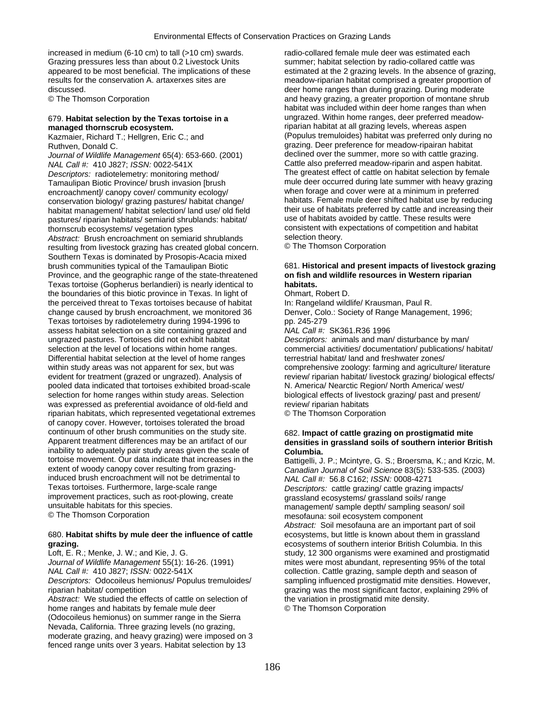increased in medium (6-10 cm) to tall (>10 cm) swards. radio-collared female mule deer was estimated each Grazing pressures less than about 0.2 Livestock Units summer; habitat selection by radio-collared cattle was discussed. deer home ranges than during grazing. During moderate

*Journal of Wildlife Management* 65(4): 653-660. (2001) *NAL Call #:* 410 J827; *ISSN:* 0022-541X Cattle also preferred meadow-riparin and aspen habitat. *Descriptors:* radiotelemetry: monitoring method/ The greatest effect of cattle on habitat selection by female encroachment]/ canopy cover/ community ecology/ when forage and cover were at a minimum in preferred<br>
conservation biology/ grazing pastures/ babitat change/<br>
habitats. Female mule deer shifted habitat use by reducing habitat management/ habitat selection/ land use/ old field their use of habitats preferred by cattle and increasing<br>nastures/ riparian habitats/ semiarid shrublands: habitat/ use of habitats avoided by cattle. These result pastures/ riparian habitats/ semiarid shrublands: habitat/ thornscrub ecosystems/ vegetation types consistent with expectations of competition and habitat<br>Abstract: Brush encroachment on semiarid shrublands selection theory. Abstract: Brush encroachment on semiarid shrublands selection theory.<br>
resulting from livestock grazing has created global concern. 
<sup>©</sup> The Thomson Corporation resulting from livestock grazing has created global concern. Southern Texas is dominated by Prosopis-Acacia mixed Province, and the geographic range of the state-threatened **on fish and wildlife resources in Western riparian**  Texas tortoise (Gopherus berlandieri) is nearly identical to **habitats.**  the boundaries of this biotic province in Texas. In light of Ohmart, Robert D. the perceived threat to Texas tortoises because of habitat In: Rangeland wildlife/ Krausman, Paul R. change caused by brush encroachment, we monitored 36 Denver, Colo.: Society of Range Management, 1996; Texas tortoises by radiotelemetry during 1994-1996 to pp. 245-279 assess habitat selection on a site containing grazed and *NAL Call #:* SK361.R36 1996 ungrazed pastures. Tortoises did not exhibit habitat *Descriptors:* animals and man/ disturbance by man/ selection at the level of locations within home ranges. commercial activities/ documentation/ publications/ habitat/<br>Differential habitat selection at the level of home ranges terrestrial habitat/ land and freshwater zones Differential habitat selection at the level of home ranges evident for treatment (grazed or ungrazed). Analysis of review/ riparian habitat/ livestock grazing/ biologica<br>
pooled data indicated that tortoises exhibited broad-scale N. America/ Nearctic Region/ North America/ west/ pooled data indicated that tortoises exhibited broad-scale selection for home ranges within study areas. Selection biological effects of livestock grazing/ past and present/ was expressed as preferential avoidance of old-field and review/ riparian habitats riparian habitats, which represented vegetational extremes © The Thomson Corporation of canopy cover. However, tortoises tolerated the broad continuum of other brush communities on the study site. 682. **Impact of cattle grazing on prostigmatid mite**  inability to adequately pair study areas given the scale of **Columbia.**<br> **Columbia. Columbia. Columbia.** Our data indicate that increases in the Battigelli. J. induced brush encroachment will not be detrimental to *NAL Call #:* 56.8 C162; *ISSN:* 0008-4271 improvement practices, such as root-plowing, create grassland ecosystems/ grassland soils/ range unsuitable habitats for this species.<br>
© The Thomson Corporation entity of the state of the mesofauna: soil ecosystem component

## 680. **Habitat shifts by mule deer the influence of cattle** ecosystems, but little is known about them in grassland

*Journal of Wildlife Management* 55(1): 16-26. (1991) mites were most abundant, representing 95% of the total *NAL Call #:* 410 J827; *ISSN:* 0022-541X collection. Cattle grazing, sample depth and season of Abstract: We studied the effects of cattle on selection of the variation in prostigmatid mite density. home ranges and habitats by female mule deer  $\bullet$  The Thomson Corporation (Odocoileus hemionus) on summer range in the Sierra Nevada, California. Three grazing levels (no grazing,

moderate grazing, and heavy grazing) were imposed on 3 fenced range units over 3 years. Habitat selection by 13

appeared to be most beneficial. The implications of these estimated at the 2 grazing levels. In the absence of grazing, results for the conservation A. artaxerxes sites are meadow-riparian habitat comprised a greater proportion of © The Thomson Corporation and heavy grazing, a greater proportion of montane shrub habitat was included within deer home ranges than when 679. **Habitat selection by the Texas tortoise in a** ungrazed. Within home ranges, deer preferred meadow**managed thornscrub ecosystem. riparian habitat at all grazing levels, whereas aspen** Kazmaier, Richard T.; Hellgren, Eric C.; and (Populus tremuloides) habitat was preferred only during no Ruthven, Donald C.<br>(grazing. Deer preference for meadow-ripairan habitat grazing. declined over the summer, more so with cattle grazing. Tamaulipan Biotic Province/ brush invasion [brush mule deer occurred during late summer with heavy grazing conservation biology/ grazing pastures/ habitat change/ habitats. Female mule deer shifted habitat use by reducing<br>habitat management/ habitat selection/ land use/ old field their use of habitats preferred by cattle and in

# brush communities typical of the Tamaulipan Biotic 681. **Historical and present impacts of livestock grazing**

within study areas was not apparent for sex, but was comprehensive zoology: farming and agriculture/ literature<br>
evident for treatment (grazed or ungrazed). Analysis of review/ riparian habitat/ livestock grazing/ biologic

# densities in grassland soils of southern interior British

tortoise movement. Our data indicate that increases in the Battigelli, J. P.; Mcintyre, G. S.; Broersma, K.; and Krzic, M.<br>extent of woody canopy cover resulting from grazing-<br>Canadian Journal of Soil Science 83(5): 533-53 Canadian Journal of Soil Science 83(5): 533-535. (2003) Descriptors: cattle grazing/ cattle grazing impacts/ mesofauna: soil ecosystem component *Abstract:* Soil mesofauna are an important part of soil **grazing.** ecosystems of southern interior British Columbia. In this study, 12 300 organisms were examined and prostigmatid *Descriptors:* Odocoileus hemionus/ Populus tremuloides/ sampling influenced prostigmatid mite densities. However, riparian habitat/ competition grazing was the most significant factor, explaining 29% of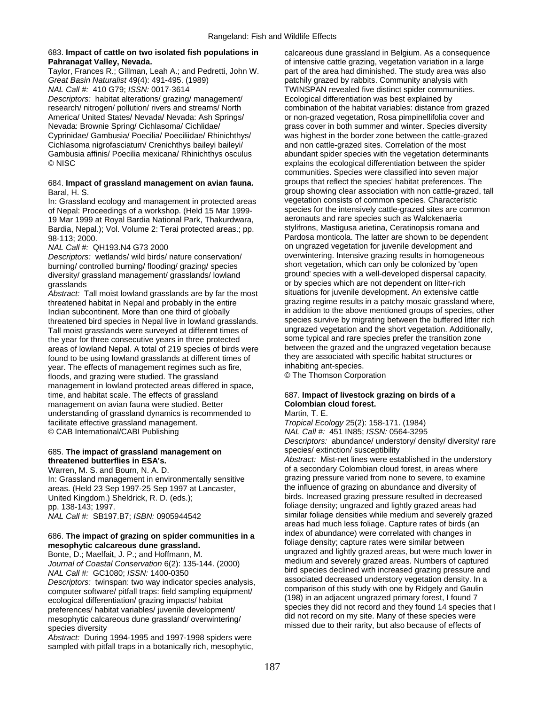### 683. **Impact of cattle on two isolated fish populations in** calcareous dune grassland in Belgium. As a consequence **Pahranagat Valley, Nevada. of intensive cattle grazing, vegetation variation in a large**

Taylor, Frances R.; Gillman, Leah A.; and Pedretti, John W. part of the area had diminished. The study area was also<br>Great Basin Naturalist 49(4): 491-495. (1989) states are patchily grazed by rabbits. Community analysis w

*Descriptors:* habitat alterations/ grazing/ management/ Ecological differentiation was best explained by America/ United States/ Nevada/ Nevada: Ash Springs/ or non-grazed vegetation, Rosa pimpinellifolia cover and Nevada: Brownie Spring/ Cichlasoma/ Cichlidae/ grass cover in both summer and winter. Species diversity Cichlasoma nigrofasciatum/ Crenichthys baileyi baileyi/ and non cattle-grazed sites. Correlation of the most © NISC explains the ecological differentiation between the spider

In: Grassland ecology and management in protected areas vegetation consists of common species. Characteristic<br>
of Nepal: Proceedings of a workshop (Held 15 Mar 1999-<br>
species for the intensively cattle-grazed sites are com of Nepal: Proceedings of a workshop. (Held 15 Mar 1999- species for the intensively cattle-grazed sites are co<br>19 Mar 1999 at Roval Bardia National Park Thakurdwara and aeronauts and rare species such as Walckenaeria 19 Mar 1999 at Royal Bardia National Park, Thakurdwara, actionauts and rare species such as Walckenaeria<br>Rardia Nepal ): Vol. Volume 2: Terai protected areas : pp. stylifrons, Mastiqusa arietina, Ceratinopsis romana and Bardia, Nepal.); Vol. Volume 2: Terai protected areas.; pp. 98-113; 2000. Pardosa monticola. The latter are shown to be dependent

diversity/ grassland management/ grasslands/ lowland

*Abstract:* Tall moist lowland grasslands are by far the most threatened bird species in Nepal live in lowland grasslands. Species survive by migrating between the buffered litter rich<br>Tall moist grasslands were surveyed at different times of surge ungrazed vegetation and the short v Tall moist grasslands were surveyed at different times of the year for three consecutive years in three protected some typical and rare species prefer the transition zone<br>areas of lowland Nepal. A total of 219 species of birds were between the grazed and the ungrazed vegetation b areas of lowland Nepal. A total of 219 species of birds were between the grazed and the ungrazed vegetation bec<br>found to be using lowland grasslands at different times of they are associated with specific habitat structure found to be using lowland grasslands at different times of they are associated with specific habitat structure<br>  $\frac{1}{2}$  inhabiting ant-species. year. The effects of management regimes such as fire, inhabiting ant-species.<br>
floods and grazing were studied. The grassland **C** The Thomson Corporation floods, and grazing were studied. The grassland management in lowland protected areas differed in space, time, and habitat scale. The effects of grassland 687. **Impact of livestock grazing on birds of a**  management on avian fauna were studied. Better **Colombian cloud forest.** understanding of grassland dynamics is recommended to Martin, T. E. facilitate effective grassland management. *Tropical Ecology* 25(2): 158-171. (1984) © CAB International/CABI Publishing *NAL Call #:* 451 IN85; *ISSN:* 0564-3295

## 685. **The impact of grassland management on** species/ extinction/ susceptibility<br> **threatened butterflies in ESA's.** *Abstract:* Mist-net lines were esta

In: Grassland management in environmentally sensitive grazing pressure varied from none to severe, to examine<br>areas (Held 23 Sen 1997-25 Sen 1997 at Lancaster the influence of grazing on abundance and diversity of areas. (Held 23 Sep 1997-25 Sep 1997 at Lancaster, pp. 138-143; 1997.<br>
pp. 138-143; 1997.<br>
MAL Call #: SB197.B7; ISBN: 0905944542 similar foliage densities while medium and severely gra

mesophytic calcareous dune grassland/ overwintering/ modernight due to their rarity, but also because of effects of species diversity

*Abstract:* During 1994-1995 and 1997-1998 spiders were sampled with pitfall traps in a botanically rich, mesophytic,

patchily grazed by rabbits. Community analysis with *NAL Call #:* 410 G79; *ISSN:* 0017-3614 TWINSPAN revealed five distinct spider communities. research/ nitrogen/ pollution/ rivers and streams/ North combination of the habitat variables: distance from grazed Cyprinidae/ Gambusia/ Poecilia/ Poeciliidae/ Rhinichthys/ was highest in the border zone between the cattle-grazed Gambusia affinis/ Poecilia mexicana/ Rhinichthys osculus abundant spider species with the vegetation determinants communities. Species were classified into seven major 684. **Impact of grassland management on avian fauna.** groups that reflect the species' habitat preferences. The Baral, H. S. Group showing clear association with non cattle-grazed, tall<br>In: Grassland ecology and management in protected areas vegetation consists of common species. Characteristic *NAL Call #:* QH193.N4 G73 2000 **bigget and intervals on ungrazed vegetation for juvenile development and** *Descriptors:* wetlands/ wild birds/ nature conservation/ overwintering. Intensive grazing results in homogeneous burning/ controlled burning/ flooding/ grazing/ species short vegetation, which can only be colonized by 'open<br>diversity/ grassland management/ grasslands/ lowland ground' species with a well-developed dispersal capacity, grasslands<br>Abstract: Tall moist lowland grasslands are by far the most situations for juvenile development. An extensive cattle threatened habitat in Nepal and probably in the entire grazing regime results in a patchy mosaic grassland where,<br>Indian subcontinent More than one third of globally in addition to the above mentioned groups of species, ot Indian subcontinent. More than one third of globally in addition to the above mentioned groups of species, other<br>In addition to the above mentioned groups of species functioned in lowland grasslands

*Descriptors:* abundance/ understory/ density/ diversity/ rare

Abstract: Mist-net lines were established in the understory Warren, M. S. and Bourn, N. A. D.<br>In: Grassland management in environmentally sensitive grazing pressure varied from none to severe, to examine United Kingdom.) Sheldrick, R. D. (eds.); birds. Increased grazing pressure resulted in decreased similar foliage densities while medium and severely grazed areas had much less foliage. Capture rates of birds (an 686. **The impact of grazing on spider communities in a** index of abundance) were correlated with changes in **mesonhytic calcareous dupe grassland** foliage density; capture rates were similar between mesophytic calcareous dune grassland.<br>
Bonte, D.; Maelfait, J. P.; and Hoffmann, M.<br>
Journal of Coastal Conservation 6(2): 135-144. (2000)<br>
MAL Call #: GC1080; ISSN: 1400-0350<br>
MAL Call #: GC1080; ISSN: 1400-0350 NAL Call #: GC1080; ISSN: 1400-0350<br>
Descriptors: twinspan: two way indicator species analysis,<br>
computer software/ pitfall traps: field sampling equipment/<br>
ecological differentiation/ grazing impacts/ habitat<br>
ecological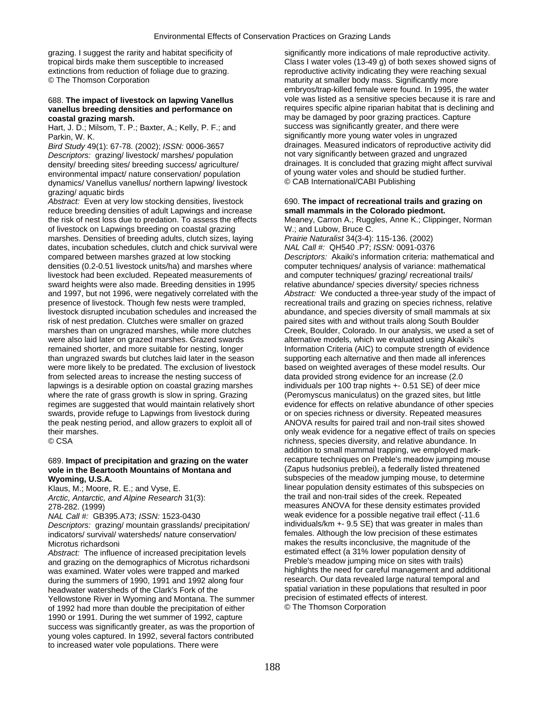© The Thomson Corporation maturity at smaller body mass. Significantly more

Hart, J. D.; Milsom, T. P.; Baxter, A.; Kelly, P. F.; and

*Bird Study* 49(1): 67-78. (2002); *ISSN:* 0006-3657 drainages. Measured indicators of reproductive active activity did and the content of reproductive activity did and reproductive activity distribution did and reproducti *Descriptors:* grazing/ livestock/ marshes/ population environmental impact/ nature conservation/ population of young water voles and should be s<br>dynamics/ Vanellus vanellus/ northern lapwing/ livestock © CAB International/CABI Publishing dynamics/ Vanellus vanellus/ northern lapwing/ livestock grazing/ aquatic birds

*Abstract:* Even at very low stocking densities, livestock 690. **The impact of recreational trails and grazing on**  reduce breeding densities of adult Lapwings and increase **small mammals in the Colorado piedmont.**  the risk of nest loss due to predation. To assess the effects Meaney, Carron A.; Ruggles, Anne K.; Clippinger, Norman of livestock on Lapwings breeding on coastal grazing W.; and Lubow, Bruce C. marshes. Densities of breeding adults, clutch sizes, laying *Prairie Naturalist* 34(3-4): 115-136. (2002) dates, incubation schedules, clutch and chick survival were *NAL Call #:* QH540 .P7; *ISSN:* 0091-0376 compared between marshes grazed at low stocking *Descriptors:* Akaiki's information criteria: mathematical and densities (0.2-0.51 livestock units/ha) and marshes where computer techniques/ analysis of variance: mathematical livestock had been excluded. Repeated measurements of and computer techniques/ grazing/ recreational trails/ sward heights were also made. Breeding densities in 1995 relative abundance/ species diversity/ species richness presence of livestock. Though few nests were trampled, recreational trails and grazing on species richness, relative livestock disrupted incubation schedules and increased the abundance, and species diversity of small mammals at six risk of nest predation. Clutches were smaller on grazed paired sites with and without trails along South Boulder marshes than on ungrazed marshes, while more clutches Creek, Boulder, Colorado. In our analysis, we used a set of were also laid later on grazed marshes. Grazed swards alternative models, which we evaluated using Akaiki's remained shorter, and more suitable for nesting, longer Information Criteria (AIC) to compute strength of evidence<br>
than ungrazed swards but clutches laid later in the season supporting each alternative and then made all i than ungrazed swards but clutches laid later in the season were more likely to be predated. The exclusion of livestock based on weighted averages of these model results. Our from selected areas to increase the nesting success of data provided strong evidence for an increase (2.0 and increase (2.0 and increase (2.0 and increase (2.0 and increase (2.0 and increase (2.0 and increase (2.0 and incr lapwings is a desirable option on coastal grazing marshes where the rate of grass growth is slow in spring. Grazing (Peromyscus maniculatus) on the grazed sites, but little regimes are suggested that would maintain relatively short evidence for effects on relative abundance of other species swards, provide refuge to Lapwings from livestock during or on species richness or diversity. Repeated measures the peak nesting period, and allow grazers to exploit all of ANOVA results for paired trail and non-trail sites showed

# **vole in the Beartooth Mountains of Montana and** (Zapus hudsonius preblei), a federally listed threatened

*Arctic, Antarctic, and Alpine Research* 31(3):

*Descriptors:* grazing/ mountain grasslands/ precipitation/ individuals/km +- 9.5 SE) that was greater in males than<br>indicators/ survival/ watersheds/ nature conservation/ females. Although the low precision of these estim indicators/ survival/ watersheds/ nature conservation/

*Abstract:* The influence of increased precipitation levels estimated effect (a 31% lower population density of and orazing on the demographics of Microtus richardsoni Preble's meadow jumping mice on sites with trails) and grazing on the demographics of Microtus richardsoni Preble's meadow jumping mice on sites with trails)<br>was examined. Water voles were trapped and marked highlights the need for careful management and additional was examined. Water voles were trapped and marked highlights the need for careful management and addition<br>during the summers of 1990, 1991 and 1992 along four stress research. Our data revealed large natural temporal and during the summers of 1990, 1991 and 1992 along four headwater watersheds of the Clark's Fork of the spatial variation in these populations that resulted in poor<br>
Yellowstone River in Wyoming and Montana. The summer precision of estimated effects of interest. Yellowstone River in Wyoming and Montana. The summer precision of estimated effects<br>of 1992 had more than double the precipitation of either  $\bullet$  The Thomson Corporation of 1992 had more than double the precipitation of either 1990 or 1991. During the wet summer of 1992, capture success was significantly greater, as was the proportion of young voles captured. In 1992, several factors contributed to increased water vole populations. There were

grazing. I suggest the rarity and habitat specificity of significantly more indications of male reproductive activity. tropical birds make them susceptible to increased Class I water voles (13-49 g) of both sexes showed signs of extinctions from reduction of foliage due to grazing. reproductive activity indicating they were reaching sexual embryos/trap-killed female were found. In 1995, the water 688. **The impact of livestock on lapwing Vanellus** vole was listed as a sensitive species because it is rare and **vanellus breeding densities and performance on** requires specific alpine riparian habitat that is declining and **coastal grazing marsh. interest in the coastal grazing practices.** Capture coastal grazing practices. Capture coastal and there were that J. D.: Milsom, T. P.: Baxter, A.: Kelly, P. F.: and coastal success was significa Parkin, W. K.<br>
Parkin, W. K. Study 49(1): 67-78 (2002): ISSN: 0006-3657 drainages. Measured indicators of reproductive activity did density/ breeding sites/ breeding success/ agriculture/ drainages. It is concluded that grazing might affect survival<br>
environmental impact/ nature conservation/ population of young water voles and should be studied furthe

and 1997, but not 1996, were negatively correlated with the *Abstract:* We conducted a three-year study of the impact of their marshes. only weak evidence for a negative effect of trails on species © CSA richness, species diversity, and relative abundance. In addition to small mammal trapping, we employed mark-689. **Impact of precipitation and grazing on the water** recapture techniques on Preble's meadow jumping mouse **Wyoming, U.S.A.** subspecies of the meadow jumping mouse, to determine Klaus, M.; Moore, R. E.; and Vyse, E. linear population density estimates of this subspecies on  $\overline{A}$  refine  $\overline{B}$  and  $\overline{A}$  and  $\overline{A}$  and  $\overline{A}$  and  $\overline{A}$  and  $\overline{A}$  and  $\overline{A}$  and  $\overline{A}$  and  $\overline{$ 278-282. (1999) measures ANOVA for these density estimates provided *NAL Call #:* GB395.A73; *ISSN:* 1523-0430 weak evidence for a possible negative trail effect (-11.6<br>Descriptors: grazing/mountain grasslands/precipitation/ individuals/km +- 9.5 SE) that was greater in males than Microtus richardsoni makes the results inconclusive, the magnitude of the<br>Abstract: The influence of increased precipitation levels estimated effect (a 31% lower population density of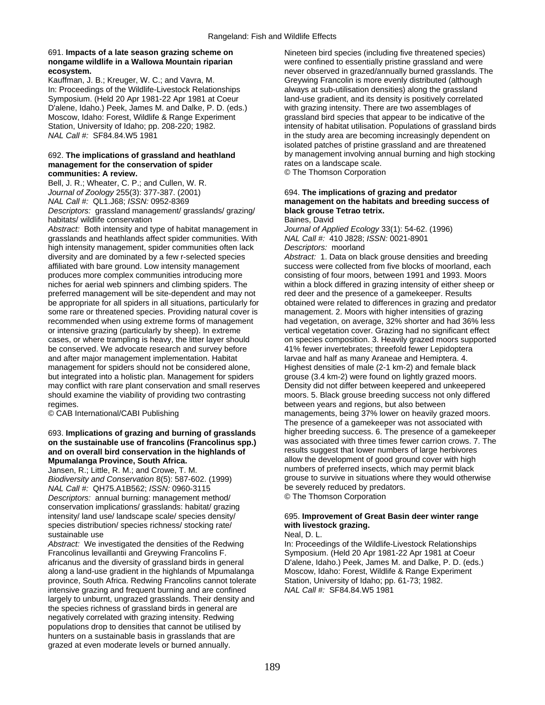In: Proceedings of the Wildlife-Livestock Relationships always at sub-utilisation densities) along the grassland D'alene, Idaho.) Peek, James M. and Dalke, P. D. (eds.) with grazing intensity. There are two assemblages of

### management for the conservation of spider **communities: A review.** © The Thomson Corporation

Bell, J. R.; Wheater, C. P.; and Cullen, W. R. *Journal of Zoology* 255(3): 377-387. (2001) 694. **The implications of grazing and predator**  *Descriptors:* grassland management/ grasslands/ grazing/ **black grouse Tetrao tetrix.** 

habitats/ wildlife conservation baines, David *Abstract:* Both intensity and type of habitat management in *Journal of Applied Ecology* 33(1): 54-62. (1996) grasslands and heathlands affect spider communities. With *NAL Call #:* 410 J828; *ISSN:* 0021-8901 high intensity management, spider communities often lack *Descriptors:* moorland diversity and are dominated by a few r-selected species *Abstract:* 1. Data on black grouse densities and breeding affiliated with bare ground. Low intensity management success were collected from five blocks of moorland, each produces more complex communities introducing more consisting of four moors, between 1991 and 1993. Moors niches for aerial web spinners and climbing spiders. The within a block differed in grazing intensity of either sheep or preferred management will be site-dependent and may not red deer and the presence of a gamekeeper. Results be appropriate for all spiders in all situations, particularly for obtained were related to differences in grazing and predator some rare or threatened species. Providing natural cover is management. 2. Moors with higher intensities of grazing recommended when using extreme forms of management had vegetation, on average, 32% shorter and had 36% less or intensive grazing (particularly by sheep). In extreme vertical vegetation cover. Grazing had no significant effect be conserved. We advocate research and survey before 41% fewer invertebrates; threefold fewer Lepidoptera and after major management implementation. Habitat larvae and half as many Araneae and Hemiptera. 4. and after major management implementation. Habitat larvae and half as many Araneae and Hemiptera. 4.<br>management for spiders should not be considered alone, Highest densities of male (2-1 km-2) and female black management for spiders should not be considered alone, but integrated into a holistic plan. Management for spiders grouse (3.4 km-2) were found on lightly grazed moors.<br>may conflict with rare plant conservation and small reserves Density did not differ between keepered and unk should examine the viability of providing two contrasting moors. 5. Black grouse breeding success not only differed regimes. between years and regions, but also between

## **on the sustainable use of francolins (Francolinus spp.)** was associated with three times fewer carrion crows. 7.<br>**and on overall bird conservation in the highlands of** results suggest that lower numbers of large herbivore and on overall bird conservation in the highlands of **M**pumalanga Province, South Africa.

*NAL Call #:* QH75.A1B562; *ISSN:* 0960-3115 be severely reduced by predators: annual burning: management method/ *Descriptors:* annual burning: management method/ conservation implications/ grasslands: habitat/ grazing species distribution/ species richness/ stocking rate/ **with livest**<br>sustainable use **Neal, D. L.** 

sustainable use<br>
Abstract: We investigated the densities of the Redwing Michael Proceedings of the Wildlife-Livestock Relationships *Abstract:* We investigated the densities of the Redwing Francolinus levaillantii and Greywing Francolins F. africanus and the diversity of grassland birds in general D'alene, Idaho.) Peek, James M. and Dalke, P. D. (eds.) along a land-use gradient in the highlands of Mpumalanga Moscow, Idaho: Forest, Wildlife & Range Experiment province, South Africa. Redwing Francolins cannot tolerate Station, University of Idaho; pp. 61-73; 1982. intensive grazing and frequent burning and are confined *NAL Call #:* SF84.84.W5 1981 largely to unburnt, ungrazed grasslands. Their density and the species richness of grassland birds in general are negatively correlated with grazing intensity. Redwing populations drop to densities that cannot be utilised by hunters on a sustainable basis in grasslands that are grazed at even moderate levels or burned annually.

691. **Impacts of a late season grazing scheme on** Nineteen bird species (including five threatened species) **nongame wildlife in a Wallowa Mountain riparian were confined to essentially pristine grassland and were**<br>**never observed in grazed/annually burned grasslands.** T **ecosystem.** never observed in grazed/annually burned grasslands. The Kauffman, J. B.; Kreuger, W. C.; and Vavra, M. Green Superving Francolin is more evenly distributed (although Symposium. (Held 20 Apr 1981-22 Apr 1981 at Coeur land-use gradient, and its density is positively correlated Moscow, Idaho: Forest, Wildlife & Range Experiment grassland bird species that appear to be indicative of the Station, University of Idaho; pp. 208-220; 1982.<br>
MAL Call #: SF84.84.W5 1981 **intensity of habitat utilisation.** Populations of grassland birds<br>
in the study area are becoming increasingly dependent on in the study area are becoming increasingly dependent on isolated patches of pristine grassland and are threatened 692. **The implications of grassland and heathland** by management involving annual burning and high stocking

# *NAL Call #:* QL1.J68; *ISSN:* 0952-8369 **management on the habitats and breeding success of**

cases, or where trampling is heavy, the litter layer should on species composition. 3. Heavily grazed moors supported Density did not differ between keepered and unkeepered © CAB International/CABI Publishing manusial managements, being 37% lower on heavily grazed moors. The presence of a gamekeeper was not associated with 693. **Implications of grazing and burning of grasslands** higher breeding success. 6. The presence of a gamekeeper allow the development of good ground cover with high Jansen, R.; Little, R. M.; and Crowe, T. M. https://www.mumbers of preferred insects, which may permit black *Biodiversity and Conservation* 8(5): 587-602. (1999) grouse to survive in situations where they would otherwise<br>
NAL Call #: QH75.A1B562: ISSN: 0960-3115<br>
be severely reduced by predators.

## intensity/ land use/ landscape scale/ species density/ 695. **Improvement of Great Basin deer winter range** species distribution/ species richness/ stocking rate/ **with livestock grazing.**

Symposium. (Held 20 Apr 1981-22 Apr 1981 at Coeur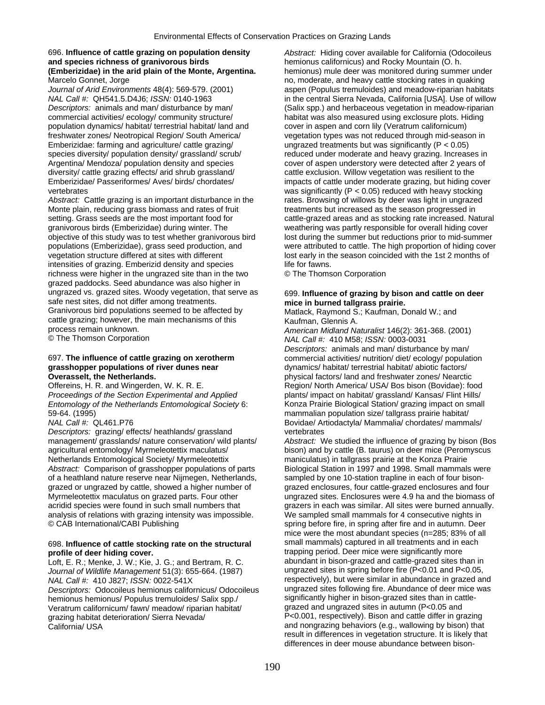### 696. **Influence of cattle grazing on population density** *Abstract:* Hiding cover available for California (Odocoileus **and species richness of granivorous birds** hemionus californicus) and Rocky Mountain (O. h. **(Emberizidae) in the arid plain of the Monte, Argentina.** hemionus) mule deer was monitored during summer under Marcelo Gonnet, Jorge no example and heavy cattle stocking rates in quaking reserved in the material rates in quaking rates in quaking rates in quaking reserved in the material rates in quaking rates in quaking reserved in

commercial activities/ ecology/ community structure/ habitat was also measured using exclosure plots. Hiding population dynamics/ habitat/ terrestrial habitat/ land and cover in aspen and corn lily (Veratrum californicum) freshwater zones/ Neotropical Region/ South America/ vegetation types was not reduced through mid-season in Emberizidae: farming and agriculture/ cattle grazing/ ungrazed treatments but was significantly (P < 0.05) Argentina/ Mendoza/ population density and species cover of aspen understory were detected after 2 years of diversity/ cattle grazing effects/ arid shrub grassland/ cattle exclusion. Willow vegetation was resilient to the vertebrates was significantly (P < 0.05) reduced with heavy stocking

*Abstract:* Cattle grazing is an important disturbance in the rates. Browsing of willows by deer was light in ungrazed in<br>Monte plain, reducing grass biomass and rates of fruit reatments but increased as the season progres Monte plain, reducing grass biomass and rates of fruit setting. Grass seeds are the most important food for cattle-grazed areas and as stocking rate increased. Natural granivorous birds (Emberizidae) during winter. The weathering was partly responsible for overall hiding cover objective of this study was to test whether granivorous bird lost during the summer but reductions prior to mid-summer populations (Emberizidae), grass seed production, and were attributed to cattle. The high proportion of hiding cover vegetation structure differed at sites with different lost early in the season coincided with the 1st 2 months of intensities of grazing. Emberizid density and species life for fawns. richness were higher in the ungrazed site than in the two grazed paddocks. Seed abundance was also higher in ungrazed vs. grazed sites. Woody vegetation, that serve as 699. Influence of grazing by bison and cattle on deer safe nest sites, did not differ among treatments.<br>
Granivorous bird populations seemed to be affected by **mitter in burned tallgrass prairie.**<br>
Matlack Raymond S: Kaufman, D. cattle grazing; however, the main mechanisms of this Kaufman, Glennis A.<br>process remain unknown. American Midland National Research

### 697. The influence of cattle grazing on xerotherm grasshopper populations of river dunes near **depict of the abitat**/ terrestrial habitat/ abiotic factors/

Offereins, H. R. and Wingerden, W. K. R. E. Region/ North America/ USA/ Bos bison (Bovidae): food *Proceedings of the Section Experimental and Applied* plants/ impact on habitat/ grassland/ Kansas/ Flint Hills/ *Entomology of the Netherlands Entomological Society* 6: Konza Prairie Biological Station/ grazing impact on small 59-64. (1995) mammalian population size/ tallgrass prairie habitat/

*Descriptors:* grazing/ effects/ heathlands/ grassland vertebrates agricultural entomology/ Myrmeleotettix maculatus/ bison) and by cattle (B. taurus) on deer mice (Peromyscus Netherlands Entomological Society/ Myrmeleotettix maniculatus) in tallgrass prairie at the Konza Prairie *Abstract:* Comparison of grasshopper populations of parts Biological Station in 1997 and 1998. Small mammals were of a heathland nature reserve near Nijmegen, Netherlands, sampled by one 10-station trapline in each of four bisongrazed or ungrazed by cattle, showed a higher number of grazed enclosures, four cattle-grazed enclosures and four acridid species were found in such small numbers that grazers in each was similar. All sites were burned annually. analysis of relations with grazing intensity was impossible. We sampled small mammals for 4 consecutive nights in © CAB International/CABI Publishing spring before fire, in spring after fire and in autumn. Deer

## 698. **Influence of cattle stocking rate on the structural** small mammals) captured in all treatments and in each

*Journal of Wildlife Management* 51(3): 655-664. (1987) *NAL Call #:* 410 J827; *ISSN:* 0022-541X respectively), but were similar in abundance in grazed and *Descriptors:* Odocoileus hemionus californicus/ Odocoileus ungrazed sites following fire. Abundance of deer mice was hemionus hemionus/ Populus tremuloides/ Salix spp./ significantly higher in bison-grazed sites than in cattle-<br>Veratrum californicum/ fawn/ meadow/ riparian habitat/ grazed and ungrazed sites in autumn (P<0.05 and Veratrum californicum/ fawn/ meadow/ riparian habitat/ grazing habitat deterioration/ Sierra Nevada/ P<0.001, respectively). Bison and cattle differ in grazing California/ USA and nongrazing behaviors (e.g., wallowing by bison) that

*Journal of Arid Environments* 48(4): 569-579. (2001) aspen (Populus tremuloides) and meadow-riparian habitats *NAL Call #:* QH541.5.D4J6; *ISSN:* 0140-1963 in the central Sierra Nevada, California [USA]. Use of willow *Descriptors:* animals and man/ disturbance by man/ (Salix spp.) and herbaceous vegetation in meadow-riparian species diversity/ population density/ grassland/ scrub/ reduced under moderate and heavy grazing. Increases in Emberizidae/ Passeriformes/ Aves/ birds/ chordates/ impacts of cattle under moderate grazing, but hiding cover

Matlack, Raymond S.; Kaufman, Donald W.; and

process remain unknown. *American Midland Naturalist* 146(2): 361-368. (2001) © The Thomson Corporation *NAL Call #:* 410 M58; *ISSN:* 0003-0031 *Descriptors:* animals and man/ disturbance by man/ **Overasselt, the Netherlands.** physical factors/ land and freshwater zones/ Nearctic *NAL Call #:* QL461.P76 Bovidae/ Artiodactyla/ Mammalia/ chordates/ mammals/

management/ grasslands/ nature conservation/ wild plants/ *Abstract:* We studied the influence of grazing by bison (Bos Myrmeleotettix maculatus on grazed parts. Four other ungrazed sites. Enclosures were 4.9 ha and the biomass of mice were the most abundant species (n=285; 83% of all trapping period. Deer mice were significantly more<br>abundant in bison-grazed and cattle-grazed sites than in Loft, E. R.; Menke, J. W.; Kie, J. G.; and Bertram, R. C. abundant in bison-grazed and cattle-grazed sites than in<br>Journal of Wildlife Management 51(3): 655-664, (1987) ungrazed sites in spring before fire (P<0.01 and P<0. result in differences in vegetation structure. It is likely that differences in deer mouse abundance between bison-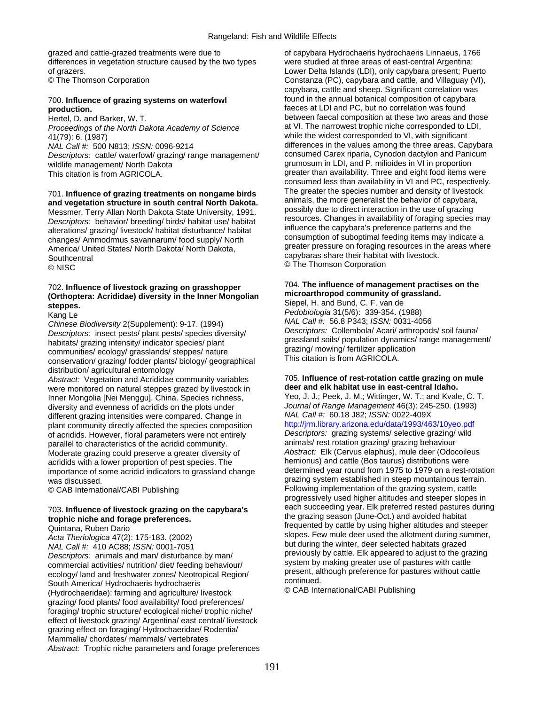grazed and cattle-grazed treatments were due to of capybara Hydrochaeris hydrochaeris Linnaeus, 1766 differences in vegetation structure caused by the two types were studied at three areas of east-central Argentina:<br>Lower Delta Islands (LDI), only capybara present: Pue

*Proceedings of the North Dakota Academy of Science* 41(79): 6. (1987) 41(79): 6. (1987)<br>
Mal Call #: 500 N813: ISSN: 0096-9214<br>
Mal Call #: 500 N813: ISSN: 0096-9214<br>
All Call #: 500 N813: ISSN: 0096-9214 *Descriptors: cattle/ waterfowl/ grazing/ range management/* wildlife management/ North Dakota grumosum in LDI, and P. milioides in VI in proportion This citation is from AGRICOLA. Greater than availability. Three and eight food items were

701. Influence of grazing treatments on nongame birds<br>and vegetation structure in south central North Dakota.<br>Messibly due to direct interaction in the use of grazing<br>Messing Terry Allan North Dakota State University 1991 Messmer, Terry Allan North Dakota State University, 1991. possibly due to direct interaction in the use of grazing<br>Descriptors: behavior/broading/birds/babitat use/babitat resources. Changes in availability of foraging spe resources. Changes in availability of foraging species may *Descriptors:* behavior/ breeding/ birds/ habitat use/ habitat alterations/grazing/livestock/habitat disturbance/habitat influence the capybara's preference patterns and the<br>changes/ Ammodrous sayspnarum/food supply/ North consumption of suboptimal feeding items may indicate a changes/ Ammodrmus savannarum/ food supply/ North<br>America/ United States/ North Dakota/ North Dakota, greater pressure on foraging resources in the areas where<br>Southcentral<br>Southcentral © NISC © The Thomson Corporation

distribution/ agricultural entomology *Abstract:* Vegetation and Acrididae community variables 705. **Influence of rest-rotation cattle grazing on mule**  were monitored on natural steppes grazed by livestock in **deer and elk habitat use in east-central Idaho.**<br>
Inner Mongolia INei Mengoul, China, Species richness Yeo, J. J.; Peek, J. M.; Wittinger, W. T.; and Kyale, C. T. Inner Mongolia [Nei Menggu], China. Species richness, Yeo, J. J.; Peek, J. M.; Wittinger, W. T.; and Kvale, C.<br>diversity and evenness of acridids on the plots under Jumper Journal of Range Management 46(3): 245-250. (1993) diversity and evenness of acridids on the plots under *Journal of Range Management* 46(3): 245<br>different grazing intensities were compared. Change in MAL Call #: 60.18 J82; ISSN: 0022-409X different grazing intensities were compared. Change in *NAL Call #:* 60.18 J82; *ISSN:* 0022-409X

parallel to characteristics of the acridid community. Moderate grazing could preserve a greater diversity of *Abstract:* Elk (Cervus elaphus), mule deer (Odocoileus importance of some acridid indicators to grassland change was discussed. Grazing system established in steep mountainous terrain.

Continued.<br>
Continued: The CAB International/CABI Publishing<br>
Continued: The CAB International/CABI Publishing<br>
(Hydrochaeridae): farming and agriculture/ livestock<br>
(Hydrochaeridae): farming and agriculture/ livestock<br>
CA grazing/ food plants/ food availability/ food preferences/ foraging/ trophic structure/ ecological niche/ trophic niche/ effect of livestock grazing/ Argentina/ east central/ livestock grazing effect on foraging/ Hydrochaeridae/ Rodentia/ Mammalia/ chordates/ mammals/ vertebrates *Abstract:* Trophic niche parameters and forage preferences

Lower Delta Islands (LDI), only capybara present; Puerto © The Thomson Corporation Constanza (PC), capybara and cattle, and Villaguay (VI), capybara, cattle and sheep. Significant correlation was 700. **Influence of grazing systems on waterfowl** found in the annual botanical composition of capybara **production. production. faeces at LDI and PC**, but no correlation was found Hertel, D. and Barker, W. T. **the set of the set of the set of the set of the set of the set of the set of the set of the set of the set of t** between faecal composition at these two areas and those at VI. The narrowest trophic niche corresponded to LDI, differences in the values among the three areas. Capybara consumed Carex riparia, Cynodon dactylon and Panicum consumed less than availability in VI and PC, respectively.<br>The greater the species number and density of livestock

702. Influence of livestock grazing on grasshopper<br>
(Orthoptera: Acrididae) diversity in the Inner Mongolian<br>
steppes.<br>
Siepel, H. and Bund, C. F. van de<br>
Kang Le<br>
Chinese Biodiversity 2(Supplement): 9-17. (1994)<br>
Descrip

plant community directly affected the species composition http://jrm.library.arizona.edu/data/1993/463/10yeo.pdf<br>of acridids. However, floral parameters were not entirely **Descriptors:** grazing systems/ selective grazing/ of acridids. However, floral parameters were not entirely *Descriptors:* grazing systems/ selective grazing/<br>
parallel to characteristics of the acridid community animals/ rest rotation grazing/ grazing behaviour acridids with a lower proportion of pest species. The hemionus) and cattle (Bos taurus) distributions were<br>importance of some acridid indicators to grassland change determined year round from 1975 to 1979 on a rest-rotatio © CAB International/CABI Publishing Following implementation of the grazing system, cattle progressively used higher altitudes and steeper slopes in each succeeding year. Elk preferred rested pastures during 703. **Influence of livestock grazing on the capybara's** the grazing season (June-Oct.) and avoided habitat **trophic niche and forage preferences.**  requented by cattle by using higher altitudes and steeper<br>Quintana, Ruben Dario frequented by cattle by using higher altitudes and steeper<br>Acta Theriologica 47(2): 175-183 (2002) Acta Theriologica 47(2): 175-183. (2002)<br>*NAL Call #:* 410 AC88; *ISSN:* 0001-7051 but during the winter, deer selected habitats grazed<br>Descriptors: animals and man/ disturbance by man/ **previously by cattle. Elk appeared**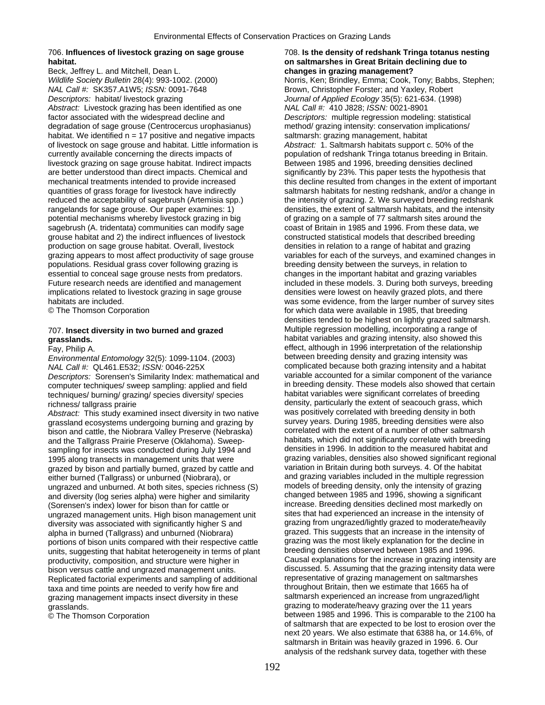## **habitat. on saltmarshes in Great Britain declining due to**

Beck, Jeffrey L. and Mitchell, Dean L. **Changes in grazing management?**<br>1. **Wildlife Society Bulletin 28(4): 993-1002. (2000)** Communisty Norris, Ken: Brindley, Emma: Cook. *NAL Call #:* SK357.A1W5; *ISSN:* 0091-7648 Brown, Christopher Forster; and Yaxley, Robert *Descriptors:* habitat/ livestock grazing *Journal of Applied Ecology* 35(5): 621-634. (1998) *Abstract:* Livestock grazing has been identified as one *NAL Call #:* 410 J828; *ISSN:* 0021-8901 factor associated with the widespread decline and *Descriptors:* multiple regression modeling: statistical degradation of sage grouse (Centrocercus urophasianus) method/ grazing intensity: conservation implications/ habitat. We identified n = 17 positive and negative impacts saltmarsh: grazing management, habitat of livestock on sage grouse and habitat. Little information is *Abstract:* 1. Saltmarsh habitats support c. 50% of the currently available concerning the directs impacts of population of redshank Tringa totanus breeding in Britain. livestock grazing on sage grouse habitat. Indirect impacts Between 1985 and 1996, breeding densities declined are better understood than direct impacts. Chemical and significantly by 23%. This paper tests the hypothesis that potential mechanisms whereby livestock grazing in big of grazing on a sample of 77 saltmarsh sites around the sagebrush (A. tridentata) communities can modify sage coast of Britain in 1985 and 1996. From these data, we grouse habitat and 2) the indirect influences of livestock constructed statistical models that described breeding production on sage grouse habitat. Overall, livestock densities in relation to a range of habitat and grazing populations. Residual grass cover following grazing is breeding density between the surveys, in relation to essential to conceal sage grouse nests from predators. The inanges in the important habitat and grazing variables<br>Future research needs are identified and management Funcluded in these models. 3. During both surveys, bree implications related to livestock grazing in sage grouse densities were lowest on heavily grazed plots, and there<br>habitats are included. Was some evidence, from the larger number of survev sit

*Environmental Entomology* 32(5): 1099-1104. (2003) *NAL Call #:* QL461.E532; *ISSN:* 0046-225X complicated because both grazing intensity and a habitat<br>Descriptors: Sorensen's Similarity Index: mathematical and variable accounted for a similar component of the variance computer techniques/ sweep sampling: applied and field in breeding density. These models also showed that certaing<br>techniques/ burning/ grazing/ species diversity/ species habitat variables were significant correlates of b techniques/ burning/ grazing/ species diversity/ species

*Abstract:* This study examined insect diversity in two native grassland ecosystems undergoing burning and grazing by survey years. During 1985, breeding densities were also<br>bison and cattle, the Nightara Valley Preserve (Nebraska) correlated with the extent of a number of other saltm bison and cattle, the Niobrara Valley Preserve (Nebraska) correlated with the extent of a number of other saltmarsh<br>and the Tallgrass Prairie Preserve (Oklahoma), Sween- habitats, which did not significantly correlate with and the Tallgrass Prairie Preserve (Oklahoma). Sweep- habitats, which did not significantly correlate with breeding 1995 along transects in management units that were grazing variables, densities also showed significant region<br>The grazed by bison and partially burned, grazed by cattle and variation in Britain during both surveys. 4. Of grazed by bison and partially burned, grazed by cattle and variation in Britain during both surveys. 4. Of the habitat<br>either burned (Tallgrass) or unburned (Niobrara), or and grazing variables included in the multiple reg either burned (Tallgrass) or unburned (Niobrara), or and grazing variables included in the multiple regression<br>ungrazed and unburned. At both sites, species richness (S) models of breeding density, only the intensity of gr ungrazed and unburned. At both sites, species richness (S) models of breeding density, only the intensity of grazing<br>and diversity (log series alpha) were higher and similarity changed between 1985 and 1996, showing a sign and diversity (log series alpha) were higher and similarity (Sorensen's index) lower for bison than for cattle or increase. Breeding densities declined most markedly on<br>
ungrazed management units High bison management unit sites that had experienced an increase in the intensity of ungrazed management units. High bison management unit diversity was associated with significantly higher S and grazing from ungrazed/lightly grazed to moderate/heavily alpha in burned (Tallgrass) and unburned (Niobrara) grazed. This suggests that an increase in the intensity of<br>nortions of bison units compared with their respective cattle grazing was the most likely explanation for the d portions of bison units compared with their respective cattle grazing was the most likely explanation for the decline<br>Inits suggesting that habitat beterogeneity in terms of plant breeding densities observed between 1985 a units, suggesting that habitat heterogeneity in terms of plant productivity, composition, and structure were higher in Causal explanations for the increase in grazing intensity are bison versus cattle and ungrazed management units. discussed. 5. Assuming that the grazing intensity data were<br>Replicated factorial experiments and sampling of additional representative of grazing management on saltmarshes Replicated factorial experiments and sampling of additional representative of grazing management on saltmarshe<br>taxa and time points are needed to verify how fire and throughout Britain, then we estimate that 1665 ha of taxa and time points are needed to verify how fire and throughout Britain, then we estimate that 1665 ha of<br>grazing management impacts insect diversity in these saltmarsh experienced an increase from ungrazed/light grazing management impacts insect diversity in these grasslands.

# 706. **Influences of livestock grazing on sage grouse** 708. **Is the density of redshank Tringa totanus nesting**

*Norris, Ken; Brindley, Emma; Cook, Tony; Babbs, Stephen;* mechanical treatments intended to provide increased this decline resulted from changes in the extent of important quantities of grass forage for livestock have indirectly saltmarsh habitats for nesting redshank, and/or a change in reduced the acceptability of sagebrush (Artemisia spp.) the intensity of grazing. 2. We surveyed breeding redshank rangelands for sage grouse. Our paper examines: 1) densities, the extent of saltmarsh habitats, and the intensity grazing appears to most affect productivity of sage grouse variables for each of the surveys, and examined changes in included in these models. 3. During both surveys, breeding was some evidence, from the larger number of survey sites © The Thomson Corporation for which data were available in 1985, that breeding densities tended to be highest on lightly grazed saltmarsh. 707. **Insect diversity in two burned and grazed** Multiple regression modelling, incorporating a range of **grasslands. habitat variables and grazing intensity, also showed this** habitat variables and grazing intensity, also showed this Fay, Philip A.<br>
Environmental Entomology 32(5): 1099-1104. (2003) effect, although in 1996 interpretation of the relationship *Descriptors:* Sorensen's Similarity Index: mathematical and variable accounted for a similar component of the variance richness/ tallgrass prairie<br>
Abstract: This study examined insect diversity in two native was positively correlated with breeding density in both sampling for insects was conducted during July 1994 and densities in 1996. In addition to the measured habitat and<br>1995 along transects in management units that were grazing variables, densities also showed significant reg grazing to moderate/heavy grazing over the 11 years © The Thomson Corporation between 1985 and 1996. This is comparable to the 2100 ha of saltmarsh that are expected to be lost to erosion over the next 20 years. We also estimate that 6388 ha, or 14.6%, of saltmarsh in Britain was heavily grazed in 1996. 6. Our analysis of the redshank survey data, together with these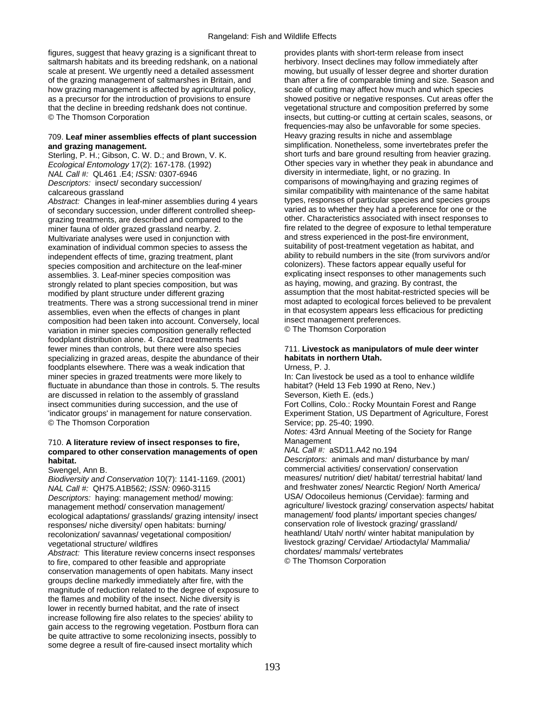figures, suggest that heavy grazing is a significant threat to provides plants with short-term release from insect saltmarsh habitats and its breeding redshank, on a national herbivory. Insect declines may follow immediately after scale at present. We urgently need a detailed assessment mowing, but usually of lesser degree and shorter duration<br>of the grazing management of saltmarshes in Britain, and than after a fire of comparable timing and size. S how grazing management is affected by agricultural policy, scale of cutting may affect how much and which species as a precursor for the introduction of provisions to ensure showed positive or negative responses. Cut areas offer the that the decline in breeding redshank does not continue. vegetational structure and composition preferred by some © The Thomson Corporation insects, but cutting-or cutting at certain scales, seasons, or

## 709. **Leaf miner assemblies effects of plant succession** Heavy grazing results in niche and assemblage

*NAL Call #:* QL461 .E4; *ISSN:* 0307-6946 diversity in intermediate, light, or no grazing. In

*Abstract:* Changes in leaf-miner assemblies during 4 years types, responses of particular species and species groups of secondary succession, under different controlled sheep-<br>varied as to whether they had a preference fo of secondary succession, under different controlled sheep-<br>
or varied as to whether they had a preference for one or the<br>
or or the characteristics associated with insect responses to grazing treatments, are described and compared to the other. Characteristics associated with insect responses to<br>miner fauna of older grazed grassland nearby 2 fire related to the degree of exposure to lethal temperature miner fauna of older grazed grassland nearby. 2. fire related to the degree of exposure to lethal tempe<br>Multivariate analyses were used in conjunction with and stress experienced in the post-fire environment, Multivariate analyses were used in conjunction with and stress experienced in the post-fire environment,<br>examination of individual common species to assess the suitability of post-treatment vegetation as habitat, and examination of individual common species to assess the independent effects of time, grazing treatment, plant ability to rebuild numbers in the site (from survivors and/or<br>species composition and architecture on the leaf-miner colonizers). These factors appear equally useful fo species composition and architecture on the leaf-miner assemblies. 3. Leaf-miner species composition was explicating insect responses to other managements such<br>strongly related to plant species composition, but was a haying, mowing, and grazing. By contrast, the strongly related to plant species composition, but was modified by plant structure under different grazing assumption that the most habitat-restricted species will be<br>treatments. There was a strong successional trend in miner most adapted to ecological forces believed to be pr treatments. There was a strong successional trend in miner most adapted to ecological forces believed to be prevale<br>not that ecosystem appears less efficacious for predicting assemblies even the that ecosystem appears less assemblies, even when the effects of changes in plant in that ecosystem appears less ef<br>composition had been taken into account Conversely local insect management preferences. composition had been taken into account. Conversely, local insect management preferences.<br>variation in miner species composition generally reflected © The Thomson Corporation variation in miner species composition generally reflected foodplant distribution alone. 4. Grazed treatments had fewer mines than controls, but there were also species 711. **Livestock as manipulators of mule deer winter**  specializing in grazed areas, despite the abundance of their foodplants elsewhere. There was a weak indication that Urness, P. J.<br>miner species in grazed treatments were more likely to ln: Can livestock be used as a tool to enhance wildlife miner species in grazed treatments were more likely to fluctuate in abundance than those in controls. 5. The results habitat? (Held 13 Feb 1990 at Reno, Nev.) are discussed in relation to the assembly of grassland Severson, Kieth E. (eds.) are discussed in relation to the assembly of grassland insect communities during succession, and the use of Fort Collins, Colo.: Rocky Mountain Forest and Range 'indicator groups' in management for nature conservation. Experiment Station, US Department of Agriculture, Forest © The Thomson Corporation Service; pp. 25-40; 1990.

### 710. A literature review of insect responses to fire, **Management**<br> **compared to other conservation managements of open** MAL Call #: aSD11.A42 no.194 compared to other conservation managements of open **habitat.** *Descriptors:* animals and man/ disturbance by man/

*Biodiversity and Conservation* 10(7): 1141-1169. (2001) *NAL Call #:* QH75.A1B562; *ISSN:* 0960-3115 and freshwater zones/ Nearctic Region/ North America/<br>Descriptors: having: management method/ mowing: USA/ Odocoileus hemionus (Cervidae): farming and *Descriptors:* haying: management method/ mowing: ecological adaptations/ grasslands/ grazing intensity/ insect management/ food plants/ important species chang<br>| conservation role of livestock grazing/ grassland/ responses/ niche diversity/ open habitats: burning/ conservation role of livestock grazing/ grassland/<br>
recolonization/ sayannas/ vegetational composition/ heathland/ Utah/ north/ winter habitat manipulation by recolonization/ savannas/ vegetational composition/

*Abstract:* This literature review concerns insect responses chordates/ mammals/ vertebrate to other feasible and appropriate **C** The Thomson Corporation to fire, compared to other feasible and appropriate conservation managements of open habitats. Many insect groups decline markedly immediately after fire, with the magnitude of reduction related to the degree of exposure to the flames and mobility of the insect. Niche diversity is lower in recently burned habitat, and the rate of insect increase following fire also relates to the species' ability to gain access to the regrowing vegetation. Postburn flora can be quite attractive to some recolonizing insects, possibly to some degree a result of fire-caused insect mortality which

than after a fire of comparable timing and size. Season and frequencies-may also be unfavorable for some species. simplification. Nonetheless, some invertebrates prefer the Sterling, P. H.; Gibson, C. W. D.; and Brown, V. K. short turfs and bare ground resulting from heavier grazing. *Ecological Entomology* 17(2): 167-178. (1992) Other species vary in whether they peak in abundance and *Descriptors:* insect/ secondary succession/ comparisons of mowing/haying and grazing regimes of calcareous grassland<br>
Abstract: Changes in leaf-miner assemblies during 4 years<br>
(stract: Changes in leaf-miner assemblies during 4 years strates) types, responses of particular species and species groups

*Notes:* 43rd Annual Meeting of the Society for Range

Swengel, Ann B.<br>Biodiversity and Conservation 10(7): 1141-1169 (2001) The measures/ nutrition/ diet/ habitat/ terrestrial habitat/ land management method/ conservation management/ agriculture/ livestock grazing/ conservation aspects/ habitat<br>ecological adaptations/ grasslands/ grazing intensity/ insect management/ food plants/ important species changes/ vegetational structure/ wildfires<br>Abstract: This literature review concerns insect responses chordates/ mammals/ vertebrates<br>Abstract: This literature review concerns insect responses chordates/ mammals/ vertebrates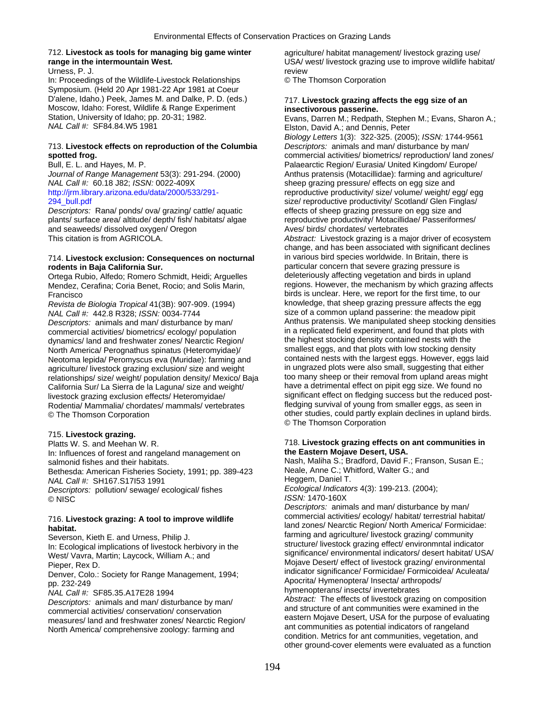## 712. **Livestock as tools for managing big game winter** agriculture/ habitat management/ livestock grazing use/

Urness, P. J. review In: Proceedings of the Wildlife-Livestock Relationships © The Thomson Corporation Symposium. (Held 20 Apr 1981-22 Apr 1981 at Coeur D'alene, Idaho.) Peek, James M. and Dalke, P. D. (eds.) 717. **Livestock grazing affects the egg size of an**  Moscow, Idaho: Forest, Wildlife & Range Experiment **insectivorous passerine.**<br>
Station, University of Idaho; pp. 20-31; 1982. **In the Contract Contract Contract Contract Contract Contract Contract Contract Contract Contrac** 

## 713. **Livestock effects on reproduction of the Columbia** *Descriptors:* animals and man/ disturbance by man/

*NAL Call #:* 60.18 J82; *ISSN:* 0022-409X sheep grazing pressure/ effects on egg size and

*Descriptors:* Rana/ ponds/ ova/ grazing/ cattle/ aquatic effects of sheep grazing pressure on egg size and plants/ surface area/ altitude/ depth/ fish/ habitats/ algae reproductive productivity/ Motacillidae/ Passeriformes/ and seaweeds/ dissolved oxygen/ Oregon Aves/ birds/ chordates/ vertebrates

## 714. **Livestock exclusion: Consequences on nocturnal** in various bird species worldwide. In Britain, there is

Mendez, Cerafina; Coria Benet, Rocio; and Solis Marin,

commercial activities/ biometrics/ ecology/ population dynamics/ land and freshwater zones/ Nearctic Region/ the highest stocking density contained nests with the<br>North America/ Perognathus spinatus (Heteromyidae)/ smallest eggs, and that plots with low stocking density North America/ Perognathus spinatus (Heteromyidae)/ Neotoma lepida/ Peromyscus eva (Muridae): farming and contained nests with the largest eggs. However, eggs laid agriculture/ livestock grazing exclusion/ size and weight in ungrazed plots were also small, suggesting that either<br>relationships/ size/ weight/ population density/ Mexico/ Baja too many sheep or their removal from upland relationships/ size/ weight/ population density/ Mexico/ Baja too many sheep or their removal from upland areas migh<br>California Sur/ La Sierra de la Laguna/ size and weight/ have a detrimental effect on pipit egg size. We California Sur/ La Sierra de la Laguna/ size and weight/ have a detrimental effect on pipit egg size. We found no<br>Iivestock grazing exclusion effects/ Heteromyidae/ significant effect on fledging success but the reduced po livestock grazing exclusion effects/ Heteromyidae/ significant effect on fledging success but the reduced post<br>Rodentia/ Mammalia/ chordates/ mammals/ vertebrates fledging survival of young from smaller eggs, as seen in Rodentia/ Mammalia/ chordates/ mammals/ vertebrates © The Thomson Corporation other studies, could partly explain declines in upland birds.

### 715. **Livestock grazing.**

In: Influences of forest and rangeland management on

Bethesda: American Fisheries Society, 1991; pp. 389-423 Neale, Anne C.; With National Call #: SH167 S17I53 1991 *NAL Call #:* SH167.S17I53 1991<br>Descriptors: pollution/sewage/ecological/fishes *Ecological Indicators* 4(3): 199-213. (2004);

*Descriptors: pollution/ sewage/ ecological/ fishes*  $@$  NISC

**range in the intermountain West.** The intermountain West. The state of the USA/ west/ livestock grazing use to improve wildlife habitat/

Station, University of Idaho; pp. 20-31; 1982. Evans, Darren M.; Redpath, Stephen M.; Evans, Sharon A.; NAL Call #: SF84.84.W5 1981 **Elston, David A.; and Dennis, Peter** 

*Biology Letters* 1(3): 322-325. (2005); *ISSN:* 1744-9561 **spotted frog.**<br> **Spotted frog. commercial activities/ biometrics/ reproduction/ land zones/<br>
Palaearctic Region/ Eurasia/ United Kingdom/ Europe/** Palaearctic Region/ Eurasia/ United Kingdom/ Europe/ *Journal of Range Management* 53(3): 291-294. (2000) Anthus pratensis (Motacillidae): farming and agriculture/ [http://jrm.library.arizona.edu/data/2000/533/291-](http://jrm.library.arizona.edu/data/2000/533/291-294_bull.pdf) reproductive productivity/ size/ volume/ weight/ egg/ egg [294\\_bull.pdf](http://jrm.library.arizona.edu/data/2000/533/291-294_bull.pdf) size/ reproductive productivity/ Scotland/ Glen Finglas/

This citation is from AGRICOLA. *Abstract:* Livestock grazing is a major driver of ecosystem change, and has been associated with significant declines **rodents in Baja California Sur.** *particular concern that severe grazing pressure is***<br>Ortega Rubio, Alfedo: Romero Schmidt, Heidi: Arquelles deleteriously affecting vegetation and birds in upland** Ortega Rubio, Alfedo; Romero Schmidt, Heidi; Arguelles deleteriously affecting vegetation and birds in upland<br>Mendez, Cerafina: Coria Benet, Rocio: and Solis Marin regions. However, the mechanism by which grazing affects Francisco<br>
Francisco birds is unclear. Here, we report for the first time, to our<br>
Revista de Biologia Tropical 41(3B): 907-909. (1994) knowledge, that sheep grazing pressure affects the egg *Revista de Biologia Tropical* 41(3B): 907-909. (1994) knowledge, that sheep grazing pressure affects the egg<br>
NAL Call #: 442.8 R328: ISSN: 0034-7744 *NAL Call #:* 442.8 R328; *ISSN:* 0034-7744 size of a common upland passerine: the meadow pipit<br>Descriptors: animals and man/ disturbance by man/ **Anthus** pratensis. We manipulated sheep stocking densities *Descriptors:* animals and man/ disturbance by man/ **Anthus pratensis. We manipulated sheep stocking densit**<br>
commercial activities/ biometrics/ ecology/ population **Antipulation** in a replicated field experiment, and foun © The Thomson Corporation

## Platts W. S. and Meehan W. R. 718. **Livestock grazing effects on ant communities in**<br>
In: Influences of forest and rangeland management on **the Eastern Mojave Desert, USA.**

salmonid fishes and their habitats.<br>Salmonid fishes and their habitats.<br>Bethesda: American Fisheries Society, 1991; pp. 389-423 Neale, Anne C.; Whitford, Walter G.; and

© NISC *ISSN:* 1470-160X

*Descriptors:* animals and man/ disturbance by man/ commercial activities/ ecology/ habitat/ terrestrial habitat/ 716. **Livestock grazing: A tool to improve wildlife** land zones/ Nearctic Region/ North America/ Formicidae: **habitat.**  Severson, Kieth E. and Urness, Philip J. structure metallies on the severson, Kieth E. and Urness, Philip J. structure/ livestock grazing effect/ environmntal indicator In: Ecological implications of livestock herbivory in West/ Vavra, Martin; Laycock, William A.; and significance/ environmental indicators/ desert habitat/ USA/<br>West/ Vavra, Martin; Laycock, William A.; and Mojave Desert/ effect of livestock grazing/ environmental Pieper, Rex D.<br>
Pieper, Rex D.<br>
Denver, Colo.: Society for Range Management, 1994;<br>
pp. 232-249<br>
MAL Call #: SF85.35.A17E28 1994<br>
MAL Call #: SF85.35.A17E28 1994<br>
MAL Call #: SF85.35.A17E28 1994<br>
MAL Call #: SF85.35.A17E28 NAL Call #: SF85.35.A17E28 1994<br>Descriptors: animals and man/ disturbance by man/<br>commercial activities/ conservation/ conservation<br>and structure of ant communities were examined in the measures/ land and freshwater zones/ Nearctic Region/ eastern Mojave Desert, USA for the purpose of evaluating<br>North America/ comprehensive zoology: farming and ant communities as potential indicators of rangeland North America/ comprehensive zoology: farming and North America/ comprehensive zoology: farming and condition. Metrics for ant communities, vegetation, and condition. Metrics for ant communities, vegetation, and other ground-cover elements were evaluated as a function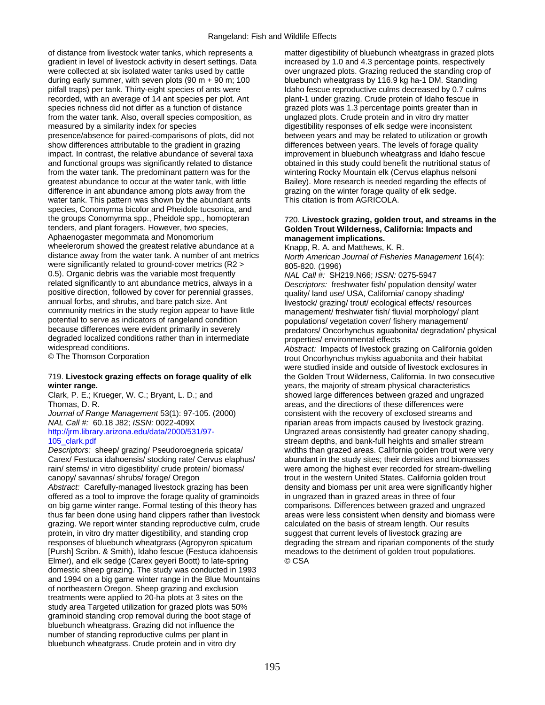of distance from livestock water tanks, which represents a matter digestibility of bluebunch wheatgrass in grazed plots gradient in level of livestock activity in desert settings. Data increased by 1.0 and 4.3 percentage points, respectively were collected at six isolated water tanks used by cattle over ungrazed plots. Grazing reduced the standing crop of during early summer, with seven plots (90 m + 90 m; 100 bluebunch wheatgrass by 116.9 kg ha-1 DM. Standing pitfall traps) per tank. Thirty-eight species of ants were Idaho fescue reproductive culms decreased by 0.7 culms recorded, with an average of 14 ant species per plot. Ant plant-1 under grazing. Crude protein of Idaho fescue in species richness did not differ as a function of distance grazed plots was 1.3 percentage points greater than in from the water tank. Also, overall species composition, as unglazed plots. Crude protein and in vitro dry matter measured by a similarity index for species digestibility responses of elk sedge were inconsistent presence/absence for paired-comparisons of plots, did not between years and may be related to utilization or growth show differences attributable to the gradient in grazing differences between years. The levels of forage quality impact. In contrast, the relative abundance of several taxa improvement in bluebunch wheatgrass and Idaho fescue and functional groups was significantly related to distance obtained in this study could benefit the nutritional status of from the water tank. The predominant pattern was for the wintering Rocky Mountain elk (Cervus elaphus nelsoni greatest abundance to occur at the water tank, with little Bailey). More research is needed regarding the effects of difference in ant abundance among plots away from the grazing on the winter forage quality of elk sedge.<br>water tank. This pattern was shown by the abundant ants This citation is from AGRICOLA. water tank. This pattern was shown by the abundant ants species, Conomyrma bicolor and Pheidole tucsonica, and the groups Conomyrma spp., Pheidole spp., homopteran 720. **Livestock grazing, golden trout, and streams in the** <br> **Golden Trout Wilderness, California: Impacts and** Aphaenogaster megommata and Monomorium **management implications.**<br>
wheelerorum showed the greatest relative abundance at a Knapp, R. A. and Matthews, K. R. wheelerorum showed the greatest relative abundance at a distance away from the water tank. A number of ant metrics were significantly related to ground-cover metrics (R2 > 805-820. (1996) 0.5). Organic debris was the variable most frequently *NAL Call #:* SH219.N66; *ISSN:* 0275-5947<br>
related significantly to ant abundance metrics, always in a *Descriptors:* freshwater fish/ population der positive direction, followed by cover for perennial grasses, quality/ land use/ USA, California/ canopy shading/<br>annual forbs, and shrubs, and bare patch size. Ant livestock/ grazing/ trout/ ecological effects/ resource annual forbs, and shrubs, and bare patch size. Ant livestock/ grazing/ trout/ ecological effects/ resources<br>community metrics in the study region appear to have little management/ freshwater fish/ fluvial morphology/ pla community metrics in the study region appear to have little management/ freshwater fish/ fluvial morphology/ plant<br>potential to serve as indicators of rangeland condition populations/ yegetation cover/ fishery management/ potential to serve as indicators of rangeland condition populations/ vegetation cover/ fishery management/<br>because differences were evident primarily in severely predators/ Oncorhynchus aquabonita/ degradation/ r degraded localized conditions rather than in intermediate properties/ environmental effects<br>widespread conditions. Abstract: Impacts of livestock gra

## **winter range. winter range. years, the majority of stream physical characteristics**

Thomas, D. R. areas, and the directions of these differences were

Carex/ Festuca idahoensis/ stocking rate/ Cervus elaphus/ abundant in the study sites; their densities and biomasses rain/ stems/ in vitro digestibility/ crude protein/ biomass/ were among the highest ever recorded for stream-dwelling canopy/ savannas/ shrubs/ forage/ Oregon trout in the western United States. California golden trout

*Abstract:* Carefully-managed livestock grazing has been density and biomass per unit area were significantly higher offered as a tool to improve the forage quality of graminoids in ungrazed than in grazed areas in three of four on big game winter range. Formal testing of this theory has comparisons. Differences between grazed and ungrazed thus far been done using hand clippers rather than livestock areas were less consistent when density and biomass were grazing. We report winter standing reproductive culm, crude calculated on the basis of stream length. Our results protein, in vitro dry matter digestibility, and standing crop suggest that current levels of livestock grazing are responses of bluebunch wheatgrass (Agropyron spicatum degrading the stream and riparian components of the study [Pursh] Scribn. & Smith), Idaho fescue (Festuca idahoensis meadows to the detriment of golden trout populations. Elmer), and elk sedge (Carex geyeri Boott) to late-spring © CSA domestic sheep grazing. The study was conducted in 1993 and 1994 on a big game winter range in the Blue Mountains of northeastern Oregon. Sheep grazing and exclusion treatments were applied to 20-ha plots at 3 sites on the study area Targeted utilization for grazed plots was 50% graminoid standing crop removal during the boot stage of bluebunch wheatgrass. Grazing did not influence the number of standing reproductive culms per plant in bluebunch wheatgrass. Crude protein and in vitro dry

# **Golden Trout Wilderness, California: Impacts and**

North American Journal of Fisheries Management 16(4):

Descriptors: freshwater fish/ population density/ water predators/ Oncorhynchus aguabonita/ degradation/ physical

widespread conditions. *Abstract:* Impacts of livestock grazing on California golden trout Oncorhynchus mykiss aguabonita and their habitat were studied inside and outside of livestock exclosures in 719. **Livestock grazing effects on forage quality of elk** the Golden Trout Wilderness, California. In two consecutive Clark, P. E.; Krueger, W. C.; Bryant, L. D.; and showed large differences between grazed and ungrazed *Journal of Range Management* 53(1): 97-105. (2000) consistent with the recovery of exclosed streams and<br>
NAL Call #: 60.18 J82; ISSN: 0022-409X<br> **Call #:** 60.18 J82; ISSN: 0022-409X riparian areas from impacts caused by livestock grazing. [http://jrm.library.arizona.edu/data/2000/531/97-](http://jrm.library.arizona.edu/data/2000/531/97-105_clark.pdf) Ungrazed areas consistently had greater canopy shading, 105\_clark.pdf<br>
Descriptors: sheep/ grazing/ Pseudoroegneria spicata/ and midths than grazed areas. California golden trout were ve widths than grazed areas. California golden trout were very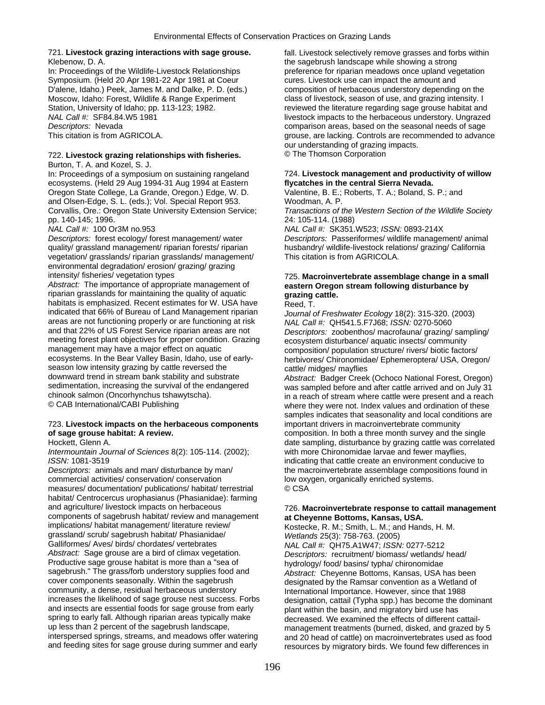## Klebenow, D. A. the sagebrush landscape while showing a strong in the sagebrush landscape while showing a strong

Symposium. (Held 20 Apr 1981-22 Apr 1981 at Coeur cures. Livestock use can impact the amount and D'alene, Idaho.) Peek, James M. and Dalke, P. D. (eds.) composition of herbaceous understory depending on the Moscow, Idaho: Forest, Wildlife & Range Experiment class of livestock, season of use, and grazing intensity. I

### 722. **Livestock grazing relationships with fisheries.** © The Thomson Corporation

Burton, T. A. and Kozel, S. J.

ecosystems. (Held 29 Aug 1994-31 Aug 1994 at Eastern **flycatches in the central Sierra Nevada.**  Oregon State College, La Grande, Oregon.) Edge, W. D. Valentine, B. E.; Roberts, T. A.; Boland, S. P.; and and Olsen-Edge, S. L. (eds.); Vol. Special Report 953. Woodman, A. P. pp. 140-145; 1996. 24: 105-114. (1988)

*Descriptors:* forest ecology/ forest management/ water *Descriptors:* Passeriformes/ wildlife management/ animal quality/ grassland management/ riparian forests/ riparian husbandry/ wildlife-livestock relations/ grazing/ California vegetation/ grasslands/ riparian grasslands/ management/ This citation is from AGRICOLA. environmental degradation/ erosion/ grazing/ grazing

riparian grasslands for maintaining the quality of aquatic **grazing cattle.**  habitats is emphasized. Recent estimates for W. USA have  $\overline{R}$  Reed,  $\overline{T}$ .<br>indicated that 66% of Bureau of Land Management riparian *Journal d* areas are not functioning properly or are functioning at risk and that 22% of US Forest Service riparian areas are not meeting forest plant objectives for proper condition. Grazing ecosystem disturbance/ aquatic insects/ community<br>
composition/ population structure/ rivers/ biotic facto management may have a major effect on aquatic composition/ population structure/ rivers/ biotic factors/<br>ecosystems. In the Bear Valley Basin, Idaho, use of early-<br>herbivores/ Chironomidae/ Fohemeroptera/ USA. Oreg season low intensity grazing by cattle reversed the cattle/ midges/ mayflies<br>downward trend in stream bank stability and substrate *Abstract:* Badger Creek downward trend in stream bank stability and substrate *Abstract:* Badger Creek (Ochoco National Forest, Oregon) sedimentation, increasing the survival of the endangered was sampled before and after cattle arrived and on July 31<br>chinook salmon (Oncorhynchus tshawytscha). chinook salmon (Oncorhynchus tshawytscha).<br>© CAB International/CABI Publishing in a reach of stream where pot lodex values and ordination of these

### 723. **Livestock impacts on the herbaceous components** important drivers in macroinvertebrate community **of sage grouse habitat: A review. composition.** In both a three month survey and the single

*Intermountain Journal of Sciences* 8(2): 105-114. (2002); with more Chironomidae larvae and fewer mayflies, *ISSN:* 1081-3519 indicating that cattle create an environment conducive to

*Descriptors:* animals and man/ disturbance by man/ the macroinvertebrate assemblage compositions found in commercial activities/ conservation/ conservation low oxygen, organically enriched systems. measures/ documentation/ publications/ habitat/ terrestrial  $\qquad \qquad \odot$  CSA habitat/ Centrocercus urophasianus (Phasianidae): farming and agriculture/ livestock impacts on herbaceous 726. **Macroinvertebrate response to cattail management**  components of sagebrush habitat/ review and management **at Cheyenne Bottoms, Kansas, USA.**<br>
implications/ habitat management/ literature review/ **All Chang Rostecke, R. M.: Smith L. M.: and Hang** grassland/ scrub/ sagebrush habitat/ Phasianidae/ *Wetlands* 25(3): 758-763. (2005) Galliformes/ Aves/ birds/ chordates/ vertebrates **NAL Call #:** QH75.A1W47; *ISSN:* 0277-5212<br>Abstract: Sage grouse are a bird of climax vegetation. Descriptors: recruitment/ biomass/ wetlands/ Productive sage grouse habitat is more than a "sea of hydrology/ food/ basins/ typha/ chironomidae<br>sagebrush." The grass/forb understory supplies food and a abstract: Chevenne Bottoms, Kansas, USA b sagebrush." The grass/forb understory supplies food and *Abstract:* Cheyenne Bottoms, Kansas, USA has been cover components seasonally. Within the sagebrush designated by the Ramsar convention as a Wetland of<br>community, a dense, residual herbaceous understory and thernational Importance. However, since that 1988 community, a dense, residual herbaceous understory entity international Importance. However, since that 1988<br>Increases the likelihood of sage grouse nest success. Forbs designation cattail (Typha spp.) has become the do and insects are essential foods for sage grouse from early plant within the basin, and migratory bird use has spring to early fall. Although riparian areas typically make decreased. We examined the effects of different c spring to early fall. Although riparian areas typically make decreased. We examined the effects of different cattail-<br>up less than 2 percent of the sagebrush landscape, management treatments (burned, disked, and grazed b up less than 2 percent of the sagebrush landscape, management treatments (burned, disked, and grazed by 5<br>interspersed springs, streams, and meadows offer watering and 20 head of cattle) on macroinvertebrates used as food interspersed springs, streams, and meadows offer watering and 20 head of cattle) on macroinvertebrates used as food<br>and feeding sites for sage grouse during summer and early espanness by migratory birds. We found few diffe

721. **Livestock grazing interactions with sage grouse.** fall. Livestock selectively remove grasses and forbs within In: Proceedings of the Wildlife-Livestock Relationships preference for riparian meadows once upland vegetation Station, University of Idaho; pp. 113-123; 1982. reviewed the literature regarding sage grouse habitat and *NAL Call #:* SF84.84.W5 1981 **interpretate in the state of the state of the herbaceous understory. Ungrazed Descriptors:** Nevada comparison areas, based on the seasonal needs of sage This citation is from AGRICOLA. Grouse, are lacking. Controls are recommended to advance our understanding of grazing impacts.

## In: Proceedings of a symposium on sustaining rangeland 724. **Livestock management and productivity of willow**

Corvallis, Ore.: Oregon State University Extension Service; *Transactions of the Western Section of the Wildlife Society*

*NAL Call #:* 100 Or3M no.953 *NAL Call #:* SK351.W523; *ISSN:* 0893-214X

### intensity/ fisheries/ vegetation types<br>Abstract: The importance of appropriate management of **and a stern Oregon stream following disturbance by eastern Oregon stream following disturbance by**

Journal of Freshwater Ecology 18(2): 315-320. (2003)<br>NAL Call #: QH541.5.F7J68; ISSN: 0270-5060 Descriptors: zoobenthos/ macrofauna/ grazing/ sampling/ herbivores/ Chironomidae/ Ephemeroptera/ USA, Oregon/

where they were not. Index values and ordination of these samples indicates that seasonality and local conditions are Hockett, Glenn A. date sampling, disturbance by grazing cattle was correlated

Kostecke, R. M.; Smith, L. M.; and Hands, H. M. *Descriptors:* recruitment/ biomass/ wetlands/ head/ designation, cattail (Typha spp.) has become the dominant resources by migratory birds. We found few differences in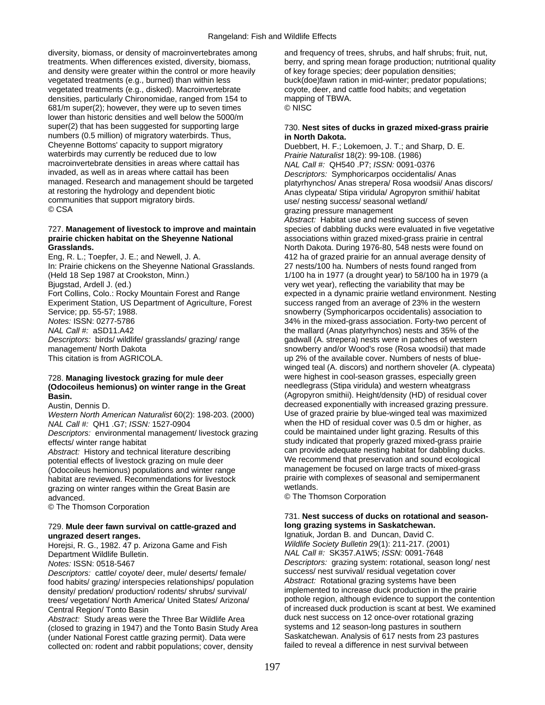diversity, biomass, or density of macroinvertebrates among and frequency of trees, shrubs, and half shrubs; fruit, nut, and density were greater within the control or more heavily of key forage species; deer population densities; vegetated treatments (e.g., burned) than within less buck(doe)fawn ration in mid-winter; predator populations; vegetated treatments (e.g., disked). Macroinvertebrate covote, deer, and cattle food habits; and vegetation densities, particularly Chironomidae, ranged from 154 to mapping of TBWA. 681/m super(2); however, they were up to seven times © NISC lower than historic densities and well below the 5000/m super(2) that has been suggested for supporting large 730. Nest sites of ducks in grazed mixed-grass prairie numbers (0.5 million) of migratory waterbirds. Thus, **in North Dakota.**<br>Cheyenne Bottoms' capacity to support migratory **in North Dakota.** Duebbert. H. F.: I waterbirds may currently be reduced due to low *Prairie Naturalist* 18(2): 99-108. (1986) macroinvertebrate densities in areas where cattail has *NAL Call #:* QH540 .P7; *ISSN:* 0091-0376<br>invaded, as well as in areas where cattail has been *Descriptors: Symphoricarpos occidentalis/* invaded, as well as in areas where cattail has been *Descriptors:* Symphoricarpos occidentalis/ Anas managed. Research and management should be targeted platyrhynchos/ Anas strepera/ Rosa woodsii/ Anas discors/<br>at restoring the hydrology and dependent biotic and anas clypeata/ Stipa viridula/ Agropyron smithii/ habitat at restoring the hydrology and dependent biotic Anas clypeata/ Stipa viridula/ Agropyron smithii/ habitat<br>communities that support migratory birds.<br>and the Anas clypeata/ Stipa viridula/ Agropyron smithii/ habitat communities that support migratory birds. use/ nesting success/ seasonal wetland/<br>© CSA arazing pressure management

# **prairie chicken habitat on the Sheyenne National** associations within grazed mixed-grass prairie in central

Eng, R. L.; Toepfer, J. E.; and Newell, J. A. 412 ha of grazed prairie for an annual average density of In: Prairie chickens on the Sheyenne National Grasslands. 27 nests/100 ha. Numbers of nests found ranged from (Held 18 Sep 1987 at Crookston, Minn.) 1/100 ha in 1977 (a drought year) to 58/100 ha in 1979 (a Bjugstad, Ardell J. (ed.) very wet year), reflecting the variability that may be Experiment Station, US Department of Agriculture, Forest success ranged from an average of 23% in the western Service; pp. 55-57; 1988. snowberry (Symphoricarpos occidentalis) association to *Notes:* ISSN: 0277-5786 34% in the mixed-grass association. Forty-two percent of *NAL Call #:* aSD11.A42 the mallard (Anas platyrhynchos) nests and 35% of the *Descriptors:* birds/ wildlife/ grasslands/ grazing/ range gadwall (A. strepera) nests were in patches of western management/ North Dakota snowberry and/or Wood's rose (Rosa woodsii) that made<br>This citation is from AGRICOLA. This citation is from AGRICOLA.

# (Odocoileus hemionus) on winter range in the Great

*Western North American Naturalist* 60(2): 198-203. (2000)

*Descriptors:* environmental management/ livestock grazing effects/ winter range habitat study indicated that properly grazed mixed-grass prairie

habitat are reviewed. Recommendations for livestock prairie with prairie with complexes of seasonal and semipermanent complexes of semipermanent westlands. grazing on winter ranges within the Great Basin are advanced. © The Thomson Corporation

© The Thomson Corporation

## 729. **Mule deer fawn survival on cattle-grazed and long grazing systems in Saskatchewan.**

Horejsi, R. G., 1982. 47 p. Arizona Game and Fish Department Wildlife Bulletin. *NAL Call #:* SK357.A1W5; *ISSN:* 0091-7648

*Descriptors: cattle/ coyote/ deer, mule/ deserts/ female/* success/ nest survival/ residual vegetation cover<br>food habits/ grazing/ interspecies relationships/ population *Abstract: Rotational grazing systems have been* food habits/ grazing/ interspecies relationships/ population *Abstract:* Rotational grazing systems have been trees/ vegetation/ North America/ United States/ Arizona/

Abstract: Study areas were the Three Bar Wildlife Area duck nest success on 12 once-over rotational graz<br>(closed to grazing in 1947) and the Tonto Basin Study Area systems and 12 season-long pastures in southern (closed to grazing in 1947) and the Tonto Basin Study Area systems and 12 season-long pastures in southern<br>(under National Forest cattle grazing permit), Data were Saskatchewan, Analysis of 617 nests from 23 pastures (under National Forest cattle grazing permit). Data were Saskatchewan. Analysis of 617 nests from 23 pastures<br>
collected on: rodent and rabbit populations: cover, density failed to reveal a difference in nest survival betw collected on: rodent and rabbit populations; cover, density

treatments. When differences existed, diversity, biomass, berry, and spring mean forage production; nutritional quality

Duebbert, H. F.; Lokemoen, J. T.; and Sharp, D. E. grazing pressure management

*Abstract:* Habitat use and nesting success of seven 727. **Management of livestock to improve and maintain** species of dabbling ducks were evaluated in five vegetative **Grasslands.** North Dakota. During 1976-80, 548 nests were found on Fort Collins, Colo.: Rocky Mountain Forest and Range expected in a dynamic prairie wetland environment. Nesting up 2% of the available cover. Numbers of nests of bluewinged teal (A. discors) and northern shoveler (A. clypeata) 728. **Managing livestock grazing for mule deer** were highest in cool-season grasses, especially green **Basin.** (Agropyron smithii). Height/density (HD) of residual cover Austin, Dennis D.<br>Western North American Naturalist 60(2): 198-203 (2000) Use of grazed prairie by blue-winged teal was maximized *NAL Call #:* QH1 .G7; *ISSN:* 1527-0904 when the HD of residual cover was 0.5 dm or higher, as<br>Descriptors: environmental management/ livestock grazing could be maintained under light grazing. Results of this Abstract: History and technical literature describing can provide adequate nesting habitat for dabbling ducks. potential effects of livestock grazing on mule deer We recommend that preservation and sound ecological .<br>(Odocoileus hemionus) populations and winter range management be focused on large tracts of mixed-grass<br>habitat are reviewed. Recommendations for livestock prairie with complexes of seasonal and semipermanent

## 731. **Nest success of ducks on rotational and season-**

**ungrazed desert ranges.**<br>
Horeisi, R. G., 1982, 47 p. Arizona Game and Fish Wildlife Society Bulletin 29(1): 211-217. (2001) *Notes:* ISSN: 0518-5467 *Descriptors:* grazing system: rotational, season long/ nest density/ predation/ production/ rodents/ shrubs/ survival/ implemented to increase duck production in the prairie<br>trees/ vegetation/ North America/ Linited States/ Arizona/ pothole region, although evidence to support the Central Region/ Tonto Basin<br>
Abstract: Study areas were the Three Bar Wildlife Area duck nest success on 12 once-over rotational grazing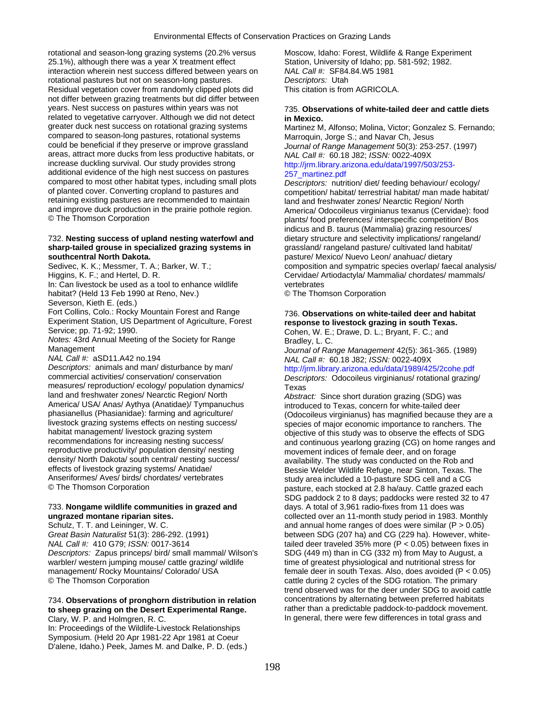rotational and season-long grazing systems (20.2% versus Moscow, Idaho: Forest, Wildlife & Range Experiment 25.1%), although there was a year X treatment effect Station, University of Idaho; pp. 581-592; 1982. interaction wherein nest success differed between years on *NAL Call #:* SF84.84.W5 1981 rotational pastures but not on season-long pastures. *Descriptors:* Utah Residual vegetation cover from randomly clipped plots did This citation is from AGRICOLA. not differ between grazing treatments but did differ between years. Nest success on pastures within years was not 735. **Observations of white-tailed deer and cattle diets**  related to vegetative carryover. Although we did not detect **in Mexico.**<br>greater duck nest success on rotational grazing systems Martinez M compared to season-long pastures, rotational systems Marroquin, Jorge S.; and Navar Ch, Jesus<br>
could be beneficial if they preserve or improve grassland (*Cournal of Range Management 50(3)* areas, attract more ducks from less productive habitats, or *NAL Call #:* 60.18 J82; *ISSN:* 0022-409X increase duckling survival. Our study provides strong [http://jrm.library.arizona.edu/data/1997/503/253](http://jrm.library.arizona.edu/data/1997/503/253-257_martinez.pdf) additional evidence of the high nest success on pastures 257\_martinez.pdf<br>compared to most other habitat types, including small plots Descriptors: nutricompared to most other habitat types, including small plots *Descriptors:* nutrition/ diet/ feeding behaviour/ ecology/ of planted cover. Converting cropland to pastures and competition/ habitat/ terrestrial habitat/ man made habitat/<br>
retaining existing pastures are recommended to maintain and and freshwater zones/ Nearctic Region/ North retaining existing pastures are recommended to maintain land and freshwater zones/ Nearctic Region/ North<br>and improve duck production in the prairie pothole region. America/ Odocoileus virginianus texanus (Cervidae and improve duck production in the prairie pothole region. America/ Odocoileus virginianus texanus (Cervidae): food<br>© The Thomson Corporation

### 732. **Nesting success of upland nesting waterfowl and** dietary structure and selectivity implications/ rangeland/ **sharp-tailed grouse in specialized grazing systems in** grassland/ rangeland pasture/ cultivated land habitat/ **southcentral North Dakota. pasture/ Mexico/ Nuevo Leon/ anahuac/ dietary pasture/ Mexico/ Nuevo Leon/ anahuac/ dietary**

In: Can livestock be used as a tool to enhance wildlife vertebrates habitat? (Held 13 Feb 1990 at Reno, Nev.) © The Thomson Corporation

Severson, Kieth E. (eds.)

Fort Collins, Colo.: Rocky Mountain Forest and Range 736. Observations on white-tailed deer and habitat Experiment Station, US Department of Agriculture, Forest **response to livestock grazing in south Texas.**<br>
Service: pp. 71-92: 1990. *Cohen W. F. Drawe D. L. Bryant F. C. and* 

*Notes:* 43rd Annual Meeting of the Society for Range Bradley, L. C.<br>Management *Journal of Ral* 

*NAL Call #:* aSD11.A42 no.194 *NAL Call #:* 60.18 J82; *ISSN:* 0022-409X *Descriptors:* animals and man/ disturbance by man/ http://jrm.library.arizona.edu/data/1989/425/2cohe.pdf<br>Commercial activities/ conservation/ conservation<br>Descriptors: Odocoileus virginianus/ rotational grazing measures/ reproduction/ ecology/ population dynamics/<br>
land and freshwater zones/ Nearctic Region/ North<br>
Abstra land and freshwater zones/ Nearctic Region/ North *Abstract:* Since short duration grazing (SDG) was America/ USA/ Anas/ Aythya (Anatidae)/ Tympanuchus introduced to Texas, concern for white-tailed deer<br>phasianellus (Phasianidae): farming and agriculture/ (Odocoileus virginianus) has magnified because th reproductive productivity/ population density/ nesting movement indices of female deer, and on forage<br>density/ North Dakota/ south central/ nesting success/ availability. The study was conducted on the Rob density/ North Dakota/ south central/ nesting success/ availability. The study was conducted on the Rob and<br>effects of livestock grazing systems/ Anatidae/ Bessie Welder Wildlife Refuge, near Sinton, Texas, The Anseriformes/ Aves/ birds/ chordates/ vertebrates study area included a 10-pasture SDG cell and a CG<br>© The Thomson Corporation

## 733. **Nongame wildlife communities in grazed and** days. A total of 3,961 radio-fixes from 11 does was

Schulz, T. T. and Leininger, W. C. **and annual home ranges of does were similar (P** > 0.05) *Great Basin Naturalist* 51(3): 286-292. (1991) between SDG (207 ha) and CG (229 ha). However, white-*Descriptors: Zapus princeps/ bird/ small mammal/ Wilson's* warbler/ western jumping mouse/ cattle grazing/ wildlife time of greatest physiological and nutritional stress for management/ Rocky Mountains/ Colorado/ USA female deer in south Texas. Also, does avoided (P < 0.05) © The Thomson Corporation cattle during 2 cycles of the SDG rotation. The primary

### to sheep grazing on the Desert Experimental Range. Clary, W. P. and Holmgren, R. C. **In general, there were few differences in total grass and**

In: Proceedings of the Wildlife-Livestock Relationships Symposium. (Held 20 Apr 1981-22 Apr 1981 at Coeur D'alene, Idaho.) Peek, James M. and Dalke, P. D. (eds.)

Martinez M, Alfonso; Molina, Victor; Gonzalez S. Fernando; Journal of Range Management 50(3): 253-257. (1997)

plants/ food preferences/ interspecific competition/ Bos indicus and B. taurus (Mammalia) grazing resources/ Sedivec, K. K.; Messmer, T. A.; Barker, W. T.; composition and sympatric species overlap/ faecal analysis/ Higgins, K. F.; and Hertel, D. R. Cervidae/ Artiodactyla/ Mammalia/ chordates/ mammals/

Cohen, W. E.; Drawe, D. L.; Bryant, F. C.; and

Management *Journal of Range Management* 42(5): 361-365. (1989)

Descriptors: Odocoileus virginianus/ rotational grazing/

phasianellus (Phasianidae): farming and agriculture/ (Odocoileus virginianus) has magnified because they are a<br>Iivestock grazing systems effects on nesting success/ species of major economic importance to ranchers. The livestock grazing systems effects on nesting success/ species of major economic importance to ranchers. The<br>habitat management/ livestock grazing system between onlinective of this study was to observe the effects of SDG habitat management/ livestock grazing system objective of this study was to observe the effects of SDG<br>
recommendations for increasing nesting success/<br>
and continuous vearlong grazing (CG) on home ranges a recommendations for increasing nesting success/ and continuous yearlong grazing (CG) on home ranges and reproductive productivity/ population density/ nesting movement indices of female deer, and on forage effects of livestock grazing systems/ Anatidae/ Bessie Welder Wildlife Refuge, near Sinton, Texas. The<br>Anseriformes/ Aves/ birds/ chordates/ vertebrates study area included a 10-pasture SDG cell and a CG pasture, each stocked at 2.8 ha/auy. Cattle grazed each SDG paddock 2 to 8 days; paddocks were rested 32 to 47 **ungrazed montane riparian sites.** collected over an 11-month study period in 1983. Monthly failed deer traveled 35% more (P < 0.05) between fixes in SDG (449 m) than in CG (332 m) from May to August, a trend observed was for the deer under SDG to avoid cattle 734. **Observations of pronghorn distribution in relation** concentrations by alternating between preferred habitats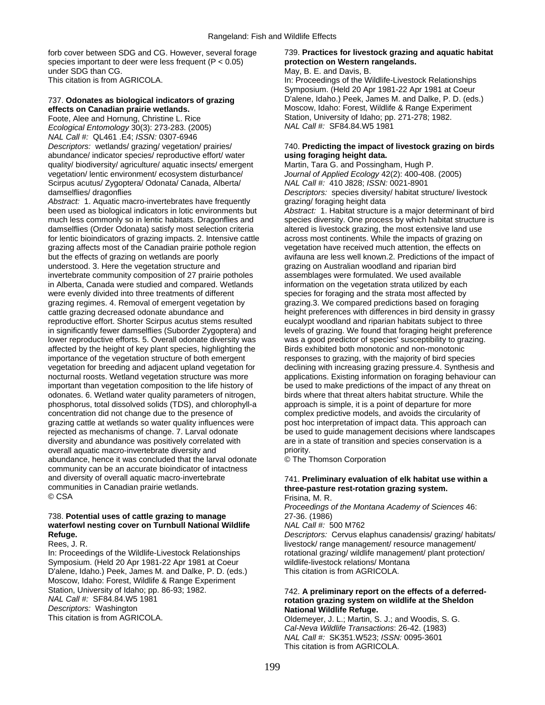species important to deer were less frequent (P < 0.05) under SDG than CG.<br>This citation is from AGRICOLA. This citation is from AGRICOLA.

Foote, Alee and Hornung, Christine L. Rice Station, University of Idaho; pp. 273-283; 1982. Ecological Enterprison Controllery 273-283; 2005) *Ecological Entomology* 30(3): 273-283. (2005) *NAL Call #:* QL461 .E4; *ISSN:* 0307-6946 abundance/ indicator species/ reproductive effort/ water **using foraging height data.**  quality/ biodiversity/ agriculture/ aquatic insects/ emergent Martin, Tara G. and Possingham, Hugh P. vegetation/ lentic environment/ ecosystem disturbance/ *Journal of Applied Ecology* 42(2): 400-408. (2005)<br>Scirpus acutus/ Zygoptera/ Odonata/ Canada, Alberta/ *NAL Call #:* 410 J828; *ISSN:* 0021-8901 Scirpus acutus/ Zygoptera/ Odonata/ Canada, Alberta/ damselflies/ dragonflies *Descriptors:* species diversity/ habitat structure/ livestock

*Abstract:* 1. Aquatic macro-invertebrates have frequently grazing/ foraging height data been used as biological indicators in lotic environments but *Abstract:* 1. Habitat structure is a major determinant of bird much less commonly so in lentic habitats. Dragonflies and species diversity. One process by which habitat structure is damselflies (Order Odonata) satisfy most selection criteria altered is livestock grazing, the most extensive land use for lentic bioindicators of grazing impacts. 2. Intensive cattle across most continents. While the impacts of grazing on grazing affects most of the Canadian prairie pothole region vegetation have received much attention, the effects on but the effects of grazing on wetlands are poorly **axifauna** are less well known.2. Predictions of the impact of understood. 3. Here the vegetation structure and grazing on Australian woodland and riparian bird invertebrate community composition of 27 prairie potholes assemblages were formulated. We used available in Alberta, Canada were studied and compared. Wetlands information on the vegetation strata utilized by each were evenly divided into three treatments of different species for foraging and the strata most affected by grazing regimes. 4. Removal of emergent vegetation by grazing.3. We compared predictions based on foraging cattle grazing decreased odonate abundance and height preferences with differences in bird density in grassy reproductive effort. Shorter Scirpus acutus stems resulted eucalypt woodland and riparian habitats subject to three in significantly fewer damselflies (Suborder Zygoptera) and levels of grazing. We found that foraging height preference lower reproductive efforts. 5. Overall odonate diversity was was a good predictor of species' susceptibility to grazing. affected by the height of key plant species, highlighting the Birds exhibited both monotonic and non-monotonic importance of the vegetation structure of both emergent responses to grazing, with the majority of bird species vegetation for breeding and adjacent upland vegetation for declining with increasing grazing pressure.4. Synthesis and important than vegetation composition to the life history of be used to make predictions of the impact of any threat on odonates. 6. Wetland water quality parameters of nitrogen, birds where that threat alters habitat structure. While the phosphorus, total dissolved solids (TDS), and chlorophyll-a approach is simple, it is a point of departure for more concentration did not change due to the presence of complex predictive models, and avoids the circularity of grazing cattle at wetlands so water quality influences were post hoc interpretation of impact data. This approach can rejected as mechanisms of change. 7. Larval odonate be used to guide management decisions where landscapes diversity and abundance was positively correlated with are in a state of transition and species conservation is a overall aquatic macro-invertebrate diversity and priority. abundance, hence it was concluded that the larval odonate © The Thomson Corporation community can be an accurate bioindicator of intactness and diversity of overall aquatic macro-invertebrate 741. **Preliminary evaluation of elk habitat use within a**<br> **a communities** in Canadian prairie wetlands.<br> **a ince-pasture rest-rotation grazing system**. communities in Canadian prairie wetlands. **three-pasture rest-rotation grazing system.** 

### 738. **Potential uses of cattle grazing to manage** 27-36. (1986) **waterfowl nesting cover on Turnbull National Wildlife**

In: Proceedings of the Wildlife-Livestock Relationships Symposium. (Held 20 Apr 1981-22 Apr 1981 at Coeur wildlife-livestock relations/ Montana D'alene, Idaho.) Peek, James M. and Dalke, P. D. (eds.) This citation is from AGRICOLA. Moscow, Idaho: Forest, Wildlife & Range Experiment Station, University of Idaho; pp. 86-93; 1982. **742. A preliminary report on the effects of a deferred-**<br> *NAL Call #:* SF84.84.W5 1981 **report on the effects of a deferred-**<br> **rotation grazing system on wildlife at the Sh** *NAL Call #:* SF84.84.W5 1981 **rotation grazing system on wildlife at the Sheldon**  *Descriptors:* Washington **National Wildlife Refuge.** 

## forb cover between SDG and CG. However, several forage 739. **Practices for livestock grazing and aquatic habitat** species important to deer were less frequent (P < 0.05) **protection on Western rangelands.**

In: Proceedings of the Wildlife-Livestock Relationships Symposium. (Held 20 Apr 1981-22 Apr 1981 at Coeur 737. **Odonates as biological indicators of grazing** D'alene, Idaho.) Peek, James M. and Dalke, P. D. (eds.)<br> **effects on Canadian prairie wetlands.** Mille B. Annes Moscow, Idaho: Forest, Wildlife & Range Experiment Moscow, Idaho: Forest, Wildlife & Range Experiment<br>Station, University of Idaho; pp. 271-278; 1982.

## *Descriptors:* wetlands/ grazing/ vegetation/ prairies/ 740. **Predicting the impact of livestock grazing on birds**

nocturnal roosts. Wetland vegetation structure was more applications. Existing information on foraging behaviour can

Frisina, M. R. *Proceedings of the Montana Academy of Sciences* 46:

**Refuge.** *Descriptors:* Cervus elaphus canadensis/ grazing/ habitats/ Rees, J. R.<br>In: Proceedings of the Wildlife-Livestock Relationships **incomponent** rotational grazing/ wildlife management/ plant protection/

Oldemeyer, J. L.; Martin, S. J.; and Woodis, S. G. *Cal-Neva Wildlife Transactions*: 26-42. (1983) *NAL Call #:* SK351.W523; *ISSN:* 0095-3601 This citation is from AGRICOLA.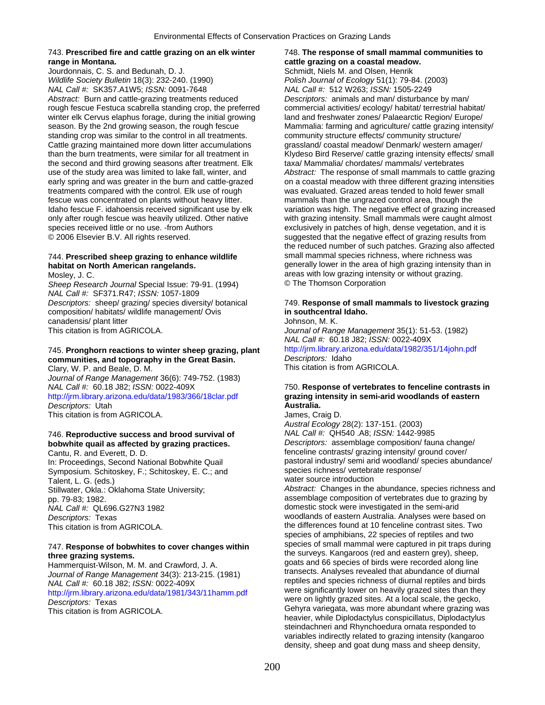### 743. **Prescribed fire and cattle grazing on an elk winter** 748. **The response of small mammal communities to range in Montana. cattle grazing on a coastal meadow.**

Jourdonnais, C. S. and Bedunah, D. J. Schmidt, Niels M. and Olsen, Henrik *Wildlife Society Bulletin* 18(3): 232-240. (1990) *Polish Journal of Ecology* 51(1): 79-84. (2003) *NAL Call #:* SK357.A1W5; *ISSN:* 0091-7648 *NAL Call #:* 512 W263; *ISSN:* 1505-2249 *Abstract:* Burn and cattle-grazing treatments reduced *Descriptors:* animals and man/ disturbance by man/ rough fescue Festuca scabrella standing crop, the preferred commercial activities/ ecology/ habitat/ terrestrial habitat/ winter elk Cervus elaphus forage, during the initial growing land and freshwater zones/ Palaearctic Region/ Europe/ season. By the 2nd growing season, the rough fescue Mammalia: farming and agriculture/ cattle grazing intensity/ standing crop was similar to the control in all treatments. community structure effects/ community structure/ Cattle grazing maintained more down litter accumulations grassland/ coastal meadow/ Denmark/ western amager/ than the burn treatments, were similar for all treatment in Klydeso Bird Reserve/ cattle grazing intensity effects/ small<br>the second and third growing seasons after treatment. Elk taxa/ Mammalia/ chordates/ mammals/ verteb the second and third growing seasons after treatment. Elk treatments compared with the control. Elk use of rough was evaluated. Grazed areas tended to hold fewer small fescue was concentrated on plants without heavy litter. mammals than the ungrazed control area, though the fescue was concentrated on plants without heavy litter. only after rough fescue was heavily utilized. Other native with grazing intensity. Small mammals were caught almost species received little or no use. -from Authors exclusively in patches of high, dense vegetation, and it is © 2006 Elsevier B.V. All rights reserved. Suggested that the negative effect of grazing results from

# 744. **Prescribed sheep grazing to enhance wildlife** small mammal species richness, where richness was

*Sheep Research Journal Special Issue: 79-91. (1994) NAL Call #:* SF371.R47; *ISSN:* 1057-1809 composition/ habitats/ wildlife management/ Ovis **in southcentral Idaho.**  canadensis/ plant litter and the Johnson, M. K. This citation is from AGRICOLA. *Journal of Range Management* 35(1): 51-53. (1982)

### 745. **Pronghorn reactions to winter sheep grazing, plant** <http://jrm.library.arizona.edu/data/1982/351/14john.pdf> communities, and topography in the Great Basin. Clary, W. P. and Beale, D. M. This citation is from AGRICOLA.

*Journal of Range Management* 36(6): 749-752. (1983) **Descriptors:** Utah **Australia.** 

This citation is from AGRICOLA. Subset of the state of the state of the state of the state of the state of the state of the state of the state of the state of the state of the state of the state of the state of the state o

## 746. **Reproductive success and brood survival of** *NAL Call #:* QH540 .A8; *ISSN:* 1442-9985

Symposium. Schitoskey, F.; Schitoskey, E. C.; and Talent, L. G. (eds.) Talent, L. G. (eds.)

use of the study area was limited to lake fall, winter, and *Abstract:* The response of small mammals to cattle grazing early spring and was greater in the burn and cattle-grazed on a coastal meadow with three different grazing intensities Idaho fescue F. idahoensis received significant use by elk variation was high. The negative effect of grazing increased the reduced number of such patches. Grazing also affected **habitat on North American rangelands.** generally lower in the area of high grazing intensity than in Mosley, J. C.<br>Sheep Research Journal Special Issue: 79-91 (1994) <sup>©</sup> The Thomson Corporation

## *Descriptors:* sheep/ grazing/ species diversity/ botanical 749. **Response of small mammals to livestock grazing**

*NAL Call #:* 60.18 J82; *ISSN:* 0022-409X

### *NAL Call #:* 60.18 J82; *ISSN:* 0022-409X 750. **Response of vertebrates to fenceline contrasts in**  <http://jrm.library.arizona.edu/data/1983/366/18clar.pdf>**grazing intensity in semi-arid woodlands of eastern**

*Austral Ecology* 28(2): 137-151. (2003) **bobwhite quail as affected by grazing practices.** *Descriptors:* assemblage composition/ fauna change/ Cantu, R. and Everett, D. D. The Cantus of the fenceline contrasts/ grazing intensity/ ground cover/ In: Proceedings, Second National Bobwhite Quail example and pastoral industry/ semi arid woodland/ species abundance/<br>Symposium Schitoskey F: Schitoskey F C and species richness/ vertebrate response/

Stillwater, Okla.: Oklahoma State University; *Abstract:* Changes in the abundance, species richness and pp. 79-83; 1982. pp. 79-83; 1982.<br>
MAL Call #: QL696.G27N3 1982<br>
MAL Call #: QL696.G27N3 1982 domestic stock were investigated in the semi-arid **Descriptors: Texas Woodlands of eastern Australia. Analyses were based on Woodlands of eastern Australia. Analyses were based on** This citation is from AGRICOLA. This citation is from AGRICOLA. species of amphibians, 22 species of reptiles and two<br>species of small mammal were captured in pit traps during 747. Response of bobwhites to cover changes within three grazing systems.<br>
Hammerquist-Wilson, M. M. and Crawford, J. A. goats and 66 species of small mammal were captured in pit traps during<br>
Hammerquist-Wilson, M. M. and were tiles and species richness of diurnal reptiles and birds<br><http://jrm.library.arizona.edu/data/1981/343/11hamm.pdf>were significantly lower on heavily grazed sites than they<br>Descriptors: Texas were on lightly grazed sit Gehyra variegata, was more abundant where grazing was heavier, while Diplodactylus conspicillatus, Diplodactylus steindachneri and Rhynchoedura ornata responded to variables indirectly related to grazing intensity (kangaroo density, sheep and goat dung mass and sheep density,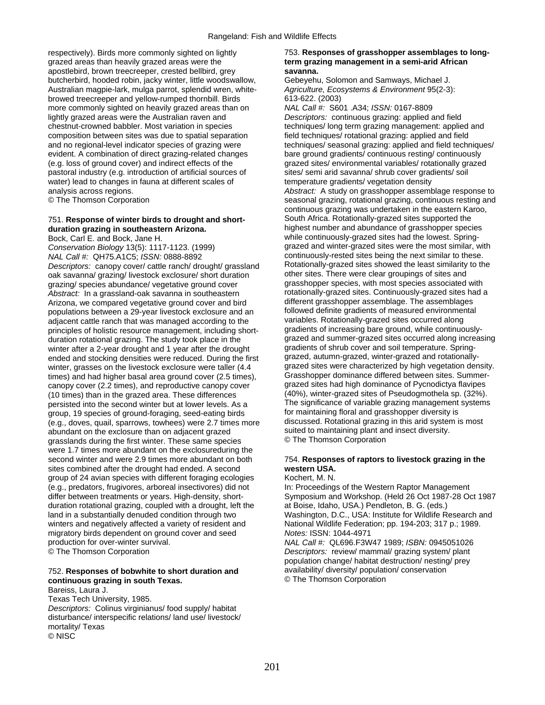respectively). Birds more commonly sighted on lightly 753. **Responses of grasshopper assemblages to long**grazed areas than heavily grazed areas were the **term grazing management in a semi-arid African**  apostlebird, brown treecreeper, crested bellbird, grey **savanna.**  butcherbird, hooded robin, jacky winter, little woodswallow, Gebeyehu, Solomon and Samways, Michael J. Australian magpie-lark, mulga parrot, splendid wren, white- *Agriculture, Ecosystems & Environment* 95(2-3): browed treecreeper and yellow-rumped thornbill. Birds 613-622. (2003) more commonly sighted on heavily grazed areas than on *NAL Call #:* S601 .A34; *ISSN:* 0167-8809 lightly grazed areas were the Australian raven and *Descriptors:* continuous grazing: applied and field chestnut-crowned babbler. Most variation in species techniques/ long term grazing management: applied and composition between sites was due to spatial separation field techniques/ rotational grazing: applied and field evident. A combination of direct grazing-related changes bare ground gradients/ continuous resting/ continuously<br>(e.g. loss of ground cover) and indirect effects of the grazed sites/ environmental variables/ rotationally g pastoral industry (e.g. introduction of artificial sources of sites/ semi arid savanna/ shrub cover gradients/ soil water) lead to changes in fauna at different scales of the temperature gradients/ vegetation density

*Conservation Biology* 13(5): 1117-1123. (1999) grazed and winter-grazed sites were the most similar, with<br>
NAL Call #: QH75.A1C5; ISSN: 0888-8892<br>
Continuously-rested sites being the next similar to these. *Descriptors:* canopy cover/ cattle ranch/ drought/ grassland Rotationally-grazed sites showed the least similarity to the oak sayanna/ grazing/ livestock exclosure/ short duration other sites. There were clear groupings o oak savanna/ grazing/ livestock exclosure/ short duration other sites. There were clear groupings of sites and<br>
grasshopper species, with most species associated with grazing/ species abundance/ vegetative ground cover grasshopper species, with most species associated with<br>Abstract: In a grassland-oak savanna in southeastern contationally-grazed sites. Continuously-grazed sites had a *Abstract:* In a grassland-oak savanna in southeastern rotationally-grazed sites. Continuously-grazed sites had a<br>Arizona, we compared vegetative ground cover and bird different grasshopper assemblage. The assemblages Arizona, we compared vegetative ground cover and bird different grasshopper assemblage. The assemblages<br>hopulations between a 29-vear livestock exclosure and an different of followed definite gradients of measured environm populations between a 29-year livestock exclosure and an followed definite gradients of measured environmer<br>adiacent cattle ranch that was managed according to the variables. Rotationally-grazed sites occurred along adjacent cattle ranch that was managed according to the variables. Rotationally-grazed sites occurred along<br>principles of holistic resource management including short- gradients of increasing bare ground, while continuousl principles of holistic resource management, including short-<br>duration rotational grazing. The study took place in the grazed and summer-grazed sites occurred along increasing duration rotational grazing. The study took place in the grazed and summer-grazed sites occurred along increasing<br>string-<br>gradients of shrub cover and soil temperature. Spring-<br>gradients of shrub cover and soil temperature winter after a 2-year drought and 1 year after the drought gradients of shrub cover and soil temperature. Spring-<br>ended and stocking densities were reduced. During the first grazed, autumn-grazed, winter-grazed and rotatio ended and stocking densities were reduced. During the first grazed, autumn-grazed, winter-grazed and rotationally-<br>winter grasses on the livestock exclosure were taller (4.4 grazed sites were characterized by high vegetati winter, grasses on the livestock exclosure were taller (4.4 grazed sites were characterized by high vegetation density<br>times) and had higher basal area ground cover (2.5 times) Grasshopper dominance differed between sites. times) and had higher basal area ground cover (2.5 times), Grasshopper dominance differed between sites. Summer-<br>Canopy cover (2.2 times), and reproductive canopy cover grazed sites had high dominance of Pycnodictya flavip canopy cover (2.2 times), and reproductive canopy cover (10 times) than in the grazed area. These differences (40%), winter-grazed sites of Pseudogmothela sp. (32%). persisted into the second winter but at lower levels. As a The significance of variable grazing management<br>
or maintaining floral and grasshopper diversity is group, 19 species of ground-foraging, seed-eating birds for maintaining floral and grasshopper diversity is<br>(e.g. doves quail sparrows towhees) were 2.7 times more discussed. Rotational grazing in this arid system is most (e.g., doves, quail, sparrows, towhees) were 2.7 times more discussed. Rotational grazing in this arid system<br>abundant on the exclosure than on adjacent grazed suited to maintaining plant and insect diversity. abundant on the exclosure than on adjacent grazed suited to maintaining plant and insect and insect diversion<br>  $\bullet$  The Thomson Corporation grasslands during the first winter. These same species were 1.7 times more abundant on the exclosureduring the second winter and were 2.9 times more abundant on both 754. **Responses of raptors to livestock grazing in the**  sites combined after the drought had ended. A second **western USA.** group of 24 avian species with different foraging ecologies Kochert, M. N. (e.g., predators, frugivores, arboreal insectivores) did not In: Proceedings of the Western Raptor Management differ between treatments or years. High-density, short- Symposium and Workshop. (Held 26 Oct 1987-28 Oct 1987 duration rotational grazing, coupled with a drought, left the at Boise, Idaho, USA.) Pendleton, B. G. (eds.) land in a substantially denuded condition through two Washington, D.C., USA: Institute for Wildlife Research and winters and negatively affected a variety of resident and National Wildlife Federation; pp. 194-203; 317 p.; 1989. migratory birds dependent on ground cover and seed *Notes:* ISSN: 1044-4971 production for over-winter survival. *NAL Call #:* QL696.F3W47 1989; *ISBN:* 0945051026 © The Thomson Corporation *Descriptors:* review/ mammal/ grazing system/ plant

### 752. **Responses of bobwhite to short duration and** availability/ diversity/ population/ conservation continuous grazing in south Texas.

Bareiss, Laura J. Texas Tech University, 1985. *Descriptors:* Colinus virginianus/ food supply/ habitat disturbance/ interspecific relations/ land use/ livestock/ mortality/ Texas © NISC

and no regional-level indicator species of grazing were techniques/ seasonal grazing: applied and field techniques/ grazed sites/ environmental variables/ rotationally grazed analysis across regions.<br> **Abstract:** A study on grasshopper assemblage response to<br> **C** The Thomson Corporation **Abstract:** A study on grasshopper assemblage response to<br>
seasonal grazing, rotational grazing, continuous r seasonal grazing, rotational grazing, continuous resting and continuous grazing was undertaken in the eastern Karoo, 751. **Response of winter birds to drought and short-** South Africa. Rotationally-grazed sites supported the **duration grazing in southeastern Arizona.** highest number and abundance of grasshopper species Bock, Carl E. and Bock, Jane H. while continuously-grazed sites had the lowest. Springcontinuously-rested sites being the next similar to these.

population change/ habitat destruction/ nesting/ prey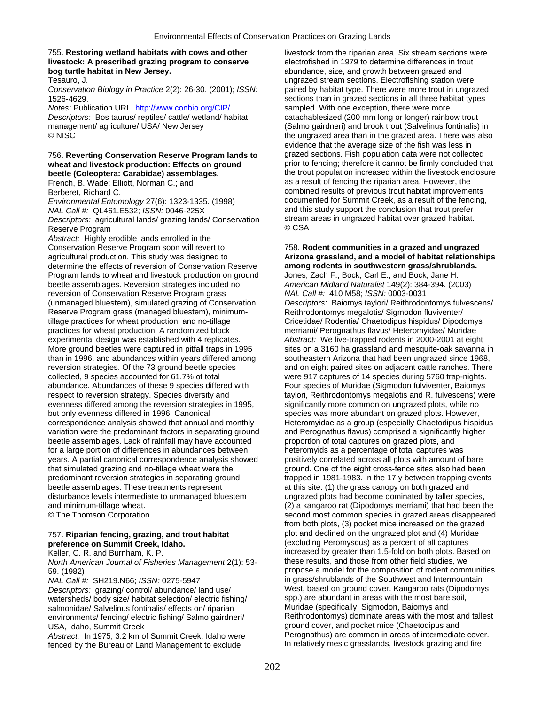### 755. **Restoring wetland habitats with cows and other** livestock from the riparian area. Six stream sections were **livestock: A prescribed grazing program to conserve** electrofished in 1979 to determine differences in trout **bog turtle habitat in New Jersey. abundance**, size, and growth between grazed and growth between grazed and

*Conservation Biology in Practice* 2(2): 26-30. (2001); *ISSN:* paired by habitat type. There were more trout in ungrazed 1526-4629. sections than in grazed sections in all three habitat types

*Notes:* Publication URL: [http://www.conbio.org/CIP/](http://www.conbio.org/CIP) sampled. With one exception, there were more *Descriptors:* Bos taurus/ reptiles/ cattle/ wetland/ habitat catachablesized (200 mm long or longer) rainbow trout

*Environmental Entomology* 27(6): 1323-1335. (1998) documented for Summit Creek, as a result of the fencing, and this study support the conclusion that trout prefer *NAL Call #:* QL461.E532; *ISSN:* 0046-225X and this study support the conclusion that trout prefer *Descriptors:* agricultural lands/ grazing lands/ Conservation stream<br>Reserve Program Reserve Program

*Abstract:* Highly erodible lands enrolled in the Conservation Reserve Program soon will revert to 758. **Rodent communities in a grazed and ungrazed**  determine the effects of reversion of Conservation Reserve **among rodents in southwestern grass/shrublands.**  Program lands to wheat and livestock production on ground Jones, Zach F.; Bock, Carl E.; and Bock, Jane H. beetle assemblages. Reversion strategies included no *American Midland Naturalist* 149(2): 384-394. (2003) reversion of Conservation Reserve Program grass *NAL Call #:* 410 M58; *ISSN:* 0003-0031 Reserve Program grass (managed bluestem), minimum-<br>Reithrodontomys megalotis/ Sigmodon fluviventer/ tillage practices for wheat production, and no-tillage Cricetidae/ Rodentia/ Chaetodipus hispidus/ Dipodomys practices for wheat production. A randomized block merriami/ Perognathus flavus/ Heteromyidae/ Muridae experimental design was established with 4 replicates. *Abstract:* We live-trapped rodents in 2000-2001 at eight than in 1996, and abundances within years differed among southeastern Arizona that had been ungrazed since 1968, abundance. Abundances of these 9 species differed with Four species of Muridae (Sigmodon fulviventer, Baiomys evenness differed among the reversion strategies in 1995, significantly more common on ungrazed plots, while no but only evenness differed in 1996. Canonical species was more abundant on grazed plots. However, variation were the predominant factors in separating ground and Perognathus flavus) comprised a significantly higher beetle assemblages. Lack of rainfall may have accounted proportion of total captures on grazed plots, and for a large portion of differences in abundances between heteromyids as a percentage of total captures was years. A partial canonical correspondence analysis showed positively correlated across all plots with amount of bare that simulated grazing and no-tillage wheat were the ground. One of the eight cross-fence sites also had been predominant reversion strategies in separating ground trapped in 1981-1983. In the 17 y between trapping events beetle assemblages. These treatments represent at this site: (1) the grass canopy on both grazed and disturbance levels intermediate to unmanaged bluestem ungrazed plots had become dominated by taller species,

*North American Journal of Fisheries Management* 2(1): 53-

watersheds/ body size/ habitat selection/ electric fishing/ spp.) are abundant in areas with the most bare<br>salmonidae/ Salvelinus fontinalis/ effects on/ riparian subsection Muridae (specifically, Sigmodon, Baiomys and environments/ fencing/ electric fishing/ Salmo gairdneri/

fenced by the Bureau of Land Management to exclude

Tesauro, J. ungrazed stream sections. Electrofishing station were management/ agriculture/ USA/ New Jersey (Salmo gairdneri) and brook trout (Salvelinus fontinalis) in © NISC the ungrazed area than in the grazed area. There was also evidence that the average size of the fish was less in 756. **Reverting Conservation Reserve Program lands to** grazed sections. Fish population data were not collected wheat and livestock production: Effects on ground **prior to fencing; therefore it cannot be firmly concluded that beetle (Coleoptera: Carabidae) assemblages. the trout population increased within the livestock enclosure** French, B. Wade; Elliott, Norman C.; and as a result of fencing the riparian area. However, the Berberet, Richard C.<br>
Fortionmental Enternation of 1323-1335. (1998) combined results of previous trout habitat improvements<br>
documented for Summit Creek, as a result of the fencing,

agricultural production. This study was designed to **Arizona grassland, and a model of habitat relationships**  (unmanaged bluestem), simulated grazing of Conservation *Descriptors:* Baiomys taylori/ Reithrodontomys fulvescens/ More ground beetles were captured in pitfall traps in 1995 sites on a 3160 ha grassland and mesquite-oak savanna in reversion strategies. Of the 73 ground beetle species and on eight paired sites on adjacent cattle ranches. There<br>collected, 9 species accounted for 61.7% of total were 917 captures of 14 species during 5760 trap-nights. were 917 captures of 14 species during 5760 trap-nights. respect to reversion strategy. Species diversity and taylori, Reithrodontomys megalotis and R. fulvescens) were correspondence analysis showed that annual and monthly Heteromyidae as a group (especially Chaetodipus hispidus and minimum-tillage wheat. (2) a kangaroo rat (Dipodomys merriami) that had been the © The Thomson Corporation second most common species in grazed areas disappeared from both plots, (3) pocket mice increased on the grazed 757. **Riparian fencing, grazing, and trout habitat** plot and declined on the ungrazed plot and (4) Muridae **preference on Summit Creek, Idaho.** *(excluding Peromyscus)* as a percent of all captures Keller, C. R. and Burnham, K. P. increased by greater than 1.5-fold on both plots. Based on<br>North American Journal of Fisheries Management 2(1): 53-<br>these results, and those from other field studies, we 59. (1982) propose a model for the composition of rodent communities *NAL Call #:* SH219.N66; *ISSN:* 0275-5947 in grass/shrublands of the Southwest and Intermountain *Descriptors:* grazing/ control/ abundance/ land use/ West, based on ground cover. Kangaroo rats (Dipodomys watersheds/ body size/ habitat selection/ electric fishing/ spp.) are abundant in areas with the most bare soil, salmonidae/ Salvelinus fontinalis/ effects on/ riparian Muridae (specifically, Sigmodon, Baiomys and<br>http://www.manthuman.com/ electric fishing/ Salmo gairdneri/ Reithrodontomys) dominate areas with the most and tallest USA, Idaho, Summit Creek<br>Abstract: In 1975, 3.2 km of Summit Creek, Idaho were Perognathus) are common in areas of intermediate cover. *Abstract:* In 1975, 3.2 km of Summit Creek, Idaho were Perognathus) are common in areas of intermediate cove<br>Fenced by the Bureau of Land Management to exclude In relatively mesic grasslands, livestock grazing and fire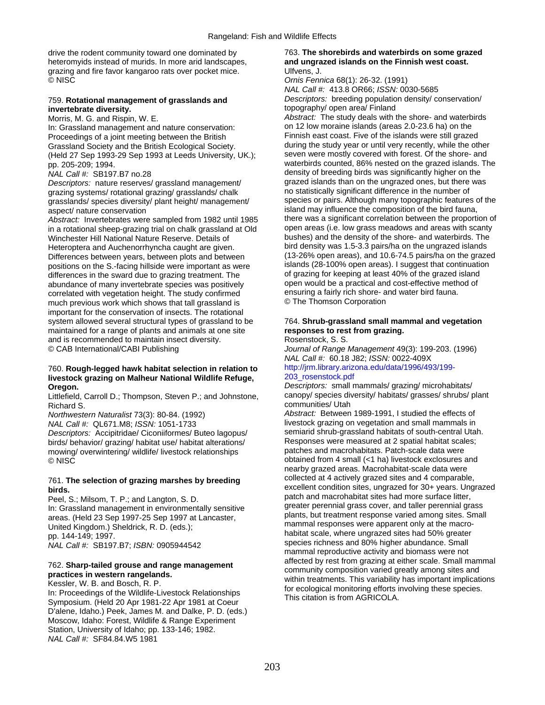heteromyids instead of murids. In more arid landscapes, **and ungrazed islands on the Finnish west coast.**  grazing and fire favor kangaroo rats over pocket mice. Ulfvens, J.<br>
© NISC Ornis Fenre

# **invertebrate diversity.**<br>
Morris, M. G. and Rispin, W. E.<br>
Morris, M. G. and Rispin, W. E.<br> **Abstract:** The study deals with t

In: Grassland management and nature conservation: on 12 low moraine islands (areas 2.0-23.6 ha) on the<br>Proceedings of a joint meeting between the British Finnish east coast. Five of the islands were still grazed Proceedings of a joint meeting between the British Francelly Finnish east coast. Five of the islands were still grazed<br>Grassland Society and the British Ecological Society during the study year or until very recently, whil Grassland Society and the British Ecological Society. *During the study year or until very recently, while the other*<br>(Held 27 Sep 1993-29 Sep 1993 at Leeds University, UK.): seven were mostly covered with forest. Of the (Held 27 Sep 1993-29 Sep 1993 at Leeds University, UK.);

*Descriptors:* nature reserves/ grassland management/ grazed islands than on the ungrazed ones, but there mere was<br>
grazing systems/ rotational grazing/ grasslands/ chalk one statistically significant difference in the num grasslands/ species diversity/ plant height/ management/

Abstract: Invertebrates were sampled from 1982 until 1985 there was a significant correlation between the proportion o<br>in a rotational sheep-grazing trial on chalk grassland at Old open areas (i.e. low grass meadows and ar in a rotational sheep-grazing trial on chalk grassland at Old open areas (i.e. low grass meadows and areas with scanty<br>Winchester Hill National Nature Reserve Details of bushes) and the density of the shore- and waterbirds Winchester Hill National Nature Reserve. Details of bushes) and the density of the shore- and waterbirds. The<br>Heteroptera and Auchenorrhyncha caught are given.<br>bird density was 1.5-3.3 pairs/ha on the ungrazed islands Differences between years, between plots and between positions on the S.-facing hillside were important as were islands (28-100% open areas). I suggest that continuation differences in the sward due to grazing treatment. The of grazing for keeping at least 40% of the grazed differences in the sward due to grazing treatment. The of grazing for keeping at least 40% of the grazed island<br>open would be a practical and cost-effective method of abundance of many invertebrate species was positively open would be a practical and cost-effective meth<br>
correlated with vegetation height. The study confirmed ensuring a fairly rich shore- and water bird fauna. correlated with vegetation height. The study confirmed ensuring a fairly rich shore- a<br>much previous work which shows that tall grassland is **C** The Thomson Corporation much previous work which shows that tall grassland is important for the conservation of insects. The rotational system allowed several structural types of grassland to be 764. **Shrub-grassland small mammal and vegetation**  maintained for a range of plants and animals at one site **responses to rest from grazing.**  and is recommended to maintain insect diversity. Rosenstock, S. S. COAB International/CABI Publishing in the state of Range is

### 760. **Rough-legged hawk habitat selection in relation to** [http://jrm.library.arizona.edu/data/1996/493/199](http://jrm.library.arizona.edu/data/1996/493/199-203_rosenstock.pdf) livestock grazing on Malheur National Wildlife Refuge,

Littlefield, Carroll D.; Thompson, Steven P.; and Johnstone, Richard S. Communities/ Utah

*Northwestern Naturalist* 73(3): 80-84. (1992) *Abstract:* Between 1989-1991, I studied the effects of *Descriptors:* Accipitridae/ Ciconiiformes/ Buteo lagopus/ semiarid shrub-grassland habitats of south-central Utah. birds/ behavior/ grazing/ habitat use/ habitat alterations/ Responses were measured at 2 spatial habitat scale<br>mowing/ overwintering/ wildlife/ livestock relationships patches and macrohabitats. Patch-scale data were mowing/ overwintering/ wildlife/ livestock relationships.

D'alene, Idaho.) Peek, James M. and Dalke, P. D. (eds.) Moscow, Idaho: Forest, Wildlife & Range Experiment Station, University of Idaho; pp. 133-146; 1982. *NAL Call #:* SF84.84.W5 1981

# drive the rodent community toward one dominated by 763. **The shorebirds and waterbirds on some grazed**

© NISC *Ornis Fennica* 68(1): 26-32. (1991) *NAL Call #:* 413.8 OR66; *ISSN:* 0030-5685 759. **Rotational management of grasslands and** *Descriptors:* breeding population density/ conservation/

Abstract: The study deals with the shore- and waterbirds on 12 low moraine islands (areas 2.0-23.6 ha) on the pp. 205-209; 1994. waterbirds counted, 86% nested on the grazed islands. The NAL Call #: SB197.B7 no.28<br> *NAL Call* #: SB197.B7 no.28 density of breeding birds was significantly higher on the<br>
Descriptors: nature reserves/ grassland management/ density of analysis than on the ungrazed ones, but the grazing systems/ rotational grazing/ grasslands/ chalk no statistically significant difference in the number of<br>grasslands/ species diversity/ plant height/ management/ species or pairs. Although many topographic features aspect/ nature conservation<br>Abstract: Invertebrates were sampled from 1982 until 1985 there was a significant correlation between the proportion of Heteroptera and Auchenorrhyncha caught are given.<br>Differences between vears, between plots and between (13-26% open areas), and 10.6-74.5 pairs/ha on the grazed

© CAB International/CABI Publishing *Journal of Range Management* 49(3): 199-203. (1996) *NAL Call #:* 60.18 J82; *ISSN:* 0022-409X

**Oregon.**<br> **Descriptors:** small mammals/ grazing/ microhabitats/<br> **Littlefield, Carroll D.: Thompson, Steven P.: and Johnstone. 
<br>
canopy/ species diversity/ habitats/ grasses/ shrubs/ plant** 

*NAL Call #:* QL671.M8; *ISSN:* 1051-1733 <br>*Descriptors:* Accipitridae/ Ciconiiformes/ Buteo Jagopus/ semiarid shrub-grassland habitats of south-central Utah. © NISC obtained from 4 small (<1 ha) livestock exclosures and nearby grazed areas. Macrohabitat-scale data were Text **The selection of grazing marshes by breeding** collected at 4 actively grazed sites and 4 comparable,<br> **birds.**<br>
Peel, S.; Milsom, T. P.; and Langton, S. D.<br> **peel, S.; Milsom, T. P.; and Langton, S. D.**<br> **peel, S.; M** Peel, S.; Milsom, T. P.; and Langton, S. D.<br>
In: Grassland management in environmentally sensitive<br>
areas. (Held 23 Sep 1997-25 Sep 1997 at Lancaster,<br>
United Kingdom.) Sheldrick, R. D. (eds.);<br>
pp. 144-149; 1997.<br>
NAL Cal mammal reproductive activity and biomass were not Text Sharp-tailed grouse and range management<br>
practices in western rangelands.<br>
Kessler, W. B. and Bosch, R. P.<br>
In: Proceedings of the Wildlife-Livestock Relationships<br>
Symposium. (Held 20 Apr 1981-22 Apr 1981 at Coeur<br>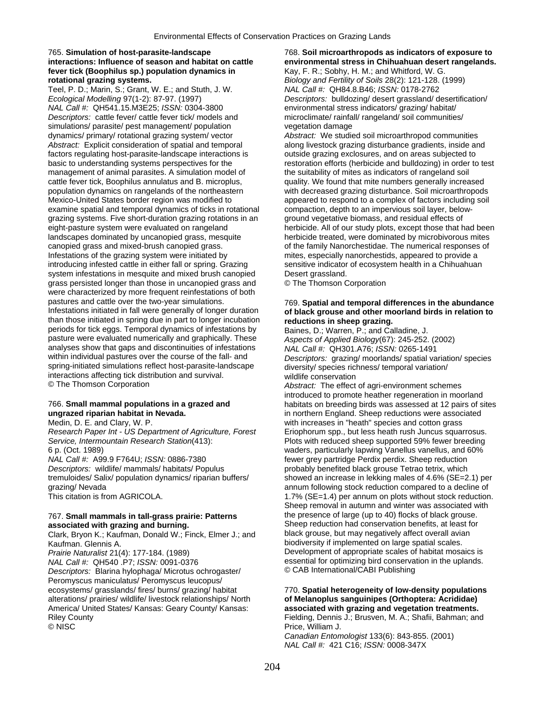## 765. **Simulation of host-parasite-landscape** 768. **Soil microarthropods as indicators of exposure to fever tick (Boophilus sp.) population dynamics in** Kay, F. R.; Sobhy, H. M.; and Whitford, W. G. **rotational grazing systems. for a system of the system of the system of the system of the system of the system of Soils 2**

Teel, P. D.; Marin, S.; Grant, W. E.; and Stuth, J. W. *NAL Call #:* QH84.8.B46; *ISSN:* 0178-2762 *Ecological Modelling* 97(1-2): 87-97. (1997) *Descriptors:* bulldozing/ desert grassland/ desertification/ *NAL Call #:* QH541.15.M3E25; *ISSN:* 0304-3800 environmental stress indicators/ grazing/ habitat/ *Descriptors:* cattle fever/ cattle fever tick/ models and microclimate/ rainfall/ rangeland/ soil communities/ simulations/ parasite/ pest management/ population vegetation damage dynamics/ primary/ rotational grazing system/ vector *Abstract:* We studied soil microarthropod communities *Abstract:* Explicit consideration of spatial and temporal along livestock grazing disturbance gradients, inside and factors regulating host-parasite-landscape interactions is outside grazing exclosures, and on areas subjected to basic to understanding systems perspectives for the restoration efforts (herbicide and bulldozing) in order to test management of animal parasites. A simulation model of the suitability of mites as indicators of rangeland soil cattle fever tick, Boophilus annulatus and B. microplus, quality. We found that mite numbers generally increased population dynamics on rangelands of the northeastern with decreased grazing disturbance. Soil microarthropods<br>Mexico-United States border region was modified to supposed to respond to a complex of factors including soil examine spatial and temporal dynamics of ticks in rotational compaction, depth to an impervious soil layer, belowgrazing systems. Five short-duration grazing rotations in an ground vegetative biomass, and residual effects of eight-pasture system were evaluated on rangeland herbicide. All of our study plots, except those that had been landscapes dominated by uncanopied grass, mesquite herbicide treated, were dominated by microbivorous mites canopied grass and mixed-brush canopied grass.  $\qquad \qquad$  of the family Nanorchestidae. The numerical responses of Infestations of the grazing system were initiated by mites, especially nanorchestids, appeared to provide a introducing infested cattle in either fall or spring. Grazing sensitive indicator of ecosystem health in a Chihuahuan system infestations in mesquite and mixed brush canopied Desert grassland. grass persisted longer than those in uncanopied grass and © The Thomson Corporation were characterized by more frequent reinfestations of both pastures and cattle over the two-year simulations. 769. **Spatial and temporal differences in the abundance**  than those initiated in spring due in part to longer incubation **reductions in sheep grazing.**<br>
periods for tick eggs. Temporal dynamics of infestations by Baines, D.; Warren, P.; and Calladine, J. periods for tick eggs. Temporal dynamics of infestations by pasture were evaluated numerically and graphically. These *Aspects of Applied Biology*(67): 245-252. (2002) analyses show that gaps and discontinuities of infestations *NAL Call #: QH301.A76; ISSN: 0265-1491* analyses show that gaps and discontinuities of infestations within individual pastures over the course of the fall- and spring-initiated simulations reflect host-parasite-landscape diversity/ species richness/ temporal variation/ interactions affecting tick distribution and survival. wildlife conservation<br>
© The Thomson Corporation<br>
20 *Abstract*: The effect

*Research Paper Int - US Department of Agriculture, Forest* Eriophorum spp., but less heath rush Juncus squarrosus. *Service, Intermountain Research Station*(413): Plots with reduced sheep supported 59% fewer breeding 6 p. (Oct. 1989)<br>
MAL Call #: A99.9 F764U; ISSN: 0886-7380 external on the fewer grey partridge Perdix perdix. Sheep reduction *Descriptors:* wildlife/ mammals/ habitats/ Populus probably benefited black grouse Tetrao tetrix, which grazing/ Nevada annum following stock reduction compared to a decline of

Clark, Bryon K.; Kaufman, Donald W.; Finck, Elmer J.; and

*Descriptors:* Blarina hylophaga/ Microtus ochrogaster/ Peromyscus maniculatus/ Peromyscus leucopus/ alterations/ prairies/ wildlife/ livestock relationships/ North **of Melanoplus sanguinipes (Orthoptera: Acrididae)**  America/ United States/ Kansas: Geary County/ Kansas: **associated with grazing and vegetation treatments.**  Riley County **Fielding, Dennis J.; Brusven, M. A.; Shafii, Bahman**; and **County County County Example 2 County County County County County County County County County County County County Co** 

## **interactions: Influence of season and habitat on cattle environmental stress in Chihuahuan desert rangelands.**

**rotational grazing systems.** *Biology and Fertility of Soils* 28(2): 121-128. (1999)

appeared to respond to a complex of factors including soil

# of black grouse and other moorland birds in relation to

Descriptors: grazing/ moorlands/ spatial variation/ species

Abstract: The effect of agri-environment schemes introduced to promote heather regeneration in moorland 766. **Small mammal populations in a grazed and** habitats on breeding birds was assessed at 12 pairs of sites **ungrazed riparian habitat in Nevada.** in northern England. Sheep reductions were associated Medin, D. E. and Clary, W. P. with increases in "heath" species and cotton grass fewer grey partridge Perdix perdix. Sheep reduction tremuloides/ Salix/ population dynamics/ riparian buffers/ showed an increase in lekking males of 4.6% (SE=2.1) per This citation is from AGRICOLA. 1.7% (SE=1.4) per annum on plots without stock reduction. Sheep removal in autumn and winter was associated with 767. **Small mammals in tall-grass prairie: Patterns** the presence of large (up to 40) flocks of black grouse. **associated with grazing and burning. Sheep reduction had conservation benefits, at least for and state of clark. Bryon K.: Kaufman, Donald W.: Finck. Fimer J.: and black grouse, but may negatively affect overall avian** Kaufman. Glennis A. biodiversity if implemented on large spatial scales.<br> *Prairie Naturalist* 21(4): 177-184. (1989) **Development of appropriate scales of habitat mosa Pevelopment of appropriate scales of habitat mosaics is** *NAL Call #:* QH540 .P7; *ISSN:* 0091-0376 essential for optimizing bird conservation in the uplands.<br>Descriptors: Blarina hylophaga/ Microtus ochrogaster/ © CAB International/CABI Publishing

## ecosystems/ grasslands/ fires/ burns/ grazing/ habitat 770. **Spatial heterogeneity of low-density populations**  Price, William J.

*Canadian Entomologist* 133(6): 843-855. (2001) *NAL Call #:* 421 C16; *ISSN:* 0008-347X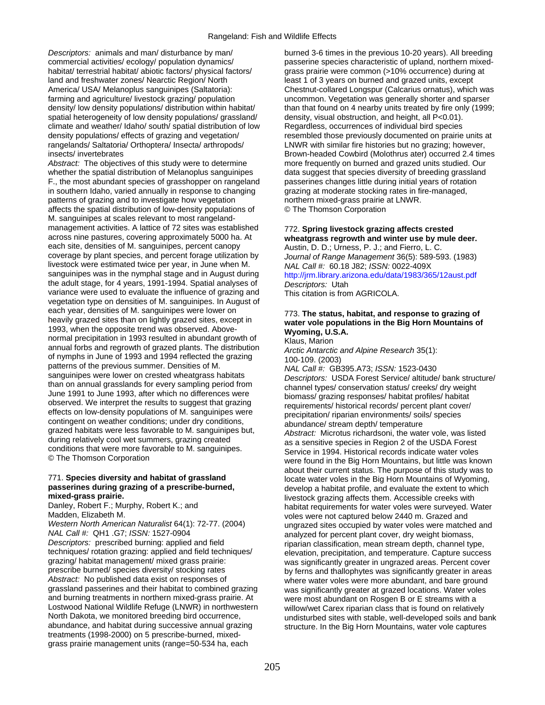*Descriptors:* animals and man/ disturbance by man/ burned 3-6 times in the previous 10-20 years). All breeding commercial activities/ ecology/ population dynamics/ passerine species characteristic of upland, northern mixedhabitat/ terrestrial habitat/ abiotic factors/ physical factors/ grass prairie were common (>10% occurrence) during at land and freshwater zones/ Nearctic Region/ North least 1 of 3 years on burned and grazed units, except America/ USA/ Melanoplus sanguinipes (Saltatoria): Chestnut-collared Longspur (Calcarius ornatus), which was farming and agriculture/ livestock grazing/ population uncommon. Vegetation was generally shorter and sparser density/ low density populations/ distribution within habitat/ than that found on 4 nearby units treated by fire only (1999; spatial heterogeneity of low density populations/ grassland/ density, visual obstruction, and height, all P<0.01). climate and weather/ Idaho/ south/ spatial distribution of low Regardless, occurrences of individual bird species density populations/ effects of grazing and vegetation/ resembled those previously documented on prairie units at rangelands/ Saltatoria/ Orthoptera/ Insecta/ arthropods/ LNWR with similar fire histories but no grazing; however, insects/ invertebrates and the state Brown-headed Cowbird (Molothrus ater) occurred 2.4 times

whether the spatial distribution of Melanoplus sanguinipes data suggest that species diversity of breeding grassland F., the most abundant species of grasshopper on rangeland passerines changes little during initial years of rotation in southern Idaho, varied annually in response to changing grazing at moderate stocking rates in fire-managed, patterns of grazing and to investigate how vegetation northern mixed-grass prairie at LNWR. affects the spatial distribution of low-density populations of © The Thomson Corporation M. sanguinipes at scales relevant to most rangelandmanagement activities. A lattice of 72 sites was established 772. **Spring livestock grazing affects crested** across nine pastures, covering approximately 5000 ha. At **wheatgrass regrowth and winter use by mule** each site, densities of M. sanguinipes, percent canopy <br>coverage by plant species, and percent forage utilization by Journal of Range Management 36(5): 589-59 livestock were estimated twice per year, in June when M.<br>sanguinipes was in the nymphal stage and in August during the adult stage, for 4 years, 1991-1994. Spatial analyses of *Descriptors:* Utah variance were used to evaluate the influence of grazing and This citation is from AGRICOLA. vegetation type on densities of M. sanguinipes. In August of each year, densities of M. sanguinipes were lower on<br>
heavily grazed sites than on lightly grazed sites, except in<br>
1993, when the opposite trend was observed. Above-<br>
normal precipitation in 1993 resulted in abundant grow patterns of the previous summer. Densities of M.<br>
sanguinipes were lower on crested wheatgrass habitats *Descriptors:* USDA Forest Service/ altitude/ bank structure/<br>
than on annual grasslands for every sampling period fro than on annual grasslands for every sampling period from<br>
June 1991 to June 1993, after which no differences were<br>
observed. We interpret the results to suggest that grazing<br>
observed. We interpret the results to suggest t

*Western North American Naturalist* 64(1): 72-77. (2004) ungrazed sites occupied by water voles were matched and *NAL Call #:* QH1 .G7; *ISSN:* 1527-0904 analyzed for percent plant cover, dry weight biomass, *Descriptors:* prescribed burning: applied and field riparian classification, mean stream depth, channel type, techniques/ riparian classification, mean stream depth, channel type, electioniques/ riparian classification, a techniques/ rotation grazing: applied and field techniques/ elevation, precipitation, and temperature. Capture success<br>grazing/ habitat management/ mixed grass prairie: was significantly greater in ungrazed areas. Percent grazing/ habitat management/ mixed grass prairie: was significantly greater in ungrazed areas. Percent cover<br>prescribe burned/ species diversity/ stocking rates by ferns and thallophytes was significantly greater in areas prescribe burned/ species diversity/ stocking rates by ferns and thallophytes was significantly greater in areas<br>Abstract: No published data exist on responses of where water voles were more abundant, and bare ground grassland passerines and their habitat to combined grazing was significantly greater at grazed locations. Water voles and burning treatments in northern mixed-grass prairie. At were most abundant on Rosgen B or E streams with a Lostwood National Wildlife Refuge (LNWR) in northwestern willow/wet Carex riparian class that is found on relatively<br>North Dakota, we monitored breeding bird occurrence, undistrurbed sites with stable well-developed soils treatments (1998-2000) on 5 prescribe-burned, mixedgrass prairie management units (range=50-534 ha, each

*Abstract:* The objectives of this study were to determine more frequently on burned and grazed units studied. Our

## wheatgrass regrowth and winter use by mule deer.

Journal of Range Management 36(5): 589-593. (1983)<br>NAL Call #: 60.18 J82; ISSN: 0022-409X http://jrm.library.arizona.edu/data/1983/365/12aust.pdf

conditions that were more favorable to M. sanguinipes.<br>
© The Thomson Corporation<br>
were found in the Big Horn Mountains, but little was known about their current status. The purpose of this study was to 771. **Species diversity and habitat of grassland locate water voles in the Big Horn Mountains of Wyoming, passerines during grazing of a prescribe-burned, develop a habitat profile, and evaluate the extent to which passerines during grazing of a prescribe-burned,** and evelop a habitat profile, and evaluate the extent to which<br>
livestock grazing affects them Accessible creeks with **mixed-grass prairie.**<br>19 livestock grazing affects them. Accessible creeks with<br>19 habitat requirements for water yoles were surveyed. V Danley, Robert F.; Murphy, Robert K.; and habitat requirements for water voles were surveyed. Water<br>Madden, Elizabeth M. https://www.mater.com/water.com/water.com/water/helow 2440 m Grazed and Madden, Elizabeth M.<br>Western North American Naturalist 64(1): 72-77. (2004) where not captured below 2440 m. Grazed and where water voles were more abundant, and bare ground North Dakota, we monitored breeding bird occurrence, example undisturbed sites with stable, well-developed soils and bank<br>Abundance, and habitat during successive annual grazing structure. In the Big Horn Mountains, water structure. In the Big Horn Mountains, water vole captures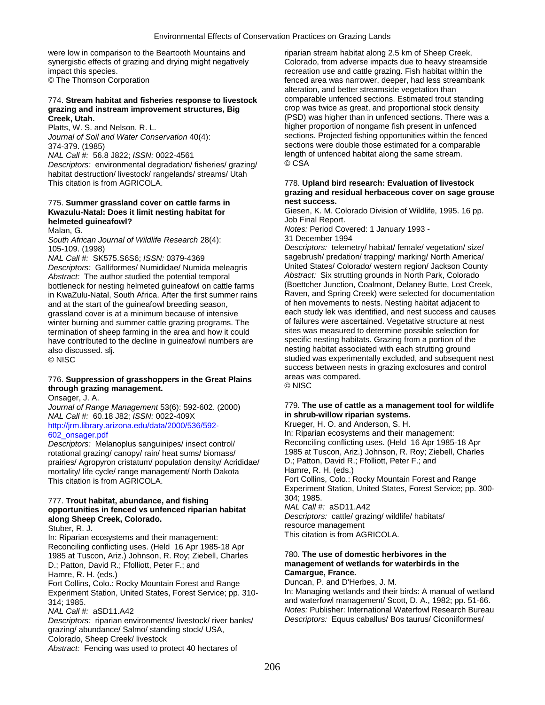were low in comparison to the Beartooth Mountains and riparian stream habitat along 2.5 km of Sheep Creek, impact this species. recreation use and cattle grazing. Fish habitat within the

### 774. **Stream habitat and fisheries response to livestock** comparable unfenced sections. Estimated trout standing grazing and instream improvement structures, Big Creek, Utah.

*Descriptors:* environmental degradation/ fisheries/ grazing/ habitat destruction/ livestock/ rangelands/ streams/ Utah This citation is from AGRICOLA. 778. **Upland bird research: Evaluation of livestock** 

### 775. **Summer grassland cover on cattle farms in heat success.**<br>**Kwazulu-Natal: Does it limit nesting habitat for heat of the Giesen, K. M. C helmeted guineafowl?**

**South African Journal of Wildlife Research 28(4):** 

*Descriptors:* Galliformes/ Numididae/ Numida meleagris United States/ Colorado/ western region/ Jackson County *Abstract:* The author studied the potential temporal *Abstract:* Six strutting grounds in North Park, Colorado bottleneck for nesting helmeted guineafowl on cattle farms (Boettcher Junction, Coalmont, Delaney Butte, Lost in KwaZulu-Natal, South Africa. After the first summer rains Raven, and Spring Creek) were selected for documenta<br>and at the start of the quineafowl breeding season. The range of hen movements to nests. Nesting habitat adj grassland cover is at a minimum because of intensive each study lek was identified, and nest success and caus<br>winter burning and summer cattle grazing programs. The sof failures were ascertained. Vegetative structure at winter burning and summer cattle grazing programs. The of failures were ascertained. Vegetative structure at nes<br>termination of sheep farming in the area and how it could<br>sites was measured to determine possible selection termination of sheep farming in the area and how it could<br>have contributed to the decline in quineafowl numbers are<br>specific nesting habitats. Grazing from a portion of the have contributed to the decline in guineafowl numbers are also discussed. sli.  $\overrightarrow{a}$  and  $\overrightarrow{b}$  are nesting habitat associated with each strutting ground

## areas was compared. 776. **Suppression of grasshoppers in the Great Plains** © NISC **through grazing management.**

Onsager, J. A.

*NAL Call #:* 60.18 J82; *ISSN:* 0022-409X **in shrub-willow riparian systems.** [http://jrm.library.arizona.edu/data/2000/536/592-](http://jrm.library.arizona.edu/data/2000/536/592-602_onsager.pdf)

*Descriptors:* Melanoplus sanguinipes/ insect control/ Reconciling conflicting uses. (Held 16 Apr 1985-18 Apr 1985-18 Apr 1985-18 Apr 1985-18 Apr 1985-18 Apr 1985-18 Apr 1985-18 Apr 1985-18 Apr 1985-18 Apr 1985 at Tuscon, rotational grazing/ canopy/ rain/ heat sums/ biomass/ 1985 at Tuscon, Ariz.) Johnson, R. Roy; Zie<br>prairies/ Agropyron cristatum/ population density/ Acrididae/ D.; Patton, David R.; Ffolliott, Peter F.; and prairies/ Agropyron cristatum/ population density/ Acrididae/ D.; Patton, David R.<br>mortality/ life cycle/ range management/ North Dakota Hamre, R. H. (eds.) mortality/ life cycle/ range management/ North Dakota<br>This citation is from AGRICOLA.

Reconciling conflicting uses. (Held 16 Apr 1985-18 Apr 1985 at Tuscon, Ariz.) Johnson, R. Roy; Ziebell, Charles 780. **The use of domestic herbivores in the**  D.; Patton, David R.; Ffolliott, Peter F.; and **management of wet**<br>Hamre, R. H. (eds.)

Hamre, R. H. (eds.)<br>
Fort Collins. Colo.: Rocky Mountain Forest and Range **Camargue, France. Colling.** Colo.: Rocky Mountain Forest and Range **Colling.** Duncan, P. and D'Herbes, J. M. Fort Collins, Colo.: Rocky Mountain Forest and Range Duncan, P. and D'Herbes, J. M.<br>Experiment Station, United States, Forest Service: pp. 310- In: Managing wetlands and their birds: A manual of wetland Experiment Station, United States, Forest Service; pp. 310-<br>314: 1985.

*Descriptors:* riparian environments/ livestock/ river banks/ grazing/ abundance/ Salmo/ standing stock/ USA, Colorado, Sheep Creek/ livestock

*Abstract:* Fencing was used to protect 40 hectares of

synergistic effects of grazing and drying might negatively Colorado, from adverse impacts due to heavy streamside © The Thomson Corporation fenced area was narrower, deeper, had less streambank alteration, and better streamside vegetation than **Creek, Utah. Creek, Utah. Creek, Utah. Creek, Utah. Creek, Utah. Creek, Utah. Creek, Utah. Creek, Utah. Creek, Utah. Creek, Utah. Creek, Utah. Creek, Utah. Creek, Utah. Creek, Utah. Creek, U.S.** higher proportion of nongame fish present in unfenced Journal of Soil and Water Conservation 40(4): sections. Projected fishing opportunities within the fenced 374-379. (1985) sections were double those estimated for a comparable *NAL Call #:* 56.8 J822; *ISSN:* 0022-4561 length of unfenced habitat along the same stream.<br>Descriptors: environmental degradation/ fisheries/ grazing/ CCSA

# **grazing and residual herbaceous cover on sage grouse**

Giesen, K. M. Colorado Division of Wildlife, 1995. 16 pp.<br>Job Final Report.

Malan, G. *Notes: Period Covered: 1 January 1993 - Notes: Period Covered: 1 January 1993 -*<br>
South African Journal of Wildlife Research 28(4): 31 December 1994

105-109. (1998) *Descriptors:* telemetry/ habitat/ female/ vegetation/ size/ *NAL Call #:* SK575.S6S6; *ISSN:* 0379-4369 sagebrush/ predation/ trapping/ marking/ North America/ bottleneck for nesting helmeted guineafowl on cattle farms (Boettcher Junction, Coalmont, Delaney Butte, Lost Creek,<br>in KwaZulu-Natal, South Africa, After the first summer rains Raven, and Spring Creek) were selected for d and at the start of the guineafowl breeding season, only of hen movements to nests. Nesting habitat adjacent to<br>
orgassland cover is at a minimum because of intensive each study lek was identified, and nest success and cau © NISC studied was experimentally excluded, and subsequent nest success between nests in grazing exclosures and control

## *Journal of Range Management* 53(6): 592-602. (2000) 779. **The use of cattle as a management tool for wildlife**

[602\\_onsager.pdf](http://jrm.library.arizona.edu/data/2000/536/592-602_onsager.pdf) In: Riparian ecosystems and their management: Fort Collins, Colo.: Rocky Mountain Forest and Range Experiment Station, United States, Forest Service; pp. 300- 777. Trout habitat, abundance, and fishing and the business opportunities in fenced vs unfenced riparian habitat along Sheep Creek, Colorado.<br>
Stuber, R. J. This citation is from AGRICOLA.<br>
In: Riparian ecosystems and thei

314; 1985.<br>
Martin management/ Scott, D. A., 1982; pp. 51-66.<br>
Motes: Publisher: International Waterfowl Research Bureau (Naterfowl Research Bureau *Notes: Publisher: International Waterfowl Research Bureau*<br>*Descriptors: Equus caballus/ Bos taurus/ Ciconiiformes/*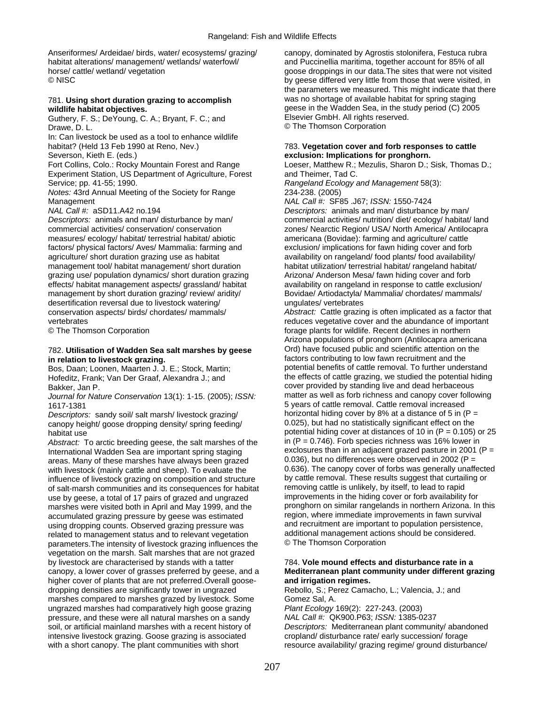Anseriformes/ Ardeidae/ birds, water/ ecosystems/ grazing/ canopy, dominated by Agrostis stolonifera, Festuca rubra habitat alterations/ management/ wetlands/ waterfowl/ and Puccinellia maritima, together account for 85% of all horse/ cattle/ wetland/ vegetation and the state of visited goose droppings in our data.The sites that were not visited<br>
Some sectifiered very little from those that were visited. in

Guthery, F. S.; DeYoung, C. A.; Bryant, F. C.; and Drawe, D. L.

In: Can livestock be used as a tool to enhance wildlife

Experiment Station, US Department of Agriculture, Forest and Theimer, Tad C. Service; pp. 41-55; 1990. *Rangeland Ecology and Management* 58(3):

*Notes:* 43rd Annual Meeting of the Society for Range 234-238. (2005) Management *NAL Call #:* SF85 .J67; *ISSN:* 1550-7424

measures/ ecology/ habitat/ terrestrial habitat/ abiotic americana (Bovidae): farming and agriculture/ cattle factors/ physical factors/ Aves/ Mammalia: farming and exclusion/ implications for fawn hiding cover and forb agriculture/ short duration grazing use as habitat and availability on rangeland/ food plants/ food availability/ management tool/ habitat management/ short duration habitat utilization/ terrestrial habitat/ rangeland habitat/ grazing use/ population dynamics/ short duration grazing Arizona/ Anderson Mesa/ fawn hiding cover and forb effects/ habitat management aspects/ grassland/ habitat availability on rangeland in response to cattle exclusion/ management by short duration grazing/ review/ aridity/ Bovidae/ Artiodactyla/ Mammalia/ chordates/ mammals/ desertification reversal due to livestock watering/ ungulates/ vertebrates

### 782. **Utilisation of Wadden Sea salt marshes by geese** Ord) have focused public and scientific attention on the **in relation to livestock grazing.** *in relation to livestock grazing. factors contributing to low fawn recruitment and the*

*Journal for Nature Conservation* 13(1): 1-15. (2005); *ISSN:* 

*Descriptors:* sandy soil/ salt marsh/ livestock grazing/ horizontal hiding cover by 8% at a distance of 5 in (P = canopy height/ goose dropping density/ spring feeding/

*Abstract:* To arctic breeding geese, the salt marshes of the International Wadden Sea are important spring staging exclosures than in an adjacent grazed pasture in 2001 (P =  $\frac{1}{2}$  areas. Many of these marshes have always been grazed  $\frac{0.036}{0.036}$ , but no differences were ob areas. Many of these marshes have always been grazed with livestock (mainly cattle and sheep). To evaluate the 0.636). The canopy cover of forbs was generally unaffected<br>influence of livestock grazing on composition and structure by cattle removal. These results suggest that influence of livestock grazing on composition and structure by cattle removal. These results suggest that curtail<br>of salt-marsh communities and its consequences for habitat removing cattle is unlikely, by itself, to lead t of salt-marsh communities and its consequences for habitat removing cattle is unlikely, by itself, to lead to rapid<br>The by deese a total of 17 pairs of grazed and ungrazed improvements in the hiding cover or forb availabil use by geese, a total of 17 pairs of grazed and ungrazed improvements in the hiding cover or forb availability for<br>marshes were visited both in April and May 1999, and the pronghorn on similar rangelands in northern Arizon marshes were visited both in April and May 1999, and the pronghorn on similar rangelands in northern Arizona. In the<br>accumulated grazing pressure by geese was estimated region, where immediate improvements in fawn survival accumulated grazing pressure by geese was estimated region, where immediate improvements in fawn survival<br>using dropping counts. Observed grazing pressure was and recruitment are important to population persistence, using dropping counts. Observed grazing pressure was and recruitment are important to population persistence,<br>related to management status and to relevant vegetation and additional management actions should be considered related to management status and to relevant vegetation and additional management actions related.<br>The Thomson Corporations shows the consideration be considered. parameters. The intensity of livestock grazing influences the vegetation on the marsh. Salt marshes that are not grazed by livestock are characterised by stands with a tatter 784. **Vole mound effects and disturbance rate in a**  canopy, a lower cover of grasses preferred by geese, and a **Mediterranean plant community under different grazing**  higher cover of plants that are not preferred.Overall goose- **and irrigation regimes.**  dropping densities are significantly tower in ungrazed Rebollo, S.; Perez Camacho, L.; Valencia, J.; and marshes compared to marshes grazed by livestock. Some Gomez Sal, A. ungrazed marshes had comparatively high goose grazing *Plant Ecology* 169(2): 227-243. (2003)<br>pressure, and these were all natural marshes on a sandy *NAL Call #: QK900.P63; ISSN:* 1385-0237 pressure, and these were all natural marshes on a sandy soil, or artificial mainland marshes with a recent history of *Descriptors:* Mediterranean plant community/ abandoned intensive livestock grazing. Goose grazing is associated cropland/ disturbance rate/ early succession/ forage with a short canopy. The plant communities with short resource availability/ grazing regime/ ground disturbance/

by geese differed very little from those that were visited, in the parameters we measured. This might indicate that there 781. **Using short duration grazing to accomplish** was no shortage of available habitat for spring staging **wildlife habitat objectives.** The Study period (C) 2005<br>Guthery, F. S.: DeYoung, C. A.: Bryant, F. C.: and **Elsevier GmbH. All rights reserved.** © The Thomson Corporation

### habitat? (Held 13 Feb 1990 at Reno, Nev.) 783. **Vegetation cover and forb responses to cattle** Severson, Kieth E. (eds.) **exclusion: Implications for pronghorn.**

Fort Collins, Colo.: Rocky Mountain Forest and Range Loeser, Matthew R.; Mezulis, Sharon D.; Sisk, Thomas D.;

*NAL Call #:* aSD11.A42 no.194 *Descriptors:* animals and man/ disturbance by man/

*Descriptors:* animals and man/ disturbance by man/ commercial activities/ nutrition/ diet/ ecology/ habitat/ land commercial activities/ conservation/ conservation zones/ Nearctic Region/ USA/ North America/ Antilocapra

conservation aspects/ birds/ chordates/ mammals/ *Abstract:* Cattle grazing is often implicated as a factor that vertebrates reduces vegetative cover and the abundance of important © The Thomson Corporation forage plants for wildlife. Recent declines in northern Arizona populations of pronghorn (Antilocapra americana Bos, Daan; Loonen, Maarten J. J. E.; Stock, Martin; potential benefits of cattle removal. To further understand Hofeditz, Frank; Van Der Graaf, Alexandra J.; and the effects of cattle grazing, we studied the potential hiding Bakker, Jan P.<br>Dournal for Nature Conservation 13(1): 1-15 (2005): ISSN: matter as well as forb richness and canopy cover following 1617-1381<br>Descriptors: sandy soil/ salt marsh/ livestock grazing/ by the horizontal hiding cover by 8% at a distance of 5 in (P = habitat use<br>
Abstract: To arctic breeding geese, the salt marshes of the  $\frac{p}{p} = 0.746$ . Forb species richness was 16% lower in